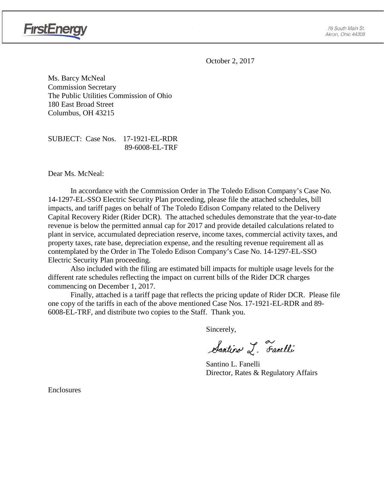

October 2, 2017

Ms. Barcy McNeal Commission Secretary The Public Utilities Commission of Ohio 180 East Broad Street Columbus, OH 43215

SUBJECT: Case Nos. 17-1921-EL-RDR 89-6008-EL-TRF

Dear Ms. McNeal:

In accordance with the Commission Order in The Toledo Edison Company's Case No. 14-1297-EL-SSO Electric Security Plan proceeding, please file the attached schedules, bill impacts, and tariff pages on behalf of The Toledo Edison Company related to the Delivery Capital Recovery Rider (Rider DCR). The attached schedules demonstrate that the year-to-date revenue is below the permitted annual cap for 2017 and provide detailed calculations related to plant in service, accumulated depreciation reserve, income taxes, commercial activity taxes, and property taxes, rate base, depreciation expense, and the resulting revenue requirement all as contemplated by the Order in The Toledo Edison Company's Case No. 14-1297-EL-SSO Electric Security Plan proceeding.

Also included with the filing are estimated bill impacts for multiple usage levels for the different rate schedules reflecting the impact on current bills of the Rider DCR charges commencing on December 1, 2017.

Finally, attached is a tariff page that reflects the pricing update of Rider DCR. Please file one copy of the tariffs in each of the above mentioned Case Nos. 17-1921-EL-RDR and 89- 6008-EL-TRF, and distribute two copies to the Staff. Thank you.

Sincerely,

Santino L. Farelli

Santino L. Fanelli Director, Rates & Regulatory Affairs

Enclosures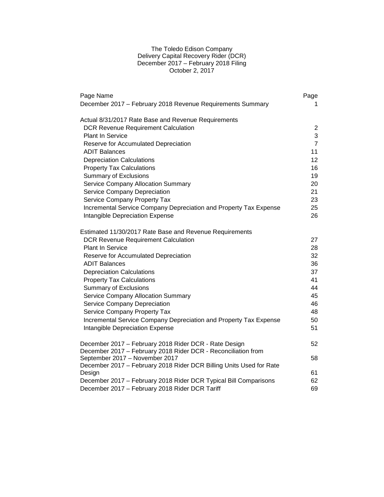### The Toledo Edison Company Delivery Capital Recovery Rider (DCR) December 2017 – February 2018 Filing October 2, 2017

| Page Name<br>December 2017 - February 2018 Revenue Requirements Summary | Page<br>1.     |
|-------------------------------------------------------------------------|----------------|
|                                                                         |                |
| Actual 8/31/2017 Rate Base and Revenue Requirements                     |                |
| <b>DCR Revenue Requirement Calculation</b>                              | 2              |
| <b>Plant In Service</b>                                                 | 3              |
| Reserve for Accumulated Depreciation                                    | $\overline{7}$ |
| <b>ADIT Balances</b>                                                    | 11             |
| <b>Depreciation Calculations</b>                                        | 12             |
| <b>Property Tax Calculations</b>                                        | 16             |
| <b>Summary of Exclusions</b>                                            | 19             |
| <b>Service Company Allocation Summary</b>                               | 20             |
| Service Company Depreciation                                            | 21             |
| Service Company Property Tax                                            | 23             |
| Incremental Service Company Depreciation and Property Tax Expense       | 25             |
| Intangible Depreciation Expense                                         | 26             |
| Estimated 11/30/2017 Rate Base and Revenue Requirements                 |                |
| <b>DCR Revenue Requirement Calculation</b>                              | 27             |
| <b>Plant In Service</b>                                                 | 28             |
| Reserve for Accumulated Depreciation                                    | 32             |
| <b>ADIT Balances</b>                                                    | 36             |
| <b>Depreciation Calculations</b>                                        | 37             |
| <b>Property Tax Calculations</b>                                        | 41             |
| <b>Summary of Exclusions</b>                                            | 44             |
| <b>Service Company Allocation Summary</b>                               | 45             |
| Service Company Depreciation                                            | 46             |
| Service Company Property Tax                                            | 48             |
| Incremental Service Company Depreciation and Property Tax Expense       | 50             |
| Intangible Depreciation Expense                                         | 51             |
| December 2017 - February 2018 Rider DCR - Rate Design                   | 52             |
| December 2017 - February 2018 Rider DCR - Reconciliation from           |                |
| September 2017 - November 2017                                          | 58             |
| December 2017 - February 2018 Rider DCR Billing Units Used for Rate     |                |
| Design                                                                  | 61             |
| December 2017 - February 2018 Rider DCR Typical Bill Comparisons        | 62             |
| December 2017 - February 2018 Rider DCR Tariff                          | 69             |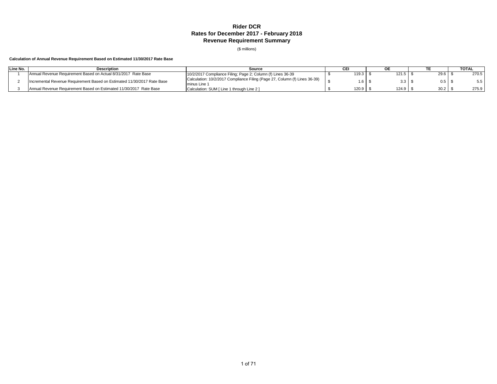### **Rider DCR Rates for December 2017 - February 2018 Revenue Requirement Summary**

(\$ millions)

#### **Calculation of Annual Revenue Requirement Based on Estimated 11/30/2017 Rate Base**

| Line No. | <b>Description</b><br>Source                                            |                                                                                            | CEI |       |  |                  |  | <b>TOTAL</b> |  |       |
|----------|-------------------------------------------------------------------------|--------------------------------------------------------------------------------------------|-----|-------|--|------------------|--|--------------|--|-------|
|          | Annual Revenue Requirement Based on Actual 8/31/2017 Rate Base          | 10/2/2017 Compliance Filing; Page 2; Column (f) Lines 36-39                                |     | 119.3 |  | 121.5            |  | 29.6         |  | 270.5 |
|          | Incremental Revenue Requirement Based on Estimated 11/30/2017 Rate Base | Calculation: 10/2/2017 Compliance Filing (Page 27, Column (f) Lines 36-39)<br>minus Line 1 |     |       |  | 3.3 <sub>1</sub> |  |              |  |       |
|          | Annual Revenue Requirement Based on Estimated 11/30/2017 Rate Base      | Calculation: SUM [ Line 1 through Line 2 ]                                                 |     | 120.9 |  | 124.9            |  | 30.2         |  | 275.9 |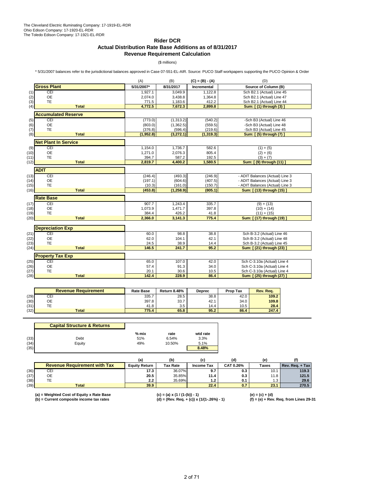### **Rider DCR**

### **Actual Distribution Rate Base Additions as of 8/31/2017 Revenue Requirement Calculation**

### (\$ millions)

\* 5/31/2007 balances refer to the jurisdictional balances approved in Case 07-551-EL-AIR. Source: PUCO Staff workpapers supporting the PUCO Opinion & Order

|      |                             | (A)        | (B)        | $(C) = (B) - (A)$ | (D)                             |
|------|-----------------------------|------------|------------|-------------------|---------------------------------|
|      | <b>Gross Plant</b>          | 5/31/2007* | 8/31/2017  | Incremental       | Source of Column (B)            |
| (1)  | CEI                         | 1,927.1    | 3,049.9    | 1,122.8           | Sch B2.1 (Actual) Line 45       |
| (2)  | <b>OE</b>                   | 2,074.0    | 3,438.8    | 1,364.8           | Sch B2.1 (Actual) Line 47       |
| (3)  | TE                          | 771.5      | 1,183.6    | 412.2             | Sch B2.1 (Actual) Line 44       |
| (4)  | <b>Total</b>                | 4,772.5    | 7,672.3    | 2,899.8           | Sum: [(1) through (3) ]         |
|      | <b>Accumulated Reserve</b>  |            |            |                   |                                 |
| (5)  | CEI                         | (773.0)    | (1,313.2)  | (540.2)           | -Sch B3 (Actual) Line 46        |
| (6)  | <b>OE</b>                   | (803.0)    | (1,362.5)  | (559.5)           | -Sch B3 (Actual) Line 48        |
| (7)  | <b>TE</b>                   | (376.8)    | (596.4)    | (219.6)           | -Sch B3 (Actual) Line 45        |
| (8)  | <b>Total</b>                | (1,952.8)  | (3,272.1)  | (1, 319.3)        | Sum: [(5) through (7) ]         |
|      | <b>Net Plant In Service</b> |            |            |                   |                                 |
| (9)  | CEI                         | 1,154.0    | 1,736.7    | 582.6             | $(1) + (5)$                     |
| (10) | <b>OE</b>                   | 1,271.0    | 2,076.3    | 805.4             | $(2) + (6)$                     |
| (11) | <b>TE</b>                   | 394.7      | 587.2      | 192.5             | $(3) + (7)$                     |
| (12) | <b>Total</b>                | 2,819.7    | 4,400.2    | 1,580.5           | Sum: [ (9) through (11) ]       |
|      | <b>ADIT</b>                 |            |            |                   |                                 |
| (13) | CEI                         | (246.4)    | (493.3)    | (246.9)           | - ADIT Balances (Actual) Line 3 |
| (14) | <b>OE</b>                   | (197.1)    | (604.6)    | (407.5)           | - ADIT Balances (Actual) Line 3 |
| (15) | <b>TE</b>                   | (10.3)     | (161.0)    | (150.7)           | - ADIT Balances (Actual) Line 3 |
| (16) | <b>Total</b>                | (453.8)    | (1, 258.9) | (805.1)           | Sum: [ (13) through (15) ]      |
|      | <b>Rate Base</b>            |            |            |                   |                                 |
| (17) | CEI                         | 907.7      | 1,243.4    | 335.7             | $(9) + (13)$                    |
| (18) | <b>OE</b>                   | 1,073.9    | 1,471.7    | 397.8             | $(10) + (14)$                   |
| (19) | <b>TE</b>                   | 384.4      | 426.2      | 41.8              | $(11) + (15)$                   |
| (20) | <b>Total</b>                | 2,366.0    | 3,141.3    | 775.4             | Sum: [ (17) through (19) ]      |
|      | <b>Depreciation Exp</b>     |            |            |                   |                                 |
| (21) | CEI                         | 60.0       | 98.8       | 38.8              | Sch B-3.2 (Actual) Line 46      |
| (22) | <b>OE</b>                   | 62.0       | 104.1      | 42.1              | Sch B-3.2 (Actual) Line 48      |
| (23) | TE                          | 24.5       | 38.9       | 14.4              | Sch B-3.2 (Actual) Line 45      |
| (24) | <b>Total</b>                | 146.5      | 241.7      | 95.2              | Sum: [ (21) through (23) ]      |
|      | <b>Property Tax Exp</b>     |            |            |                   |                                 |
| (25) | CEI                         | 65.0       | 107.0      | 42.0              | Sch C-3.10a (Actual) Line 4     |
| (26) | <b>OE</b>                   | 57.4       | 91.3       | 34.0              | Sch C-3.10a (Actual) Line 4     |
| (27) | <b>TE</b>                   | 20.1       | 30.6       | 10.5              | Sch C-3.10a (Actual) Line 4     |
| (28) | <b>Total</b>                | 142.4      | 228.9      | 86.4              | Sum: [ (25) through (27) ]      |
|      |                             |            |            |                   |                                 |

|      | <b>Revenue Requirement</b> | <b>Rate Base</b> | <b>Return 8.48%</b> | <b>Deprec</b> | <b>Prop Tax</b> | Rev. Rea. |
|------|----------------------------|------------------|---------------------|---------------|-----------------|-----------|
| (29) | CEI                        | 335.7            | 28.5                | 38.8          | 42.0            | 109.2     |
| (30) | OE                         | 397.8            | 33.7                | 42.1          | 34.0            | 109.8     |
| (31) | --<br>-                    | 41.8             | 3.5                 | 14.4          | 10.5            | 28.4      |
| (32) | <b>Total</b>               | 775.4            | 65.8                | 95.2          | 86.4            | 247.4     |

|      | <b>Capital Structure &amp; Returns</b> |         |        |          |
|------|----------------------------------------|---------|--------|----------|
|      |                                        | $%$ mix | rate   | wtd rate |
| (33) | Debt                                   | 51%     | 6.54%  | 3.3%     |
| (34) | Equity                                 | 49%     | 10.50% | 5.1%     |
| (35) |                                        |         |        | 8.48%    |

|      |                                     |                      | (b)             |                   | (d)       | (e)   |                 |
|------|-------------------------------------|----------------------|-----------------|-------------------|-----------|-------|-----------------|
|      | <b>Revenue Requirement with Tax</b> | <b>Equity Return</b> | <b>Tax Rate</b> | <b>Income Tax</b> | CAT 0.26% | Taxes | Rev. Reg. + Tax |
| (36) | CEI                                 | 17.3                 | 36.07%          | 9.7               | 0.3       | 10.7  | 119.3           |
| (37) | ОE                                  | 20.5                 | 35.85%          | 11.4              | 0.3       | 11.8  | 121.5           |
| (38) | TE                                  | $2.2^{\circ}$        | 35.69%          | 1.2               | 0.1       | ن. ا  | 29.6            |
| (39) | Total                               | 39.9                 |                 | 22.4              | 0.7       | 23.1  | 270.5           |

(a) = Weighted Cost of Equity x Rate Base (c) = (a) x (1 / (1-(b)) - 1) (e) = (c) + (d)<br>(b) = Current composite income tax rates (d) = (Rev. Req. + (c)) x (1/(1-.26%) - 1) (f) = (e)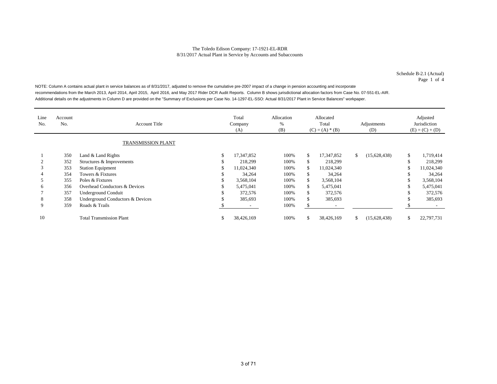Schedule B-2.1 (Actual) Page 1 of 4

NOTE: Column A contains actual plant in service balances as of 8/31/2017, adjusted to remove the cumulative pre-2007 impact of a change in pension accounting and incorporate recommendations from the March 2013, April 2014, April 2015, April 2016, and May 2017 Rider DCR Audit Reports. Column B shows jurisdictional allocation factors from Case No. 07-551-EL-AIR. Additional details on the adjustments in Column D are provided on the "Summary of Exclusions per Case No. 14-1297-EL-SSO: Actual 8/31/2017 Plant in Service Balances" workpaper.

| Line<br>No. | Account<br>No.     | <b>Account Title</b>                     |   | Total<br>Company<br>(A) | Allocation<br>%<br>(B) | Allocated<br>Total<br>$(C) = (A) * (B)$ |            | Adjustments<br>(D) |              | Adjusted<br>Jurisdiction<br>$(E) = (C) + (D)$ |            |  |
|-------------|--------------------|------------------------------------------|---|-------------------------|------------------------|-----------------------------------------|------------|--------------------|--------------|-----------------------------------------------|------------|--|
|             | TRANSMISSION PLANT |                                          |   |                         |                        |                                         |            |                    |              |                                               |            |  |
|             | 350                | Land & Land Rights                       |   | 17.347.852              | 100%                   | \$.                                     | 17.347.852 | \$                 | (15,628,438) | \$                                            | 1,719,414  |  |
|             | 352                | Structures & Improvements                |   | 218.299                 | 100%                   | ж                                       | 218,299    |                    |              | \$                                            | 218,299    |  |
|             | 353                | <b>Station Equipment</b>                 |   | 11,024,340              | 100%                   | ж                                       | 11,024,340 |                    |              | ъ                                             | 11,024,340 |  |
|             | 354                | Towers & Fixtures                        |   | 34,264                  | 100%                   | Ж.                                      | 34,264     |                    |              |                                               | 34,264     |  |
|             | 355                | Poles & Fixtures                         |   | 3,568,104               | 100%                   | \$.                                     | 3,568,104  |                    |              |                                               | 3,568,104  |  |
| 6           | 356                | <b>Overhead Conductors &amp; Devices</b> |   | 5,475,041               | 100%                   | \$.                                     | 5,475,041  |                    |              |                                               | 5,475,041  |  |
|             | 357                | <b>Underground Conduit</b>               |   | 372,576                 | 100%                   | \$.                                     | 372,576    |                    |              |                                               | 372,576    |  |
| 8           | 358                | Underground Conductors & Devices         |   | 385,693                 | 100%                   | \$.                                     | 385,693    |                    |              | -D                                            | 385,693    |  |
| 9           | 359                | Roads & Trails                           |   |                         | 100%                   | ъ.                                      |            |                    |              |                                               |            |  |
| 10          |                    | <b>Total Transmission Plant</b>          | ъ | 38,426,169              | 100%                   | S.                                      | 38,426,169 | \$                 | (15,628,438) | \$                                            | 22,797,731 |  |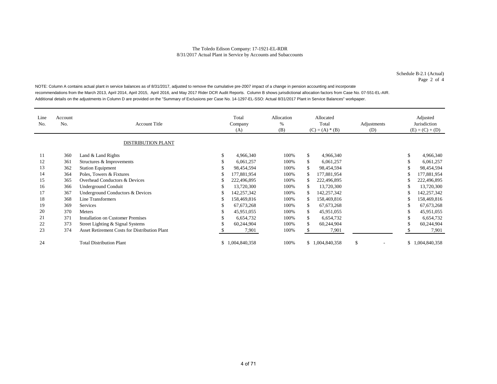Schedule B-2.1 (Actual) Page 2 of 4

NOTE: Column A contains actual plant in service balances as of 8/31/2017, adjusted to remove the cumulative pre-2007 impact of a change in pension accounting and incorporate recommendations from the March 2013, April 2014, April 2015, April 2016, and May 2017 Rider DCR Audit Reports. Column B shows jurisdictional allocation factors from Case No. 07-551-EL-AIR. Additional details on the adjustments in Column D are provided on the "Summary of Exclusions per Case No. 14-1297-EL-SSO: Actual 8/31/2017 Plant in Service Balances" workpaper.

| Line<br>No. | Account<br>No. | <b>Account Title</b>                                 |               | Total<br>Company<br>(A) | Allocation<br>%<br>(B) | Allocated<br>Total<br>$(C) = (A) * (B)$ | Adjustments<br>(D) | Adjusted<br>Jurisdiction<br>$(E) = (C) + (D)$ |
|-------------|----------------|------------------------------------------------------|---------------|-------------------------|------------------------|-----------------------------------------|--------------------|-----------------------------------------------|
|             |                | <b>DISTRIBUTION PLANT</b>                            |               |                         |                        |                                         |                    |                                               |
| 11          | 360            | Land & Land Rights                                   | \$            | 4,966,340               | 100%                   | \$<br>4,966,340                         |                    | \$<br>4,966,340                               |
| 12          | 361            | Structures & Improvements                            | \$            | 6,061,257               | 100%                   | \$<br>6,061,257                         |                    | \$<br>6,061,257                               |
| 13          | 362            | <b>Station Equipment</b>                             | \$            | 98,454,594              | 100%                   | 98,454,594                              |                    | \$<br>98,454,594                              |
| 14          | 364            | Poles, Towers & Fixtures                             | S             | 177,881,954             | 100%                   | 177,881,954                             |                    | \$<br>177,881,954                             |
| 15          | 365            | Overhead Conductors & Devices                        | S             | 222,496,895             | 100%                   | 222,496,895                             |                    | \$<br>222,496,895                             |
| 16          | 366            | Underground Conduit                                  | \$            | 13.720.300              | 100%                   | 13,720,300                              |                    | \$<br>13,720,300                              |
| 17          | 367            | Underground Conductors & Devices                     | S             | 142,257,342             | 100%                   | 142,257,342                             |                    | \$<br>142,257,342                             |
| 18          | 368            | Line Transformers                                    | S             | 158,469,816             | 100%                   | 158,469,816                             |                    | \$<br>158,469,816                             |
| 19          | 369            | <b>Services</b>                                      | S             | 67, 673, 268            | 100%                   | \$<br>67, 673, 268                      |                    | \$<br>67, 673, 268                            |
| 20          | 370            | <b>Meters</b>                                        | \$            | 45,951,055              | 100%                   | \$<br>45,951,055                        |                    | \$<br>45,951,055                              |
| 21          | 371            | <b>Installation on Customer Premises</b>             | \$            | 6,654,732               | 100%                   | \$<br>6,654,732                         |                    | \$<br>6,654,732                               |
| 22          | 373            | Street Lighting & Signal Systems                     | <sup>\$</sup> | 60,244,904              | 100%                   | \$<br>60,244,904                        |                    | \$<br>60,244,904                              |
| 23          | 374            | <b>Asset Retirement Costs for Distribution Plant</b> |               | 7,901                   | 100%                   | 7,901                                   |                    | 7,901                                         |
| 24          |                | <b>Total Distribution Plant</b>                      | \$            | 1,004,840,358           | 100%                   | \$1,004,840,358                         | \$<br>٠            | \$1,004,840,358                               |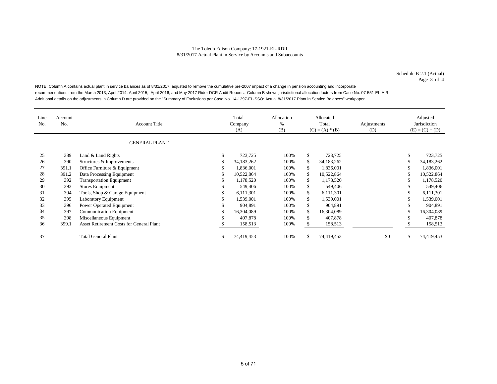Schedule B-2.1 (Actual) Page 3 of 4

NOTE: Column A contains actual plant in service balances as of 8/31/2017, adjusted to remove the cumulative pre-2007 impact of a change in pension accounting and incorporate recommendations from the March 2013, April 2014, April 2015, April 2016, and May 2017 Rider DCR Audit Reports. Column B shows jurisdictional allocation factors from Case No. 07-551-EL-AIR. Additional details on the adjustments in Column D are provided on the "Summary of Exclusions per Case No. 14-1297-EL-SSO: Actual 8/31/2017 Plant in Service Balances" workpaper.

| Line<br>No. | Account<br>No. | <b>Account Title</b>                            |    | Total<br>Company<br>(A) | Allocation<br>%<br>(B) | Allocated<br>Total<br>$(C) = (A) * (B)$ |            | Adjustments<br>(D) | Adjusted<br>Jurisdiction<br>$(E) = (C) + (D)$ |            |  |
|-------------|----------------|-------------------------------------------------|----|-------------------------|------------------------|-----------------------------------------|------------|--------------------|-----------------------------------------------|------------|--|
|             |                | <b>GENERAL PLANT</b>                            |    |                         |                        |                                         |            |                    |                                               |            |  |
| 25          | 389            | Land & Land Rights                              | э  | 723,725                 | 100%                   | \$                                      | 723,725    |                    | ъ                                             | 723,725    |  |
| 26          | 390            | Structures & Improvements                       |    | 34,183,262              | 100%                   | \$                                      | 34,183,262 |                    |                                               | 34,183,262 |  |
| 27          | 391.1          | Office Furniture & Equipment                    |    | 1,836,001               | 100%                   | \$                                      | 1,836,001  |                    |                                               | 1,836,001  |  |
| 28          | 391.2          | Data Processing Equipment                       |    | 10,522,864              | 100%                   | \$                                      | 10,522,864 |                    |                                               | 10,522,864 |  |
| 29          | 392            | <b>Transportation Equipment</b>                 |    | 1,178,520               | 100%                   | \$                                      | 1,178,520  |                    |                                               | 1,178,520  |  |
| 30          | 393            | <b>Stores Equipment</b>                         |    | 549,406                 | 100%                   | \$                                      | 549,406    |                    |                                               | 549,406    |  |
| 31          | 394            | Tools, Shop & Garage Equipment                  |    | 6,111,301               | 100%                   | \$                                      | 6,111,301  |                    |                                               | 6,111,301  |  |
| 32          | 395            | Laboratory Equipment                            |    | 1,539,001               | 100%                   | \$                                      | 1,539,001  |                    |                                               | 1,539,001  |  |
| 33          | 396            | Power Operated Equipment                        |    | 904.891                 | 100%                   | \$.                                     | 904,891    |                    |                                               | 904,891    |  |
| 34          | 397            | <b>Communication Equipment</b>                  |    | 16,304,089              | 100%                   | \$                                      | 16,304,089 |                    |                                               | 16,304,089 |  |
| 35          | 398            | Miscellaneous Equipment                         |    | 407,878                 | 100%                   | \$.                                     | 407,878    |                    | Эħ                                            | 407,878    |  |
| 36          | 399.1          | <b>Asset Retirement Costs for General Plant</b> |    | 158,513                 | 100%                   |                                         | 158,513    |                    |                                               | 158,513    |  |
| 37          |                | <b>Total General Plant</b>                      | J. | 74,419,453              | 100%                   |                                         | 74,419,453 | \$0                | \$                                            | 74,419,453 |  |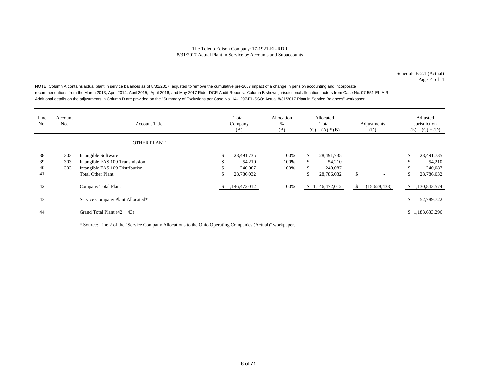Schedule B-2.1 (Actual) Page 4 of 4

NOTE: Column A contains actual plant in service balances as of 8/31/2017, adjusted to remove the cumulative pre-2007 impact of a change in pension accounting and incorporate recommendations from the March 2013, April 2014, April 2015, April 2016, and May 2017 Rider DCR Audit Reports. Column B shows jurisdictional allocation factors from Case No. 07-551-EL-AIR. Additional details on the adjustments in Column D are provided on the "Summary of Exclusions per Case No. 14-1297-EL-SSO: Actual 8/31/2017 Plant in Service Balances" workpaper.

| Line<br>No. | Account<br>No. | <b>Account Title</b>                                        |           | Total<br>Company<br>(A) | Allocation<br>%<br>(B) |         | Allocated<br>Total<br>$(C) = (A) * (B)$ |               | Adjustments<br>(D) |          | Adjusted<br>Jurisdiction<br>$(E) = (C) + (D)$ |
|-------------|----------------|-------------------------------------------------------------|-----------|-------------------------|------------------------|---------|-----------------------------------------|---------------|--------------------|----------|-----------------------------------------------|
|             |                | <b>OTHER PLANT</b>                                          |           |                         |                        |         |                                         |               |                    |          |                                               |
| 38<br>39    | 303<br>303     | Intangible Software<br>Intangible FAS 109 Transmission      | \$<br>ĴЬ. | 28,491,735<br>54,210    | 100%<br>100%           | \$<br>ъ | 28,491,735<br>54,210                    |               |                    | \$<br>\$ | 28,491,735<br>54,210                          |
| 40<br>41    | 303            | Intangible FAS 109 Distribution<br><b>Total Other Plant</b> | \$        | 240,087<br>28,786,032   | 100%                   |         | 240,087<br>28,786,032                   | <sup>\$</sup> |                    | \$       | 240,087<br>28,786,032                         |
| 42          |                | Company Total Plant                                         |           | \$1,146,472,012         | 100%                   |         | \$1,146,472,012                         |               | (15,628,438)       |          | \$1,130,843,574                               |
| 43          |                | Service Company Plant Allocated*                            |           |                         |                        |         |                                         |               |                    | \$       | 52,789,722                                    |
| 44          |                | Grand Total Plant $(42 + 43)$                               |           |                         |                        |         |                                         |               |                    |          | \$1,183,633,296                               |

\* Source: Line 2 of the "Service Company Allocations to the Ohio Operating Companies (Actual)" workpaper.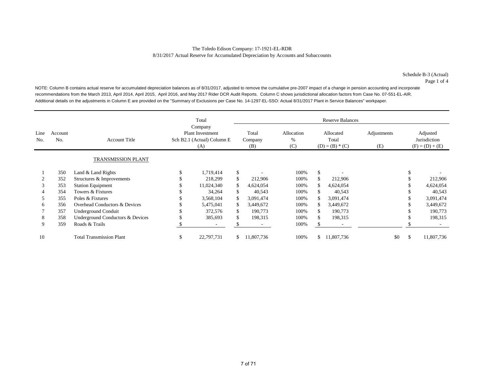NOTE: Column B contains actual reserve for accumulated depreciation balances as of 8/31/2017, adjusted to remove the cumulative pre-2007 impact of a change in pension accounting and incorporate recommendations from the March 2013, April 2014, April 2015, April 2016, and May 2017 Rider DCR Audit Reports. Column C shows jurisdictional allocation factors from Case No. 07-551-EL-AIR. Additional details on the adjustments in Column E are provided on the "Summary of Exclusions per Case No. 14-1297-EL-SSO: Actual 8/31/2017 Plant in Service Balances" workpaper.

|             |                |                                  |                                                                         | Total      | <b>Reserve Balances</b> |                         |                        |     |                                         |                    |                                               |            |  |  |
|-------------|----------------|----------------------------------|-------------------------------------------------------------------------|------------|-------------------------|-------------------------|------------------------|-----|-----------------------------------------|--------------------|-----------------------------------------------|------------|--|--|
| Line<br>No. | Account<br>No. | <b>Account Title</b>             | Company<br><b>Plant Investment</b><br>Sch B2.1 (Actual) Column E<br>(A) |            |                         | Total<br>Company<br>(B) | Allocation<br>%<br>(C) |     | Allocated<br>Total<br>$(D) = (B) * (C)$ | Adjustments<br>(E) | Adjusted<br>Jurisdiction<br>$(F) = (D) + (E)$ |            |  |  |
|             |                | TRANSMISSION PLANT               |                                                                         |            |                         |                         |                        |     |                                         |                    |                                               |            |  |  |
|             | 350            | Land & Land Rights               |                                                                         | 1,719,414  | \$                      |                         | 100%                   | \$. |                                         |                    |                                               |            |  |  |
|             | 352            | Structures & Improvements        |                                                                         | 218,299    | \$                      | 212,906                 | 100%                   | \$  | 212,906                                 |                    |                                               | 212,906    |  |  |
| 3           | 353            | <b>Station Equipment</b>         |                                                                         | 11,024,340 | \$                      | 4,624,054               | 100%                   | S.  | 4,624,054                               |                    |                                               | 4,624,054  |  |  |
| 4           | 354            | Towers & Fixtures                |                                                                         | 34,264     | \$                      | 40,543                  | 100%                   |     | 40,543                                  |                    |                                               | 40,543     |  |  |
|             | 355            | Poles & Fixtures                 |                                                                         | 3,568,104  |                         | 3.091.474               | 100%                   |     | 3,091,474                               |                    |                                               | 3,091,474  |  |  |
| 6           | 356            | Overhead Conductors & Devices    |                                                                         | 5,475,041  |                         | 3,449,672               | 100%                   |     | 3,449,672                               |                    |                                               | 3,449,672  |  |  |
|             | 357            | Underground Conduit              |                                                                         | 372,576    | \$                      | 190,773                 | 100%                   |     | 190,773                                 |                    |                                               | 190,773    |  |  |
| 8           | 358            | Underground Conductors & Devices |                                                                         | 385,693    |                         | 198,315                 | 100%                   |     | 198,315                                 |                    |                                               | 198,315    |  |  |
| 9           | 359            | Roads & Trails                   |                                                                         |            |                         |                         | 100%                   |     |                                         |                    |                                               |            |  |  |
| 10          |                | <b>Total Transmission Plant</b>  | \$                                                                      | 22,797,731 | \$                      | .807,736                | 100%                   | \$. | 11,807,736                              | \$0                | \$.                                           | 11,807,736 |  |  |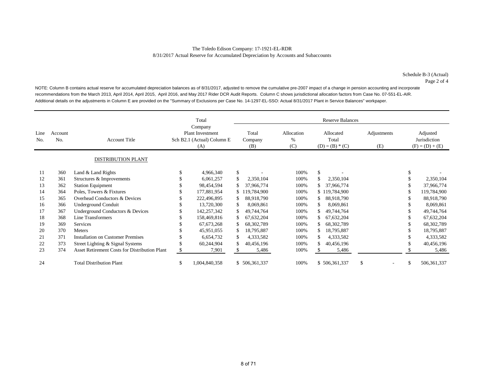NOTE: Column B contains actual reserve for accumulated depreciation balances as of 8/31/2017, adjusted to remove the cumulative pre-2007 impact of a change in pension accounting and incorporate recommendations from the March 2013, April 2014, April 2015, April 2016, and May 2017 Rider DCR Audit Reports. Column C shows jurisdictional allocation factors from Case No. 07-551-EL-AIR. Additional details on the adjustments in Column E are provided on the "Summary of Exclusions per Case No. 14-1297-EL-SSO: Actual 8/31/2017 Plant in Service Balances" workpaper.

|             |                           |                                                      |    | Total                                                            |              | <b>Reserve Balances</b> |                           |     |                                         |    |                    |     |                                               |
|-------------|---------------------------|------------------------------------------------------|----|------------------------------------------------------------------|--------------|-------------------------|---------------------------|-----|-----------------------------------------|----|--------------------|-----|-----------------------------------------------|
| Line<br>No. | Account<br>N <sub>0</sub> | <b>Account Title</b>                                 |    | Company<br>Plant Investment<br>Sch B2.1 (Actual) Column E<br>(A) |              | Total<br>Company<br>(B) | Allocation<br>$\%$<br>(C) |     | Allocated<br>Total<br>$(D) = (B) * (C)$ |    | Adjustments<br>(E) |     | Adjusted<br>Jurisdiction<br>$(F) = (D) + (E)$ |
|             |                           | <b>DISTRIBUTION PLANT</b>                            |    |                                                                  |              |                         |                           |     |                                         |    |                    |     |                                               |
| 11          | 360                       | Land & Land Rights                                   |    | 4,966,340                                                        | $\mathbb{S}$ |                         | 100%                      | \$. |                                         |    |                    |     |                                               |
| 12          | 361                       | Structures & Improvements                            |    | 6,061,257                                                        | \$           | 2,350,104               | 100%                      |     | 2,350,104                               |    |                    |     | 2,350,104                                     |
| 13          | 362                       | <b>Station Equipment</b>                             | S  | 98,454,594                                                       | \$           | 37,966,774              | 100%                      | \$. | 37,966,774                              |    |                    |     | 37,966,774                                    |
| 14          | 364                       | Poles, Towers & Fixtures                             | \$ | 177,881,954                                                      |              | 119,784,900             | 100%                      |     | \$119,784,900                           |    |                    |     | 119,784,900                                   |
| 15          | 365                       | Overhead Conductors & Devices                        |    | 222,496,895                                                      |              | 88,918,790              | 100%                      | \$. | 88,918,790                              |    |                    |     | 88,918,790                                    |
| 16          | 366                       | <b>Underground Conduit</b>                           |    | 13,720,300                                                       | \$           | 8,069,861               | 100%                      |     | 8,069,861                               |    |                    |     | 8,069,861                                     |
| 17          | 367                       | Underground Conductors & Devices                     |    | 142,257,342                                                      | \$           | 49,744,764              | 100%                      | \$  | 49,744,764                              |    |                    |     | 49,744,764                                    |
| 18          | 368                       | Line Transformers                                    |    | 158,469,816                                                      | \$           | 67,632,204              | 100%                      | \$  | 67,632,204                              |    |                    |     | 67,632,204                                    |
| 19          | 369                       | Services                                             |    | 67, 673, 268                                                     |              | 68, 302, 789            | 100%                      | \$  | 68, 302, 789                            |    |                    |     | 68,302,789                                    |
| 20          | 370                       | Meters                                               |    | 45,951,055                                                       | \$           | 18,795,887              | 100%                      | \$  | 18,795,887                              |    |                    |     | 18,795,887                                    |
| 21          | 371                       | <b>Installation on Customer Premises</b>             | \$ | 6,654,732                                                        | \$           | 4,333,582               | 100%                      | \$  | 4,333,582                               |    |                    |     | 4,333,582                                     |
| 22          | 373                       | Street Lighting & Signal Systems                     | \$ | 60,244,904                                                       | \$           | 40,456,196              | 100%                      | S.  | 40,456,196                              |    |                    |     | 40,456,196                                    |
| 23          | 374                       | <b>Asset Retirement Costs for Distribution Plant</b> | \$ | 7,901                                                            | S.           | 5,486                   | 100%                      |     | 5,486                                   |    |                    |     | 5,486                                         |
| 24          |                           | <b>Total Distribution Plant</b>                      | \$ | 1,004,840,358                                                    |              | \$506,361,337           | 100%                      |     | \$506,361,337                           | \$ | ۰                  | \$. | 506, 361, 337                                 |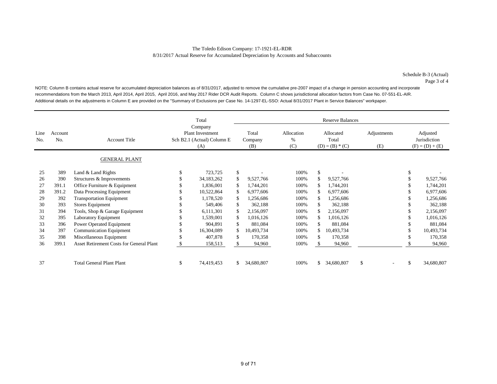NOTE: Column B contains actual reserve for accumulated depreciation balances as of 8/31/2017, adjusted to remove the cumulative pre-2007 impact of a change in pension accounting and incorporate recommendations from the March 2013, April 2014, April 2015, April 2016, and May 2017 Rider DCR Audit Reports. Column C shows jurisdictional allocation factors from Case No. 07-551-EL-AIR. Additional details on the adjustments in Column E are provided on the "Summary of Exclusions per Case No. 14-1297-EL-SSO: Actual 8/31/2017 Plant in Service Balances" workpaper.

|             |                |                                          |   | Total                                                            |    |                         |                           |    | <b>Reserve Balances</b>                 |                    |                                               |
|-------------|----------------|------------------------------------------|---|------------------------------------------------------------------|----|-------------------------|---------------------------|----|-----------------------------------------|--------------------|-----------------------------------------------|
| Line<br>No. | Account<br>No. | <b>Account Title</b>                     |   | Company<br>Plant Investment<br>Sch B2.1 (Actual) Column E<br>(A) |    | Total<br>Company<br>(B) | Allocation<br>$\%$<br>(C) |    | Allocated<br>Total<br>$(D) = (B) * (C)$ | Adjustments<br>(E) | Adjusted<br>Jurisdiction<br>$(F) = (D) + (E)$ |
|             |                | <b>GENERAL PLANT</b>                     |   |                                                                  |    |                         |                           |    |                                         |                    |                                               |
| 25          | 389            | Land & Land Rights                       |   | 723,725                                                          | \$ |                         | 100%                      | \$ |                                         |                    |                                               |
| 26          | 390            | Structures & Improvements                |   | 34, 183, 262                                                     | \$ | 9,527,766               | 100%                      |    | 9,527,766                               |                    | 9,527,766                                     |
| 27          | 391.1          | Office Furniture & Equipment             |   | 1,836,001                                                        | \$ | 1,744,201               | 100%                      |    | 1,744,201                               |                    | 1,744,201                                     |
| 28          | 391.2          | Data Processing Equipment                |   | 10,522,864                                                       | \$ | 6,977,606               | 100%                      | S  | 6,977,606                               |                    | 6,977,606                                     |
| 29          | 392            | <b>Transportation Equipment</b>          |   | 1,178,520                                                        | \$ | 1,256,686               | 100%                      |    | 1,256,686                               |                    | 1,256,686                                     |
| 30          | 393            | <b>Stores Equipment</b>                  |   | 549,406                                                          | \$ | 362,188                 | 100%                      |    | 362,188                                 |                    | 362,188                                       |
| 31          | 394            | Tools, Shop & Garage Equipment           |   | 6,111,301                                                        | \$ | 2,156,097               | 100%                      |    | 2,156,097                               |                    | 2,156,097                                     |
| 32          | 395            | Laboratory Equipment                     |   | 1,539,001                                                        | \$ | 1,016,126               | 100%                      |    | 1,016,126                               |                    | 1,016,126                                     |
| 33          | 396            | Power Operated Equipment                 |   | 904,891                                                          | \$ | 881,084                 | 100%                      | \$ | 881,084                                 |                    | 881,084                                       |
| 34          | 397            | Communication Equipment                  |   | 16,304,089                                                       | \$ | 10,493,734              | 100%                      |    | 10,493,734                              |                    | 10,493,734                                    |
| 35          | 398            | Miscellaneous Equipment                  |   | 407,878                                                          | \$ | 170,358                 | 100%                      | \$ | 170,358                                 |                    | 170,358                                       |
| 36          | 399.1          | Asset Retirement Costs for General Plant |   | 158,513                                                          | S. | 94,960                  | 100%                      |    | 94,960                                  |                    | 94,960                                        |
| 37          |                | <b>Total General Plant Plant</b>         | S | 74,419,453                                                       | \$ | 34,680,807              | 100%                      | \$ | 34,680,807                              | \$                 | 34,680,807                                    |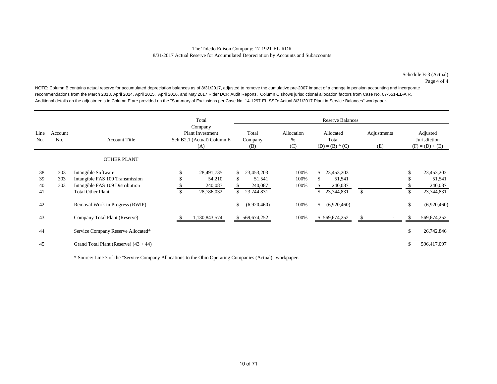NOTE: Column B contains actual reserve for accumulated depreciation balances as of 8/31/2017, adjusted to remove the cumulative pre-2007 impact of a change in pension accounting and incorporate recommendations from the March 2013, April 2014, April 2015, April 2016, and May 2017 Rider DCR Audit Reports. Column C shows jurisdictional allocation factors from Case No. 07-551-EL-AIR. Additional details on the adjustments in Column E are provided on the "Summary of Exclusions per Case No. 14-1297-EL-SSO: Actual 8/31/2017 Plant in Service Balances" workpaper.

|                      |                   |                                                                                                                       | Total                                                                   |                                                                  |                        | <b>Reserve Balances</b>                                            |                    |               |                                               |
|----------------------|-------------------|-----------------------------------------------------------------------------------------------------------------------|-------------------------------------------------------------------------|------------------------------------------------------------------|------------------------|--------------------------------------------------------------------|--------------------|---------------|-----------------------------------------------|
| Line<br>No.          | Account<br>No.    | <b>Account Title</b>                                                                                                  | Company<br><b>Plant Investment</b><br>Sch B2.1 (Actual) Column E<br>(A) | Total<br>Company<br>(B)                                          | Allocation<br>%<br>(C) | Allocated<br>Total<br>$(D) = (B) * (C)$                            | Adjustments<br>(E) |               | Adjusted<br>Jurisdiction<br>$(F) = (D) + (E)$ |
|                      |                   | <b>OTHER PLANT</b>                                                                                                    |                                                                         |                                                                  |                        |                                                                    |                    |               |                                               |
| 38<br>39<br>40<br>41 | 303<br>303<br>303 | Intangible Software<br>Intangible FAS 109 Transmission<br>Intangible FAS 109 Distribution<br><b>Total Other Plant</b> | \$<br>28,491,735<br>54,210<br>240,087<br>28,786,032                     | \$.<br>23,453,203<br>51,541<br>\$<br>240,087<br>\$<br>23,744,831 | 100%<br>100%<br>100%   | \$.<br>23,453,203<br>51,541<br>\$.<br>240,087<br>\$.<br>23,744,831 | \$                 | \$            | 23,453,203<br>51,541<br>240,087<br>23,744,831 |
| 42                   |                   | Removal Work in Progress (RWIP)                                                                                       |                                                                         | \$<br>(6,920,460)                                                | 100%                   | \$<br>(6,920,460)                                                  |                    | \$            | (6,920,460)                                   |
| 43                   |                   | Company Total Plant (Reserve)                                                                                         | 1,130,843,574                                                           | \$569,674,252                                                    | 100%                   | \$569,674,252                                                      |                    |               | 569,674,252                                   |
| 44                   |                   | Service Company Reserve Allocated*                                                                                    |                                                                         |                                                                  |                        |                                                                    |                    | <sup>\$</sup> | 26,742,846                                    |
| 45                   |                   | Grand Total Plant (Reserve) $(43 + 44)$                                                                               |                                                                         |                                                                  |                        |                                                                    |                    |               | 596,417,097                                   |

\* Source: Line 3 of the "Service Company Allocations to the Ohio Operating Companies (Actual)" workpaper.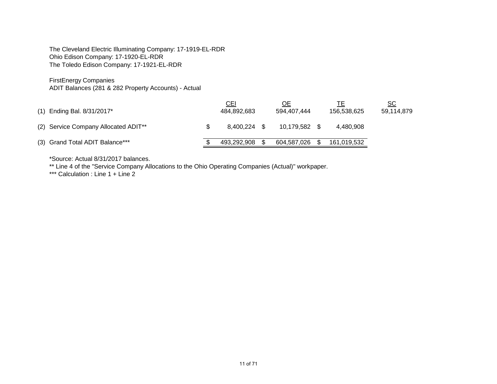The Cleveland Electric Illuminating Company: 17-1919-EL-RDR Ohio Edison Company: 17-1920-EL-RDR The Toledo Edison Company: 17-1921-EL-RDR

FirstEnergy Companies

ADIT Balances (281 & 282 Property Accounts) - Actual

| $(1)$ Ending Bal. 8/31/2017*         | <u>CEI</u><br>484,892,683 |      | ОE<br>594.407.444 | 156.538.625 | <u>sc</u><br>59.114.879 |
|--------------------------------------|---------------------------|------|-------------------|-------------|-------------------------|
| (2) Service Company Allocated ADIT** | 8.400.224                 | - \$ | 10.179.582        | 4.480.908   |                         |
| (3) Grand Total ADIT Balance***      | 493.292.908               |      | 604,587,026       | 161,019,532 |                         |

\*Source: Actual 8/31/2017 balances.

\*\* Line 4 of the "Service Company Allocations to the Ohio Operating Companies (Actual)" workpaper.

\*\*\* Calculation : Line 1 + Line 2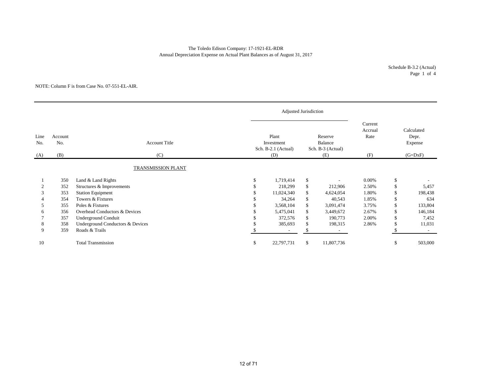### The Toledo Edison Company: 17-1921-EL-RDR Annual Depreciation Expense on Actual Plant Balances as of August 31, 2017

### NOTE: Column F is from Case No. 07-551-EL-AIR.

| Line<br>No. | Account<br>No. | <b>Account Title</b>             |    | Plant<br>Investment<br>Sch. B-2.1 (Actual) |     | Reserve<br>Balance<br>Sch. B-3 (Actual) | Current<br>Accrual<br>Rate | Calculated<br>Depr.<br>Expense |           |
|-------------|----------------|----------------------------------|----|--------------------------------------------|-----|-----------------------------------------|----------------------------|--------------------------------|-----------|
| (A)         | (B)            | (C)                              |    | (D)                                        |     | (E)                                     | (F)                        |                                | $(G=DxF)$ |
|             |                | <b>TRANSMISSION PLANT</b>        |    |                                            |     |                                         |                            |                                |           |
|             | 350            | Land & Land Rights               | £. | 1,719,414                                  | \$  |                                         | 0.00%                      | \$                             |           |
|             | 352            | Structures & Improvements        |    | 218,299                                    | \$  | 212,906                                 | 2.50%                      | \$                             | 5,457     |
| 3           | 353            | <b>Station Equipment</b>         |    | 11,024,340                                 | \$  | 4,624,054                               | 1.80%                      | \$                             | 198,438   |
|             | 354            | Towers & Fixtures                |    | 34,264                                     | \$  | 40,543                                  | 1.85%                      | \$                             | 634       |
| 5.          | 355            | Poles & Fixtures                 |    | 3,568,104                                  | \$  | 3,091,474                               | 3.75%                      | \$                             | 133,804   |
| 6           | 356            | Overhead Conductors & Devices    |    | 5,475,041                                  | \$  | 3,449,672                               | 2.67%                      | \$                             | 146,184   |
|             | 357            | Underground Conduit              |    | 372,576                                    | \$  | 190,773                                 | 2.00%                      | \$                             | 7,452     |
| 8           | 358            | Underground Conductors & Devices |    | 385,693                                    | \$  | 198,315                                 | 2.86%                      | \$                             | 11,031    |
| 9           | 359            | Roads & Trails                   |    |                                            | \$. | $\overline{\phantom{a}}$                |                            |                                | $\sim$    |
| 10          |                | <b>Total Transmission</b>        | \$ | 22,797,731                                 | \$  | 11,807,736                              |                            | \$                             | 503,000   |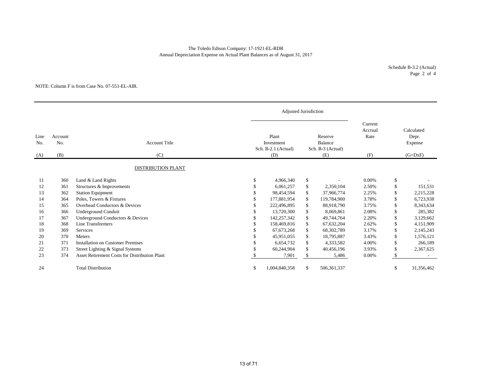### Annual Depreciation Expense on Actual Plant Balances as of August 31, 2017 The Toledo Edison Company: 17-1921-EL-RDR

Schedule B-3.2 (Actual) Page 2 of 4

### NOTE: Column F is from Case No. 07-551-EL-AIR.

|                               | <b>Adjusted Jurisdiction</b> |                                               |    |                                            |              |             |                            |                                |            |
|-------------------------------|------------------------------|-----------------------------------------------|----|--------------------------------------------|--------------|-------------|----------------------------|--------------------------------|------------|
| Line<br>Account<br>No.<br>No. |                              | <b>Account Title</b>                          |    | Plant<br>Investment<br>Sch. B-2.1 (Actual) |              |             | Current<br>Accrual<br>Rate | Calculated<br>Depr.<br>Expense |            |
| (A)                           | (B)                          | (C)                                           |    | (D)                                        |              | (E)         | (F)                        |                                | $(G=DxF)$  |
|                               |                              | <b>DISTRIBUTION PLANT</b>                     |    |                                            |              |             |                            |                                |            |
| 11                            | 360                          | Land & Land Rights                            | £. | 4,966,340                                  | \$           |             | 0.00%                      | \$                             |            |
| 12                            | 361                          | Structures & Improvements                     |    | 6.061.257                                  | $\mathbb{S}$ | 2,350,104   | 2.50%                      | \$                             | 151,531    |
| 13                            | 362                          | <b>Station Equipment</b>                      |    | 98,454,594                                 | \$           | 37,966,774  | 2.25%                      | \$                             | 2,215,228  |
| 14                            | 364                          | Poles, Towers & Fixtures                      |    | 177,881,954                                | \$           | 119,784,900 | 3.78%                      | <sup>\$</sup>                  | 6,723,938  |
| 15                            | 365                          | Overhead Conductors & Devices                 |    | 222,496,895                                | \$           | 88,918,790  | 3.75%                      |                                | 8,343,634  |
| 16                            | 366                          | <b>Underground Conduit</b>                    |    | 13,720,300                                 | \$           | 8,069,861   | 2.08%                      | \$.                            | 285,382    |
| 17                            | 367                          | Underground Conductors & Devices              |    | 142,257,342                                | \$           | 49,744,764  | 2.20%                      | \$                             | 3,129,662  |
| 18                            | 368                          | Line Transformers                             |    | 158,469,816                                | \$           | 67,632,204  | 2.62%                      | \$                             | 4,151,909  |
| 19                            | 369                          | Services                                      |    | 67, 673, 268                               | \$           | 68,302,789  | 3.17%                      |                                | 2,145,243  |
| 20                            | 370                          | Meters                                        |    | 45,951,055                                 | \$           | 18,795,887  | 3.43%                      | £.                             | 1,576,121  |
| 21                            | 371                          | <b>Installation on Customer Premises</b>      |    | 6.654.732                                  | \$           | 4,333,582   | 4.00%                      | \$                             | 266,189    |
| 22                            | 373                          | Street Lighting & Signal Systems              |    | 60,244,904                                 | \$           | 40,456,196  | 3.93%                      | \$                             | 2,367,625  |
| 23                            | 374                          | Asset Retirement Costs for Distribution Plant |    | 7,901                                      | \$.          | 5,486       | 0.00%                      |                                |            |
| 24                            |                              | <b>Total Distribution</b>                     | S  | 1,004,840,358                              | \$           | 506,361,337 |                            | \$                             | 31,356,462 |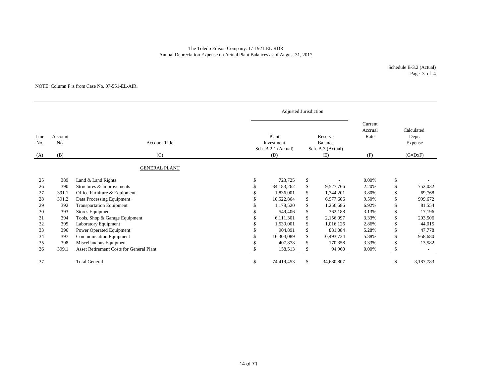### The Toledo Edison Company: 17-1921-EL-RDR Annual Depreciation Expense on Actual Plant Balances as of August 31, 2017

Schedule B-3.2 (Actual) Page 3 of 4

### NOTE: Column F is from Case No. 07-551-EL-AIR.

|                    |                       |                                                 |    | Adjusted Jurisdiction                             |    |                                                       |                                   |                                             |           |
|--------------------|-----------------------|-------------------------------------------------|----|---------------------------------------------------|----|-------------------------------------------------------|-----------------------------------|---------------------------------------------|-----------|
| Line<br>No.<br>(A) | Account<br>No.<br>(B) | <b>Account Title</b><br>(C)                     |    | Plant<br>Investment<br>Sch. B-2.1 (Actual)<br>(D) |    | Reserve<br><b>Balance</b><br>Sch. B-3 (Actual)<br>(E) | Current<br>Accrual<br>Rate<br>(F) | Calculated<br>Depr.<br>Expense<br>$(G=DxF)$ |           |
|                    |                       |                                                 |    |                                                   |    |                                                       |                                   |                                             |           |
|                    |                       | <b>GENERAL PLANT</b>                            |    |                                                   |    |                                                       |                                   |                                             |           |
| 25                 | 389                   | Land & Land Rights                              | \$ | 723,725                                           | \$ |                                                       | 0.00%                             | \$                                          |           |
| 26                 | 390                   | Structures & Improvements                       |    | 34,183,262                                        | \$ | 9,527,766                                             | 2.20%                             | \$                                          | 752,032   |
| 27                 | 391.1                 | Office Furniture & Equipment                    |    | 1,836,001                                         | \$ | 1,744,201                                             | 3.80%                             | \$                                          | 69,768    |
| 28                 | 391.2                 | Data Processing Equipment                       |    | 10,522,864                                        | \$ | 6,977,606                                             | 9.50%                             | \$                                          | 999,672   |
| 29                 | 392                   | <b>Transportation Equipment</b>                 |    | 1,178,520                                         | \$ | 1,256,686                                             | 6.92%                             | \$.                                         | 81,554    |
| 30                 | 393                   | <b>Stores Equipment</b>                         |    | 549,406                                           | \$ | 362,188                                               | 3.13%                             | \$                                          | 17,196    |
| 31                 | 394                   | Tools, Shop & Garage Equipment                  |    | 6,111,301                                         | \$ | 2,156,097                                             | 3.33%                             | \$                                          | 203,506   |
| 32                 | 395                   | Laboratory Equipment                            |    | 1,539,001                                         | \$ | 1,016,126                                             | 2.86%                             | \$                                          | 44,015    |
| 33                 | 396                   | Power Operated Equipment                        |    | 904.891                                           | \$ | 881,084                                               | 5.28%                             | \$                                          | 47,778    |
| 34                 | 397                   | <b>Communication Equipment</b>                  |    | 16,304,089                                        | \$ | 10,493,734                                            | 5.88%                             | \$                                          | 958,680   |
| 35                 | 398                   | Miscellaneous Equipment                         |    | 407,878                                           | \$ | 170,358                                               | 3.33%                             | \$                                          | 13,582    |
| 36                 | 399.1                 | <b>Asset Retirement Costs for General Plant</b> |    | 158,513                                           | S  | 94,960                                                | 0.00%                             |                                             |           |
| 37                 |                       | <b>Total General</b>                            | \$ | 74,419,453                                        | \$ | 34,680,807                                            |                                   | \$                                          | 3,187,783 |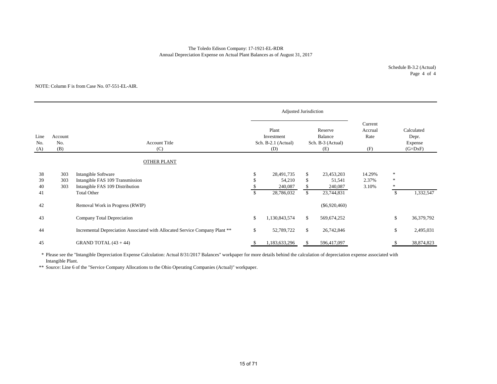### Annual Depreciation Expense on Actual Plant Balances as of August 31, 2017 The Toledo Edison Company: 17-1921-EL-RDR

Schedule B-3.2 (Actual) Page 4 of 4

#### NOTE: Column F is from Case No. 07-551-EL-AIR.

|                                             |                   |                                                                                                                 |                                     | Adjusted Jurisdiction                             |                                |                                                |                                   |                                   |                                             |
|---------------------------------------------|-------------------|-----------------------------------------------------------------------------------------------------------------|-------------------------------------|---------------------------------------------------|--------------------------------|------------------------------------------------|-----------------------------------|-----------------------------------|---------------------------------------------|
| Line<br>Account<br>No.<br>No.<br>(B)<br>(A) |                   | <b>Account Title</b><br>(C)                                                                                     |                                     | Plant<br>Investment<br>Sch. B-2.1 (Actual)<br>(D) |                                | Reserve<br>Balance<br>Sch. B-3 (Actual)<br>(E) | Current<br>Accrual<br>Rate<br>(F) |                                   | Calculated<br>Depr.<br>Expense<br>$(G=DxF)$ |
|                                             |                   | <b>OTHER PLANT</b>                                                                                              |                                     |                                                   |                                |                                                |                                   |                                   |                                             |
| 38<br>39<br>40<br>41                        | 303<br>303<br>303 | Intangible Software<br>Intangible FAS 109 Transmission<br>Intangible FAS 109 Distribution<br><b>Total Other</b> | <sup>\$</sup><br>\$<br>$\mathbb{S}$ | 28,491,735<br>54,210<br>240,087<br>28,786,032     | \$<br>\$<br>\$<br>$\mathbb{S}$ | 23,453,203<br>51,541<br>240,087<br>23,744,831  | 14.29%<br>2.37%<br>3.10%          | $\ast$<br>$\ast$<br><sup>\$</sup> | 1,332,547                                   |
| 42                                          |                   | Removal Work in Progress (RWIP)                                                                                 |                                     |                                                   |                                | $(\$6,920,460)$                                |                                   |                                   |                                             |
| 43                                          |                   | Company Total Depreciation                                                                                      | \$                                  | 1,130,843,574                                     | \$                             | 569,674,252                                    |                                   | \$                                | 36,379,792                                  |
| 44                                          |                   | Incremental Depreciation Associated with Allocated Service Company Plant **                                     | \$                                  | 52,789,722                                        | \$                             | 26,742,846                                     |                                   | \$                                | 2,495,031                                   |
| 45                                          |                   | GRAND TOTAL $(43 + 44)$                                                                                         | S.                                  | 1,183,633,296                                     | \$                             | 596,417,097                                    |                                   |                                   | 38,874,823                                  |

\* Please see the "Intangible Depreciation Expense Calculation: Actual 8/31/2017 Balances" workpaper for more details behind the calculation of depreciation expense associated with Intangible Plant.

\*\* Source: Line 6 of the "Service Company Allocations to the Ohio Operating Companies (Actual)" workpaper.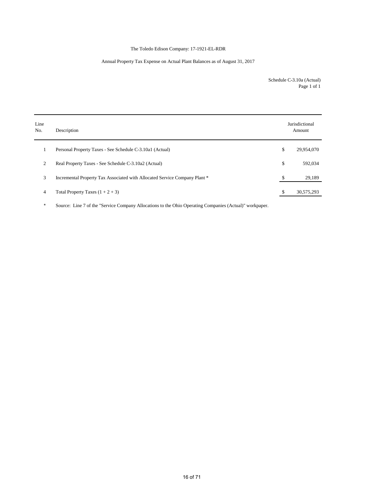### The Toledo Edison Company: 17-1921-EL-RDR

### Annual Property Tax Expense on Actual Plant Balances as of August 31, 2017

Schedule C-3.10a (Actual) Page 1 of 1

| Line<br>No. | Description                                                                | Jurisdictional<br>Amount |
|-------------|----------------------------------------------------------------------------|--------------------------|
|             | Personal Property Taxes - See Schedule C-3.10a1 (Actual)                   | \$<br>29,954,070         |
| 2           | Real Property Taxes - See Schedule C-3.10a2 (Actual)                       | \$<br>592,034            |
| 3           | Incremental Property Tax Associated with Allocated Service Company Plant * | 29,189                   |
| 4           | Total Property Taxes $(1 + 2 + 3)$                                         | 30,575,293               |

\* Source: Line 7 of the "Service Company Allocations to the Ohio Operating Companies (Actual)" workpaper.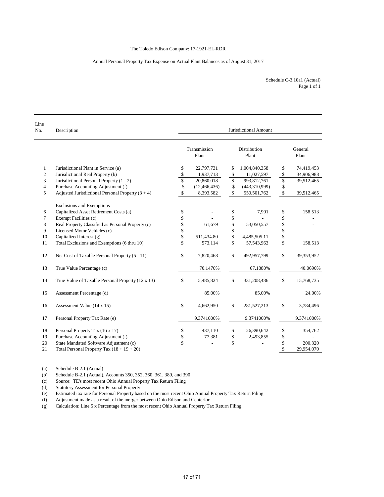### Annual Personal Property Tax Expense on Actual Plant Balances as of August 31, 2017

| Schedule C-3.10a1 (Actual) |
|----------------------------|
| Page 1 of 1                |

| Line<br>No.    | Description                                         | Jurisdictional Amount |                       |    |                       |                      |                  |  |  |  |
|----------------|-----------------------------------------------------|-----------------------|-----------------------|----|-----------------------|----------------------|------------------|--|--|--|
|                |                                                     |                       | Transmission<br>Plant |    | Distribution<br>Plant |                      | General<br>Plant |  |  |  |
| $\mathbf{1}$   | Jurisdictional Plant in Service (a)                 | \$                    | 22,797,731            | \$ | 1,004,840,358         | \$                   | 74,419,453       |  |  |  |
| $\overline{c}$ | Jurisdictional Real Property (b)                    | \$                    | 1,937,713             | \$ | 11,027,597            | \$                   | 34,906,988       |  |  |  |
| 3              | Jurisdictional Personal Property (1 - 2)            | \$                    | 20,860,018            | \$ | 993,812,761           | $\sqrt{\ }$          | 39,512,465       |  |  |  |
| $\overline{4}$ | Purchase Accounting Adjustment (f)                  | \$                    | (12, 466, 436)        | \$ | (443,310,999)         | \$                   |                  |  |  |  |
| 5              | Adjusted Jurisdictional Personal Property $(3 + 4)$ | \$                    | 8,393,582             | \$ | 550,501,762           | $\sqrt{\frac{2}{3}}$ | 39,512,465       |  |  |  |
|                | <b>Exclusions and Exemptions</b>                    |                       |                       |    |                       |                      |                  |  |  |  |
| 6              | Capitalized Asset Retirement Costs (a)              | \$                    |                       | \$ | 7,901                 | \$                   | 158,513          |  |  |  |
| 7              | Exempt Facilities (c)                               | \$                    |                       | \$ |                       | \$                   |                  |  |  |  |
| 8              | Real Property Classified as Personal Property (c)   | \$                    | 61,679                | \$ | 53,050,557            | \$                   |                  |  |  |  |
| 9              | Licensed Motor Vehicles (c)                         | \$                    |                       | \$ |                       | \$                   |                  |  |  |  |
| 10             | Capitalized Interest (g)                            | \$                    | 511,434.80            | \$ | 4,485,505.11          | \$                   |                  |  |  |  |
| 11             | Total Exclusions and Exemptions (6 thru 10)         | \$                    | 573,114               | \$ | 57,543,963            | \$                   | 158,513          |  |  |  |
| 12             | Net Cost of Taxable Personal Property (5 - 11)      | \$                    | 7,820,468             | \$ | 492,957,799           | \$                   | 39,353,952       |  |  |  |
| 13             | True Value Percentage (c)                           |                       | 70.1470%              |    | 67.1880%              |                      | 40.0690%         |  |  |  |
| 14             | True Value of Taxable Personal Property (12 x 13)   | \$                    | 5,485,824             | \$ | 331,208,486           | \$                   | 15,768,735       |  |  |  |
| 15             | Assessment Percentage (d)                           |                       | 85.00%                |    | 85.00%                |                      | 24.00%           |  |  |  |
| 16             | Assessment Value (14 x 15)                          | \$                    | 4,662,950             | \$ | 281,527,213           | \$                   | 3,784,496        |  |  |  |
| 17             | Personal Property Tax Rate (e)                      |                       | 9.3741000%            |    | 9.3741000%            |                      | 9.3741000%       |  |  |  |
| 18             | Personal Property Tax (16 x 17)                     | \$                    | 437,110               | \$ | 26,390,642            | \$                   | 354,762          |  |  |  |
| 19             | Purchase Accounting Adjustment (f)                  | \$                    | 77,381                | \$ | 2,493,855             | \$                   |                  |  |  |  |
| 20             | State Mandated Software Adjustment (c)              | \$                    |                       | \$ |                       | \$                   | 200,320          |  |  |  |
| 21             | Total Personal Property Tax $(18 + 19 + 20)$        |                       |                       |    |                       | $\mathbb{S}$         | 29,954,070       |  |  |  |

(a) Schedule B-2.1 (Actual)

(b) Schedule B-2.1 (Actual), Accounts 350, 352, 360, 361, 389, and 390

(c) Source: TE's most recent Ohio Annual Property Tax Return Filing

(d) Statutory Assessment for Personal Property

(e) Estimated tax rate for Personal Property based on the most recent Ohio Annual Property Tax Return Filing

(f) Adjustment made as a result of the merger between Ohio Edison and Centerior

(g) Calculation: Line 5 x Percentage from the most recent Ohio Annual Property Tax Return Filing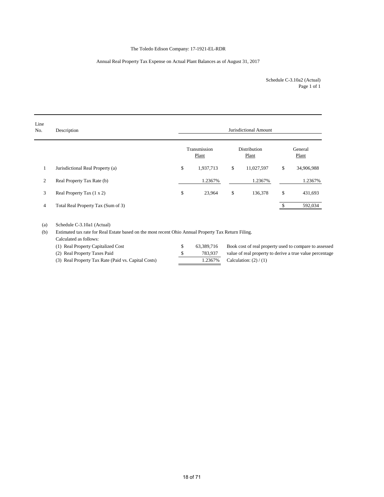### The Toledo Edison Company: 17-1921-EL-RDR

### Annual Real Property Tax Expense on Actual Plant Balances as of August 31, 2017

Page 1 of 1 Schedule C-3.10a2 (Actual)

| Line<br>No.    | Description                        |                       | Jurisdictional Amount |                  |
|----------------|------------------------------------|-----------------------|-----------------------|------------------|
|                |                                    | Transmission<br>Plant | Distribution<br>Plant | General<br>Plant |
| 1              | Jurisdictional Real Property (a)   | \$<br>1,937,713       | \$<br>11,027,597      | \$<br>34,906,988 |
| 2              | Real Property Tax Rate (b)         | 1.2367%               | 1.2367%               | 1.2367%          |
| 3              | Real Property Tax (1 x 2)          | \$<br>23,964          | \$<br>136,378         | \$<br>431,693    |
| $\overline{4}$ | Total Real Property Tax (Sum of 3) |                       |                       | 592,034          |

(a) Schedule C-3.10a1 (Actual)

(b) Estimated tax rate for Real Estate based on the most recent Ohio Annual Property Tax Return Filing.

Calculated as follows:

| (1) Real Property Capitalized Cost                  | 63.389.716 | Book cost of real property used to compare to assessed   |
|-----------------------------------------------------|------------|----------------------------------------------------------|
| (2) Real Property Taxes Paid                        | 783.937    | value of real property to derive a true value percentage |
| (3) Real Property Tax Rate (Paid vs. Capital Costs) |            | 1.2367\% Calculation: $(2) / (1)$                        |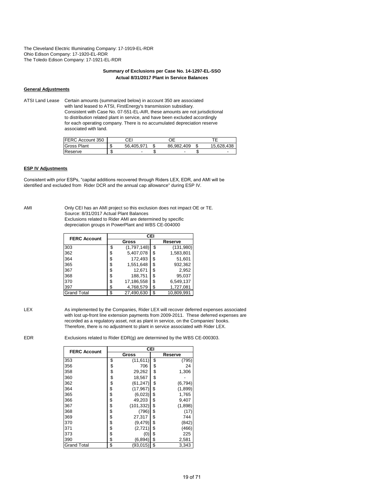The Cleveland Electric Illuminating Company: 17-1919-EL-RDR Ohio Edison Company: 17-1920-EL-RDR The Toledo Edison Company: 17-1921-EL-RDR

### **Summary of Exclusions per Case No. 14-1297-EL-SSO Actual 8/31/2017 Plant in Service Balances**

#### **General Adjustments**

ATSI Land Lease Certain amounts (summarized below) in account 350 are associated with land leased to ATSI, FirstEnergy's transmission subsidiary. Consistent with Case No. 07-551-EL-AIR, these amounts are not jurisdictional to distribution related plant in service, and have been excluded accordingly for each operating company. There is no accumulated depreciation reserve associated with land.

| FERC Account 350 |        | CEI                      |                          |    |                 |
|------------------|--------|--------------------------|--------------------------|----|-----------------|
| Gross Plant      | ה.     | 56.405.971               | 86.982.409               | ъD | 5.628.438<br>15 |
| Reserve          | o<br>æ | $\overline{\phantom{0}}$ | $\overline{\phantom{0}}$ |    |                 |

### **ESP IV Adjustments**

Consistent with prior ESPs, "capital additions recovered through Riders LEX, EDR, and AMI will be identified and excluded from Rider DCR and the annual cap allowance" during ESP IV.

AMI Only CEI has an AMI project so this exclusion does not impact OE or TE. Source: 8/31/2017 Actual Plant Balances Exclusions related to Rider AMI are determined by specific depreciation groups in PowerPlant and WBS CE-004000

| <b>FERC Account</b> |    | CEI         |         |            |  |  |  |  |  |  |  |  |
|---------------------|----|-------------|---------|------------|--|--|--|--|--|--|--|--|
|                     |    | Gross       | Reserve |            |  |  |  |  |  |  |  |  |
| 303                 | \$ | (1,797,148) | \$      | (131,980)  |  |  |  |  |  |  |  |  |
| 362                 | \$ | 5,407,078   | \$      | 1,583,801  |  |  |  |  |  |  |  |  |
| 364                 | \$ | 172,493     | \$      | 51,601     |  |  |  |  |  |  |  |  |
| 365                 | \$ | 1,551,648   | \$      | 932,362    |  |  |  |  |  |  |  |  |
| 367                 | \$ | 12,671      | \$      | 2,952      |  |  |  |  |  |  |  |  |
| 368                 | \$ | 188,751     | \$      | 95,037     |  |  |  |  |  |  |  |  |
| 370                 | S  | 17,186,558  | \$      | 6,549,137  |  |  |  |  |  |  |  |  |
| 397                 | \$ | 4,768,579   | \$      | 1,727,081  |  |  |  |  |  |  |  |  |
| <b>Grand Total</b>  | \$ | 27,490,630  | \$      | 10.809.991 |  |  |  |  |  |  |  |  |

LEX As implemented by the Companies, Rider LEX will recover deferred expenses associated with lost up-front line extension payments from 2009-2011. These deferred expenses are recorded as a regulatory asset, not as plant in service, on the Companies' books. Therefore, there is no adjustment to plant in service associated with Rider LEX.

EDR Exclusions related to Rider EDR(g) are determined by the WBS CE-000303.

| <b>FERC Account</b> | CEI              |    |          |  |  |  |  |  |  |  |
|---------------------|------------------|----|----------|--|--|--|--|--|--|--|
|                     | Gross            |    | Reserve  |  |  |  |  |  |  |  |
| 353                 | \$<br>(11, 611)  | \$ | (795)    |  |  |  |  |  |  |  |
| 356                 | \$<br>706        | \$ | 24       |  |  |  |  |  |  |  |
| 358                 | \$<br>29,262     | \$ | 1,306    |  |  |  |  |  |  |  |
| 360                 | \$<br>18,567     | \$ |          |  |  |  |  |  |  |  |
| 362                 | \$<br>(61, 247)  | \$ | (6, 794) |  |  |  |  |  |  |  |
| 364                 | \$<br>(17, 967)  | \$ | (1,899)  |  |  |  |  |  |  |  |
| 365                 | \$<br>(6,023)    | \$ | 1,765    |  |  |  |  |  |  |  |
| 366                 | \$<br>49,203     | \$ | 9,407    |  |  |  |  |  |  |  |
| 367                 | \$<br>(101, 332) | \$ | (1,898)  |  |  |  |  |  |  |  |
| 368                 | \$<br>(796)      | \$ | (17)     |  |  |  |  |  |  |  |
| 369                 | \$<br>27,317     | \$ | 744      |  |  |  |  |  |  |  |
| 370                 | \$<br>(9, 479)   | \$ | (842)    |  |  |  |  |  |  |  |
| 371                 | \$<br>(2,721)    | \$ | (466)    |  |  |  |  |  |  |  |
| 373                 | \$<br>(0)        | \$ | 225      |  |  |  |  |  |  |  |
| 390                 | \$<br>(6, 894)   | \$ | 2,581    |  |  |  |  |  |  |  |
| <b>Grand Total</b>  | \$<br>(93, 015)  | \$ | 3,343    |  |  |  |  |  |  |  |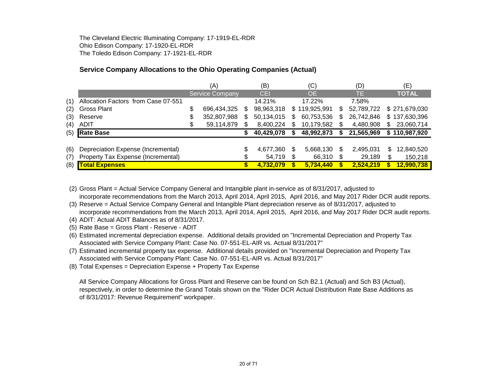The Cleveland Electric Illuminating Company: 17-1919-EL-RDR Ohio Edison Company: 17-1920-EL-RDR The Toledo Edison Company: 17-1921-EL-RDR

# **Service Company Allocations to the Ohio Operating Companies (Actual)**

|     |                                     |    | (A)                    |     | (B)        |      | (C)           | (D) |            |     | (E)                         |
|-----|-------------------------------------|----|------------------------|-----|------------|------|---------------|-----|------------|-----|-----------------------------|
|     |                                     |    | <b>Service Company</b> |     | <b>CEI</b> |      | <b>OE</b>     |     | TE         |     | <b>TOTAL</b>                |
| (1) | Allocation Factors from Case 07-551 |    |                        |     | 14.21%     |      | 17.22%        |     | 7.58%      |     |                             |
| (2) | Gross Plant                         | \$ | 696,434,325            | S.  | 98,963,318 |      | \$119,925,991 | S   | 52,789,722 |     | \$271,679,030               |
| (3) | Reserve                             | \$ | 352,807,988            | SS. | 50,134,015 | S    | 60,753,536    | S   | 26.742.846 |     | \$137,630,396               |
| (4) | <b>ADIT</b>                         | S  | 59,114,879             |     | 8,400,224  |      | 10,179,582    | S   | 4,480,908  | \$. | 23,060,714                  |
| (5) | <b>Rate Base</b>                    |    |                        |     | 40,429,078 |      | 48,992,873    |     | 21,565,969 |     | $\overline{\$}$ 110,987,920 |
|     |                                     |    |                        |     |            |      |               |     |            |     |                             |
| (6) | Depreciation Expense (Incremental)  |    |                        | J   | 4,677,360  | S    | 5,668,130     | S   | 2,495,031  | \$  | 12,840,520                  |
| (7) | Property Tax Expense (Incremental)  |    |                        |     | 54,719     | - \$ | 66,310        |     | 29,189     | \$  | 150,218                     |
| (8) | <b>Total Expenses</b>               |    |                        |     | 4,732,079  |      | 5,734,440     |     | 2,524,219  |     | 12,990,738                  |

(2) Gross Plant = Actual Service Company General and Intangible plant in-service as of 8/31/2017, adjusted to incorporate recommendations from the March 2013, April 2014, April 2015, April 2016, and May 2017 Rider DCR audit reports.

(3) Reserve = Actual Service Company General and Intangible Plant depreciation reserve as of 8/31/2017, adjusted to incorporate recommendations from the March 2013, April 2014, April 2015, April 2016, and May 2017 Rider DCR audit reports.

(4) ADIT: Actual ADIT Balances as of 8/31/2017.

(5) Rate Base = Gross Plant - Reserve - ADIT

(6) Estimated incremental depreciation expense. Additional details provided on "Incremental Depreciation and Property Tax Associated with Service Company Plant: Case No. 07-551-EL-AIR vs. Actual 8/31/2017"

(7) Estimated incremental property tax expense. Additional details provided on "Incremental Depreciation and Property Tax Associated with Service Company Plant: Case No. 07-551-EL-AIR vs. Actual 8/31/2017"

(8) Total Expenses = Depreciation Expense + Property Tax Expense

All Service Company Allocations for Gross Plant and Reserve can be found on Sch B2.1 (Actual) and Sch B3 (Actual), respectively, in order to determine the Grand Totals shown on the "Rider DCR Actual Distribution Rate Base Additions as of 8/31/2017: Revenue Requirement" workpaper.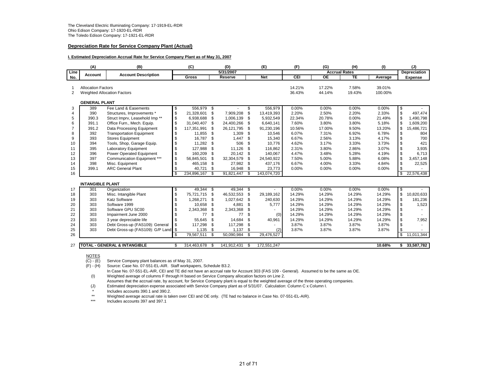#### **Depreciation Rate for Service Company Plant (Actual)**

#### **I. Estimated Depreciation Accrual Rate for Service Company Plant as of May 31, 2007**

|                | (A)                       | (B)                                       |     | (C)         |      | (D)         |     | (E)         | (F)    | (G)                  | (H)    | (1)     |                          | (J)                 |
|----------------|---------------------------|-------------------------------------------|-----|-------------|------|-------------|-----|-------------|--------|----------------------|--------|---------|--------------------------|---------------------|
| Line           | Account                   | <b>Account Description</b>                |     |             |      | 5/31/2007   |     |             |        | <b>Accrual Rates</b> |        |         |                          | <b>Depreciation</b> |
| No.            |                           |                                           |     | Gross       |      | Reserve     |     | <b>Net</b>  | CEI    | <b>OE</b>            | TE     | Average |                          | <b>Expense</b>      |
|                | <b>Allocation Factors</b> |                                           |     |             |      |             |     |             | 14.21% | 17.22%               | 7.58%  | 39.01%  |                          |                     |
| $\overline{2}$ |                           | Weighted Allocation Factors               |     |             |      |             |     |             | 36.43% | 44.14%               | 19.43% | 100.00% |                          |                     |
|                |                           |                                           |     |             |      |             |     |             |        |                      |        |         |                          |                     |
|                | <b>GENERAL PLANT</b>      |                                           |     |             |      |             |     |             |        |                      |        |         |                          |                     |
| 3              | 389                       | Fee Land & Easements                      | \$  | 556,979 \$  |      |             | \$  | 556,979     | 0.00%  | 0.00%                | 0.00%  | 0.00%   | \$                       |                     |
| 4              | 390                       | Structures, Improvements *                | \$  | 21.328.601  | \$   | 7.909.208   | \$  | 13.419.393  | 2.20%  | 2.50%                | 2.20%  | 2.33%   | \$                       | 497.474             |
| 5              | 390.3                     | Struct Imprv, Leasehold Imp <sup>**</sup> | \$  | 6,938,688   | \$   | 1,006,139   | \$  | 5,932,549   | 22.34% | 20.78%               | 0.00%  | 21.49%  | \$                       | 1,490,798           |
| 6              | 391.1                     | Office Furn., Mech. Equip.                | \$  | 31.040.407  | \$   | 24.400.266  | \$  | 6.640.141   | 7.60%  | 3.80%                | 3.80%  | 5.18%   | \$                       | 1.609.200           |
| 7              | 391.2                     | Data Processing Equipment                 | \$  | 117,351,991 | \$   | 26,121,795  | \$  | 91,230,196  | 10.56% | 17.00%               | 9.50%  | 13.20%  | \$                       | 15,486,721          |
| 8              | 392                       | <b>Transportation Equipment</b>           | \$  | 11,855      | \$.  | 1,309       | \$  | 10,546      | 6.07%  | 7.31%                | 6.92%  | 6.78%   | \$                       | 804                 |
| 9              | 393                       | <b>Stores Equipment</b>                   | \$  | 16,787      | \$   | 1,447       | \$  | 15,340      | 6.67%  | 2.56%                | 3.13%  | 4.17%   | \$                       | 700                 |
| 10             | 394                       | Tools, Shop, Garage Equip.                | \$  | 11,282      | \$   | 506         | \$  | 10.776      | 4.62%  | 3.17%                | 3.33%  | 3.73%   | \$                       | 421                 |
| 11             | 395                       | Laboratory Equipment                      | \$  | 127,988     | \$   | 11,126      | \$  | 116,862     | 2.31%  | 3.80%                | 2.86%  | 3.07%   | \$                       | 3,935               |
| 12             | 396                       | Power Operated Equipment                  | \$  | 160,209     | \$   | 20,142      | \$  | 140.067     | 4.47%  | 3.48%                | 5.28%  | 4.19%   | \$                       | 6,713               |
| 13             | 397                       | Communication Equipment ***               | \$  | 56,845,501  | \$   | 32,304,579  | \$  | 24,540,922  | 7.50%  | 5.00%                | 5.88%  | 6.08%   | \$                       | 3,457,148           |
| 14             | 398                       | Misc. Equipment                           | \$  | 465,158     | \$   | 27,982      | -\$ | 437,176     | 6.67%  | 4.00%                | 3.33%  | 4.84%   | \$                       | 22,525              |
| 15             | 399.1                     | <b>ARC General Plant</b>                  | \$  | 40,721      | \$   | 16,948      | \$  | 23,773      | 0.00%  | 0.00%                | 0.00%  | 0.00%   | \$                       |                     |
| 16             |                           |                                           | \$. | 234,896,167 | \$   | 91,821,447  | -S  | 143,074,720 |        |                      |        |         | $\overline{\mathbf{s}}$  | 22,576,438          |
|                |                           |                                           |     |             |      |             |     |             |        |                      |        |         |                          |                     |
|                | <b>INTANGIBLE PLANT</b>   |                                           |     |             |      |             |     |             |        |                      |        |         |                          |                     |
| 17             | 301                       | Organization                              | \$  | $49,344$ \$ |      | 49,344      | -\$ |             | 0.00%  | 0.00%                | 0.00%  | 0.00%   | \$                       |                     |
| 18             | 303                       | Misc. Intangible Plant                    | \$  | 75,721,715  | \$   | 46,532,553  | \$  | 29,189,162  | 14.29% | 14.29%               | 14.29% | 14.29%  | \$                       | 10,820,633          |
| 19             | 303                       | <b>Katz Software</b>                      | \$  | 1,268,271   | \$   | 1,027,642   | \$  | 240,630     | 14.29% | 14.29%               | 14.29% | 14.29%  | \$                       | 181,236             |
| 20             | 303                       | Software 1999                             | \$  | 10,658      | \$   | 4,881       | \$  | 5,777       | 14.29% | 14.29%               | 14.29% | 14.29%  | \$                       | 1,523               |
| 21             | 303                       | Software GPU SC00                         | \$  | 2,343,368   | \$   | 2,343,368   | \$  |             | 14.29% | 14.29%               | 14.29% | 14.29%  | \$                       |                     |
| 22             | 303                       | Impairment June 2000                      |     | 77          | \$   | 77          | \$  | (0)         | 14.29% | 14.29%               | 14.29% | 14.29%  | \$                       |                     |
| 23             | 303                       | 3 year depreciable life                   | \$  | 55,645      | \$   | 14,684      | \$  | 40,961      | 14.29% | 14.29%               | 14.29% | 14.29%  | \$                       | 7,952               |
| 24             | 303                       | Debt Gross-up (FAS109): General           | \$  | 117,298     | \$   | 117,298     | \$  |             | 3.87%  | 3.87%                | 3.87%  | 3.87%   | \$                       |                     |
| 25             | 303                       | Debt Gross-up (FAS109): G/P Land \$       |     | 1,135       | \$   | 1,137       | \$  | (2)         | 3.87%  | 3.87%                | 3.87%  | 3.87%   | \$                       |                     |
| 26             |                           |                                           | \$  | 79,567,511  | \$   | 50,090,984  | \$  | 29,476,527  |        |                      |        |         | $\overline{\mathcal{S}}$ | 11,011,344          |
|                |                           |                                           |     |             |      |             |     |             |        |                      |        |         |                          |                     |
| 27             |                           | <b>TOTAL - GENERAL &amp; INTANGIBLE</b>   | \$  | 314,463,678 | - \$ | 141,912,431 | \$  | 172,551,247 |        |                      |        | 10.68%  |                          | \$33,587,782        |

NOTES<br>(C) - (E)  $\overline{(C)}$  - (E) Service Company plant balances as of May 31, 2007.<br>(F) - (H) Source: Case No. 07-551-EL-AIR. Staff workpapers, \$

Source: Case No. 07-551-EL-AIR. Staff workpapers, Schedule B3.2.

In Case No. 07-551-EL-AIR, CEI and TE did not have an accrual rate for Account 303 (FAS 109 - General). Assumed to be the same as OE.

(I) Weighted average of columns F through H based on Service Company allocation factors on Line 2.

Assumes that the accrual rate, by account, for Service Company plant is equal to the weighted average of the three operating companies. (J) Estimated depreciation expense associated with Service Company plant as of 5/31/07. Calculation: Column C x Column I.

\* Includes accounts 390.1 and 390.2.<br>\*\* Weighted average accrual rate is taken \*\* Weighted average accrual rate is taken over CEI and OE only. (TE had no balance in Case No. 07-551-EL-AIR).<br>\*\*\* Proludes accounts 397 and 397 1.

Includes accounts 397 and 397.1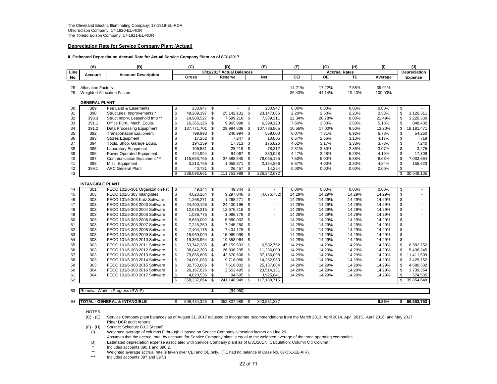#### **Depreciation Rate for Service Company Plant (Actual)**

#### **II. Estimated Depreciation Accrual Rate for Actual Service Company Plant as of 8/31/2017**

|          | (A)                       | (B)                                                          |               | (C)                      |          | (D)                       |          | (E)                      | (F)              | (G)              | (H)                  | (1)              |          | (J)                 |
|----------|---------------------------|--------------------------------------------------------------|---------------|--------------------------|----------|---------------------------|----------|--------------------------|------------------|------------------|----------------------|------------------|----------|---------------------|
| Line     | <b>Account</b>            | <b>Account Description</b>                                   |               |                          |          | 8/31/2017 Actual Balances |          |                          |                  |                  | <b>Accrual Rates</b> |                  |          | <b>Depreciation</b> |
| No.      |                           |                                                              |               | Gross                    |          | Reserve                   |          | <b>Net</b>               | CEI              | $\overline{OE}$  | TE                   | Average          |          | Expense             |
| 28       | <b>Allocation Factors</b> |                                                              |               |                          |          |                           |          |                          | 14.21%           | 17.22%           | 7.58%                | 39.01%           |          |                     |
| 29       |                           | <b>Weighted Allocation Factors</b>                           |               |                          |          |                           |          |                          | 36.43%           | 44.14%           | 19.43%               | 100.00%          |          |                     |
|          |                           |                                                              |               |                          |          |                           |          |                          |                  |                  |                      |                  |          |                     |
|          | <b>GENERAL PLANT</b>      |                                                              |               |                          |          |                           |          |                          |                  |                  |                      |                  |          |                     |
| 30       | 389                       | Fee Land & Easements                                         | \$            | 230,947 \$               |          |                           | \$       | 230,947                  | 0.00%            | 0.00%            | 0.00%                | 0.00%            | \$       |                     |
| 31       | 390                       | Structures, Improvements *                                   | \$            | 48,289,197               | \$       | 25,142,131                | \$       | 23,147,066               | 2.20%            | 2.50%            | 2.20%                | 2.33%            | \$       | 1,126,311           |
| 32       | 390.3                     | Struct Imprv, Leasehold Imp <sup>**</sup>                    | \$            | 14,988,527               | \$       | 7,599,216                 | \$       | 7,389,311                | 22.34%           | 20.78%           | 0.00%                | 21.49%           | \$       | 3,220,330           |
| 33       | 391.1                     | Office Furn., Mech. Equip.                                   | \$            | 16,365,126               | \$       | 9,965,998                 | \$       | 6,399,128                | 7.60%            | 3.80%            | 3.80%                | 5.18%            | \$       | 848,402             |
| 34       | 391.2                     | Data Processing Equipment                                    | \$            | 137,771,701              | \$       | 29,984,836                | \$       | 107,786,865              | 10.56%           | 17.00%           | 9.50%                | 13.20%           | \$       | 18,181,471          |
| 35       | 392                       | <b>Transportation Equipment</b>                              | \$            | 799,993                  | \$       | 240,994                   | \$       | 559,000                  | 6.07%            | 7.31%            | 6.92%                | 6.78%            | \$       | 54,260              |
| 36       | 393<br>394                | <b>Stores Equipment</b>                                      | \$            | 17,252<br>194,139        | \$<br>\$ | 7,247                     | \$       | 10,005                   | 6.67%            | 2.56%<br>3.17%   | 3.13%<br>3.33%       | 4.17%<br>3.73%   | \$       | 719<br>7,240        |
| 37       |                           | Tools, Shop, Garage Equip.<br>Laboratory Equipment           | \$<br>\$      | 106,531                  |          | 17,313<br>28,219          | \$       | 176,826                  | 4.62%<br>2.31%   | 3.80%            |                      | 3.07%            | \$<br>\$ | 3,275               |
| 38<br>39 | 395<br>396                | Power Operated Equipment                                     | \$            | 424,994                  | \$<br>\$ | 94,067                    | \$<br>\$ | 78,312<br>330,928        | 4.47%            | 3.48%            | 2.86%<br>5.28%       | 4.19%            | \$       | 17,809              |
| 40       | 397                       | Communication Equipment ***                                  | \$            | 115,653,765              | \$       | 37,588,640                | \$       | 78,065,125               | 7.50%            | 5.00%            | 5.88%                | 6.08%            | \$       | 7,033,664           |
| 41       | 398                       | Misc. Equipment                                              | \$            | 3,213,766                | \$       | 1,058,871                 | \$       | 2,154,896                | 6.67%            | 4.00%            | 3.33%                | 4.84%            | \$       | 155,623             |
| 42       | 399.1                     | <b>ARC General Plant</b>                                     | \$            | 40,721                   | \$       | 26,457                    | \$       | 14,264                   | 0.00%            | 0.00%            | 0.00%                | 0.00%            | \$       |                     |
| 43       |                           |                                                              | \$            | 338,096,661              | \$       | 111,753,989               | \$       | 226,342,672              |                  |                  |                      |                  | \$       | 30,649,105          |
|          |                           |                                                              |               |                          |          |                           |          |                          |                  |                  |                      |                  |          |                     |
|          | <b>INTANGIBLE PLANT</b>   |                                                              |               |                          |          |                           |          |                          |                  |                  |                      |                  |          |                     |
| 44       | 301                       | FECO 101/6-301 Organization Fst                              | \$            | 49.344                   | \$       | 49.344 \$                 |          |                          | 0.00%            | 0.00%            | 0.00%                | 0.00%            | \$       |                     |
| 45       | 303                       | FECO 101/6 303 Intangibles                                   | \$            | 4,620,264                | \$       | 9,297,046                 | \$       | (4,676,782)              | 14.29%           | 14.29%           | 14.29%               | 14.29%           | \$       |                     |
| 46       | 303                       | FECO 101/6-303 Katz Software                                 | \$            | 1,268,271                | \$       | 1,268,271                 | \$       |                          | 14.29%           | 14.29%           | 14.29%               | 14.29%           | \$       |                     |
| 47       | 303                       | FECO 101/6-303 2003 Software                                 | \$            | 24,400,196               | \$       | 24,400,196                | \$       |                          | 14.29%           | 14.29%           | 14.29%               | 14.29%           | \$       |                     |
| 48       | 303                       | FECO 101/6-303 2004 Software                                 | \$            | 12,676,215               | \$       | 12,676,215                | \$       | $\overline{\phantom{a}}$ | 14.29%           | 14.29%           | 14.29%               | 14.29%           | \$       |                     |
| 49       | 303                       | FECO 101/6-303 2005 Software                                 | \$            | 1,086,776                | \$       | 1,086,776                 | \$       | $\overline{\phantom{a}}$ | 14.29%           | 14.29%           | 14.29%               | 14.29%           | \$       |                     |
| 50       | 303                       | FECO 101/6-303 2006 Software                                 | \$            | 5,680,002                | \$       | 5,680,002                 | \$       | $\blacksquare$           | 14.29%           | 14.29%           | 14.29%               | 14.29%           | \$       |                     |
| 51       | 303                       | FECO 101/6-303 2007 Software                                 | ${\mathbb S}$ | 7,245,250                | \$       | 7,245,250                 | \$       | $\blacksquare$           | 14.29%           | 14.29%           | 14.29%               | 14.29%           | \$       |                     |
| 52       | 303                       | FECO 101/6-303 2008 Software                                 | \$            | 7,404,178                | \$       | 7,404,178                 | \$       | $\overline{\phantom{a}}$ | 14.29%           | 14.29%           | 14.29%               | 14.29%           | \$       |                     |
| 53<br>54 | 303<br>303                | FECO 101/6-303 2009 Software<br>FECO 101/6-303 2010 Software | \$<br>\$      | 15,969,099               | \$<br>\$ | 15,969,099<br>19,353,964  | \$<br>\$ | $\blacksquare$           | 14.29%<br>14.29% | 14.29%<br>14.29% | 14.29%<br>14.29%     | 14.29%<br>14.29% | \$<br>\$ |                     |
| 55       | 303                       | FECO 101/6-303 2011 Software                                 | \$            | 19,353,964<br>53,742,285 | \$       | 47,159,533                | \$       | 6,582,752                | 14.29%           | 14.29%           | 14.29%               | 14.29%           | \$       | 6,582,752           |
| 56       | 303                       | FECO 101/6-303 2012 Software                                 | \$            | 38,042,303               | \$       | 26,806,295                | \$       | 11,236,009               | 14.29%           | 14.29%           | 14.29%               | 14.29%           | \$       | 5,436,245           |
| 57       | 303                       | FECO 101/6-303 2013 Software                                 | \$            | 79,856,605               | \$       | 42,670,508                | \$       | 37,186,098               | 14.29%           | 14.29%           | 14.29%               | 14.29%           | \$       | 11,411,509          |
| 58       | 303                       | FECO 101/6-303 2014 Software                                 | \$            | 24,001,063               | \$       | 9,718,080                 | \$       | 14,282,983               | 14.29%           | 14.29%           | 14.29%               | 14.29%           | \$       | 3,429,752           |
| 59       | 303                       | FECO 101/6-303 2015 Software                                 | \$            | 32,753,686               | \$       | 7,616,002                 | \$       | 25,137,684               | 14.29%           | 14.29%           | 14.29%               | 14.29%           | \$       | 4,680,502           |
| 60       | 304                       | FECO 101/6-303 2016 Software                                 | \$            | 26,167,626               | \$       | 2,653,495                 | -\$      | 23,514,131               | 14.29%           | 14.29%           | 14.29%               | 14.29%           | \$       | 3,739,354           |
| 61       | 304                       | FECO 101/6-303 2017 Software                                 | \$            | 4,020,536                | \$       | 94,695                    | \$       | 3,925,841                | 14.29%           | 14.29%           | 14.29%               | 14.29%           | \$       | 574,535             |
| 62       |                           |                                                              | \$            | 358,337,664              | \$       | 241,148,949               | \$       | 117,188,715              |                  |                  |                      |                  | <b>S</b> | 35,854,648          |
|          |                           |                                                              |               |                          |          |                           |          |                          |                  |                  |                      |                  |          |                     |
| 63       |                           | Removal Work in Progress (RWIP)                              |               |                          | \$       | (94, 950)                 |          |                          |                  |                  |                      |                  |          |                     |
|          |                           |                                                              |               |                          |          |                           |          |                          |                  |                  |                      |                  |          |                     |
| 64       |                           | <b>TOTAL - GENERAL &amp; INTANGIBLE</b>                      | \$            | 696,434,325              | \$.      | 352.807.988               | \$       | 343.531.387              |                  |                  |                      | 9.55%            | \$       | 66,503,753          |

 $\frac{\text{NOTES}}{\text{(C)} \cdot \text{(E)}}$ Service Company plant balances as of August 31, 2017 adjusted to incorporate recommendations from the March 2013, April 2014, April 2015, April 2016, and May 2017 Rider DCR audit reports.

(F) - (H) Source: Schedule B3.2 (Actual).

 $(1)$  Weighted average of columns F through H based on Service Company allocation factors on Line 29.

- Assumes that the accrual rate, by account, for Service Company plant is equal to the weighted average of the three operating companies.
- (J) Estimated depreciation expense associated with Service Company plant as of 8/31/2017. Calculation: Column C x Column I.

\* Includes accounts 390.1 and 390.2.

\*\* Weighted average accrual rate is taken over CEI and OE only. (TE had no balance in Case No. 07-551-EL-AIR).

Includes accounts 397 and 397.1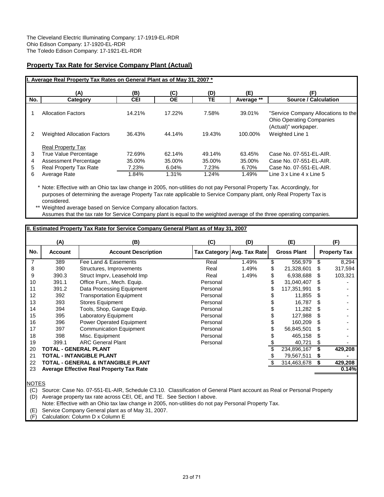## **Property Tax Rate for Service Company Plant (Actual)**

|     | I. Average Real Property Tax Rates on General Plant as of May 31, 2007 * |            |           |           |            |                                                                                                |
|-----|--------------------------------------------------------------------------|------------|-----------|-----------|------------|------------------------------------------------------------------------------------------------|
|     | (A)                                                                      | (B)        | (C)       | (D)       | (E)        | (F)                                                                                            |
| No. | Category                                                                 | <b>CEI</b> | <b>OE</b> | <b>TE</b> | Average ** | <b>Source / Calculation</b>                                                                    |
|     | <b>Allocation Factors</b>                                                | 14.21%     | 17.22%    | 7.58%     | 39.01%     | "Service Company Allocations to the<br><b>Ohio Operating Companies</b><br>(Actual)" workpaper. |
| 2   | <b>Weighted Allocation Factors</b>                                       | 36.43%     | 44.14%    | 19.43%    | 100.00%    | Weighted Line 1                                                                                |
| 3   | <b>Real Property Tax</b><br><b>True Value Percentage</b>                 | 72.69%     | 62.14%    | 49.14%    | 63.45%     | Case No. 07-551-EL-AIR.                                                                        |
|     |                                                                          |            |           |           |            |                                                                                                |
| 4   | Assessment Percentage                                                    | 35.00%     | 35.00%    | 35.00%    | 35.00%     | Case No. 07-551-EL-AIR.                                                                        |
| 5   | <b>Real Property Tax Rate</b>                                            | 7.23%      | 6.04%     | 7.23%     | 6.70%      | Case No. 07-551-EL-AIR.                                                                        |
| 6   | Average Rate                                                             | 1.84%      | 1.31%     | 1.24%     | 1.49%      | Line 3 x Line 4 x Line 5                                                                       |

\* Note: Effective with an Ohio tax law change in 2005, non-utilities do not pay Personal Property Tax. Accordingly, for purposes of determining the average Property Tax rate applicable to Service Company plant, only Real Property Tax is considered.

\*\* Weighted average based on Service Company allocation factors. Assumes that the tax rate for Service Company plant is equal to the weighted average of the three operating companies.

|     | (A)            | (B)                                             | (C)      | (D)                        | (E)                |    | (F)                 |
|-----|----------------|-------------------------------------------------|----------|----------------------------|--------------------|----|---------------------|
| No. | <b>Account</b> | <b>Account Description</b>                      |          | Tax Category Avg. Tax Rate | <b>Gross Plant</b> |    | <b>Property Tax</b> |
|     | 389            | Fee Land & Easements                            | Real     | 1.49%                      | \$<br>556,979      | \$ | 8,294               |
| 8   | 390            | Structures, Improvements                        | Real     | 1.49%                      | \$<br>21,328,601   | \$ | 317,594             |
| 9   | 390.3          | Struct Imprv, Leasehold Imp                     | Real     | 1.49%                      | 6,938,688          | \$ | 103,321             |
| 10  | 391.1          | Office Furn., Mech. Equip.                      | Personal |                            | 31,040,407         | S  |                     |
| 11  | 391.2          | Data Processing Equipment                       | Personal |                            | 117,351,991        | \$ |                     |
| 12  | 392            | <b>Transportation Equipment</b>                 | Personal |                            | 11,855             | \$ |                     |
| 13  | 393            | <b>Stores Equipment</b>                         | Personal |                            | 16,787             |    |                     |
| 14  | 394            | Tools, Shop, Garage Equip.                      | Personal |                            | 11,282             | \$ |                     |
| 15  | 395            | Laboratory Equipment                            | Personal |                            | 127,988            | \$ |                     |
| 16  | 396            | Power Operated Equipment                        | Personal |                            | 160,209            | S  |                     |
| 17  | 397            | <b>Communication Equipment</b>                  | Personal |                            | 56,845,501         | \$ |                     |
| 18  | 398            | Misc. Equipment                                 | Personal |                            | 465,158            | \$ |                     |
| 19  | 399.1          | <b>ARC General Plant</b>                        | Personal |                            | 40,721             | S  |                     |
| 20  |                | <b>TOTAL - GENERAL PLANT</b>                    |          |                            | 234,896,167        | \$ | 429,208             |
| 21  |                | <b>TOTAL - INTANGIBLE PLANT</b>                 |          |                            | 79,567,511         | \$ |                     |
| 22  |                | <b>TOTAL - GENERAL &amp; INTANGIBLE PLANT</b>   |          |                            | 314,463,678        | S  | 429,208             |
| 23  |                | <b>Average Effective Real Property Tax Rate</b> |          |                            |                    |    | 0.14%               |

NOTES

(C) Source: Case No. 07-551-EL-AIR, Schedule C3.10. Classification of General Plant account as Real or Personal Property

(D) Average property tax rate across CEI, OE, and TE. See Section I above.

Note: Effective with an Ohio tax law change in 2005, non-utilities do not pay Personal Property Tax.

(E) Service Company General plant as of May 31, 2007.

(F) Calculation: Column D x Column E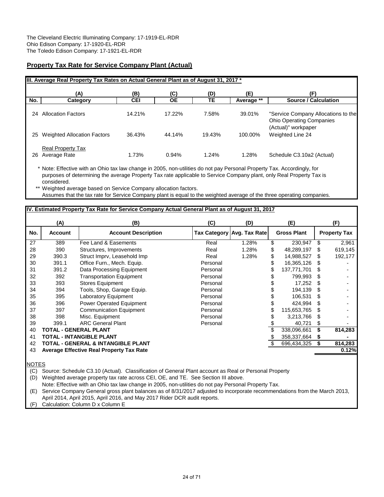## **Property Tax Rate for Service Company Plant (Actual)**

|     | (A)                                      | (B)        | (C)       | (D)    | (E)        | (F)                                                                                           |
|-----|------------------------------------------|------------|-----------|--------|------------|-----------------------------------------------------------------------------------------------|
| No. | Category                                 | <b>CEI</b> | <b>OE</b> | TЕ     | Average ** | <b>Source / Calculation</b>                                                                   |
| 24  | <b>Allocation Factors</b>                | 14.21%     | 17.22%    | 7.58%  | 39.01%     | "Service Company Allocations to the<br><b>Ohio Operating Companies</b><br>(Actual)" workpaper |
| 25  | <b>Weighted Allocation Factors</b>       | 36.43%     | 44.14%    | 19.43% | 100.00%    | Weighted Line 24                                                                              |
| 26  | <b>Real Property Tax</b><br>Average Rate | 1.73%      | 0.94%     | 1.24%  | 1.28%      | Schedule C3.10a2 (Actual)                                                                     |

\* Note: Effective with an Ohio tax law change in 2005, non-utilities do not pay Personal Property Tax. Accordingly, for purposes of determining the average Property Tax rate applicable to Service Company plant, only Real Property Tax is considered.

\*\* Weighted average based on Service Company allocation factors. Assumes that the tax rate for Service Company plant is equal to the weighted average of the three operating companies.

## **IV. Estimated Property Tax Rate for Service Company Actual General Plant as of August 31, 2017 (A) (B) (C) (D) (E) (F)** 27 389 Fee Land & Easements 28 Real 1.28% \$ 230,947 \$ 2,961<br>28 390 Structures, Improvements 28 Real 1.28% \$ 48,289,197 \$ 619,145 Structures, Improvements 29 390.3 Struct Imprv, Leasehold Imp Real 1.28% \$ 14,988,527 \$ 192,177 30 391.1 Office Furn., Mech. Equip. Personal \$ 16,365,126 \$ 31 391.2 Data Processing Equipment 2012 Personal 31 5 137,771,701 \$<br>32 392 Transportation Equipment 2014 Personal 9 5 799,993 \$ 32 392 Transportation Equipment 11 Personal 1988 98 9993 \$<br>33 393 Stores Equipment 11 Personal 1988 5 17,252 \$ 33 393 Stores Equipment Communication of Personal 34 5 17,252 \$<br>34 394 Tools, Shop, Garage Equip. Communication Personal 5 194,139 \$ 34 394 Tools, Shop, Garage Equip. Personal \$ 194,139 \$ - 35 395 Laboratory Equipment 2008 Personal 2006,531 \$ 106,531 \$ 36 396 Power Operated Equipment 11 Personal 1988 124,994 \$ 115,653,765 \$ 37 Communication Equipment **127 397 1201 November 2018** 115,653,765  $\$ 38 398 Misc. Equipment Personal \$ 3,213,766 \$ - 39 399.1 ARC General Plant **Personal** Personal 5 40,721 \$ 40 **TOTAL - GENERAL PLANT** \$ 338,096,661 **\$ 814,283 41 TOTAL - INTANGIBLE PLANT 100 CONTRACT 100 CONTRACT 100 CONTRACT 100 CONTRACT 100 CONTRACT 100 CONTRACT 100 CONTRACT 100 CONTRACT 100 CONTRACT 100 CONTRACT 100 CONTRACT 100 CONTRACT 100 CONTRACT 100 CONTRACT 100 CONTR** 42 **TOTAL - GENERAL & INTANGIBLE PLANT** \$ 696,434,325 **\$ 814,283** 43 **Average Effective Real Property Tax Rate 0.12% No. Account Account Description Tax Category Avg. Tax Rate Gross Plant Property Tax**

NOTES

(C) Source: Schedule C3.10 (Actual). Classification of General Plant account as Real or Personal Property

(D) Weighted average property tax rate across CEI, OE, and TE. See Section III above.

Note: Effective with an Ohio tax law change in 2005, non-utilities do not pay Personal Property Tax.

(E) Service Company General gross plant balances as of 8/31/2017 adjusted to incorporate recommendations from the March 2013, April 2014, April 2015, April 2016, and May 2017 Rider DCR audit reports.

(F) Calculation: Column D x Column E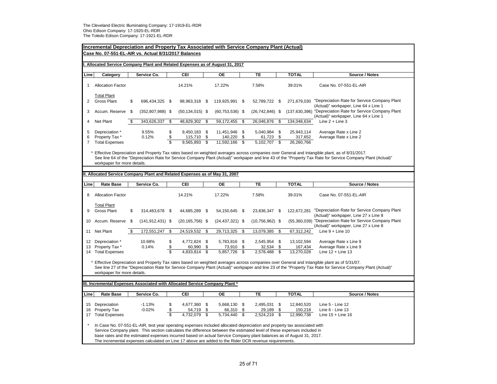|                          | <b>Incremental Depreciation and Property Tax Associated with Service Company Plant (Actual)</b><br>Case No. 07-551-EL-AIR vs. Actual 8/31/2017 Balances                                                                                                                                                                                                                                                                                                                              |    |                      |                                      |                                      |          |                                        |          |                                        |    |                                     |                                                                                                     |
|--------------------------|--------------------------------------------------------------------------------------------------------------------------------------------------------------------------------------------------------------------------------------------------------------------------------------------------------------------------------------------------------------------------------------------------------------------------------------------------------------------------------------|----|----------------------|--------------------------------------|--------------------------------------|----------|----------------------------------------|----------|----------------------------------------|----|-------------------------------------|-----------------------------------------------------------------------------------------------------|
|                          | Allocated Service Company Plant and Related Expenses as of August 31, 2017                                                                                                                                                                                                                                                                                                                                                                                                           |    |                      |                                      |                                      |          |                                        |          |                                        |    |                                     |                                                                                                     |
| Line                     | Category                                                                                                                                                                                                                                                                                                                                                                                                                                                                             |    | Service Co.          |                                      | CEI                                  |          | OE                                     |          | TE                                     |    | <b>TOTAL</b>                        | Source / Notes                                                                                      |
| 1                        | <b>Allocation Factor</b>                                                                                                                                                                                                                                                                                                                                                                                                                                                             |    |                      |                                      | 14.21%                               |          | 17.22%                                 |          | 7.58%                                  |    | 39.01%                              | Case No. 07-551-EL-AIR                                                                              |
| $\overline{2}$           | <b>Total Plant</b><br><b>Gross Plant</b>                                                                                                                                                                                                                                                                                                                                                                                                                                             | \$ | 696,434,325 \$       |                                      | 98,963,318 \$                        |          | 119,925,991 \$                         |          | 52,789,722 \$                          |    | 271,679,030                         | "Depreciation Rate for Service Company Plant<br>(Actual)" workpaper, Line 64 x Line 1               |
| 3                        | Accum. Reserve \$                                                                                                                                                                                                                                                                                                                                                                                                                                                                    |    | $(352,807,988)$ \$   |                                      | $(50, 134, 015)$ \$                  |          | $(60, 753, 536)$ \$                    |          | $(26, 742, 846)$ \$                    |    |                                     | (137,630,396) "Depreciation Rate for Service Company Plant<br>(Actual)" workpaper, Line 64 x Line 1 |
| 4                        | Net Plant                                                                                                                                                                                                                                                                                                                                                                                                                                                                            | \$ | 343,626,337          | \$                                   | 48,829,302                           | \$       | 59,172,455                             | - \$     | 26,046,876 \$                          |    | 134,048,634                         | Line $2 +$ Line 3                                                                                   |
| 5<br>6<br>$\overline{7}$ | Depreciation *<br>Property Tax*<br><b>Total Expenses</b>                                                                                                                                                                                                                                                                                                                                                                                                                             |    | 9.55%<br>0.12%       | \$<br>\$<br>$\overline{\mathcal{S}}$ | 9,450,183 \$<br>115,710<br>9,565,893 | \$<br>\$ | 11,451,946 \$<br>140,220<br>11,592,166 | \$<br>\$ | 5,040,984 \$<br>61,723 \$<br>5,102,707 | \$ | 25,943,114<br>317,652<br>26,260,766 | Average Rate x Line 2<br>Average Rate x Line 2                                                      |
|                          | Effective Depreciation and Property Tax rates based on weighted averages across companies over General and Intangible plant, as of 8/31/2017.<br>See line 64 of the "Depreciation Rate for Service Company Plant (Actual)" workpaper and line 43 of the "Property Tax Rate for Service Company Plant (Actual)"<br>workpaper for more details.                                                                                                                                        |    |                      |                                      |                                      |          |                                        |          |                                        |    |                                     |                                                                                                     |
|                          | II. Allocated Service Company Plant and Related Expenses as of May 31, 2007                                                                                                                                                                                                                                                                                                                                                                                                          |    |                      |                                      |                                      |          |                                        |          |                                        |    |                                     |                                                                                                     |
|                          |                                                                                                                                                                                                                                                                                                                                                                                                                                                                                      |    |                      |                                      |                                      |          |                                        |          |                                        |    |                                     |                                                                                                     |
| Line                     | <b>Rate Base</b>                                                                                                                                                                                                                                                                                                                                                                                                                                                                     |    | Service Co.          |                                      | CEI                                  |          | <b>OE</b>                              |          | <b>TE</b>                              |    | <b>TOTAL</b>                        | Source / Notes                                                                                      |
| 8                        | <b>Allocation Factor</b>                                                                                                                                                                                                                                                                                                                                                                                                                                                             |    |                      |                                      | 14.21%                               |          | 17.22%                                 |          | 7.58%                                  |    | 39.01%                              | Case No. 07-551-EL-AIR                                                                              |
| 9                        | <b>Total Plant</b><br>Gross Plant                                                                                                                                                                                                                                                                                                                                                                                                                                                    | \$ | 314,463,678 \$       |                                      | 44,685,289 \$                        |          | 54,150,645 \$                          |          | 23,836,347 \$                          |    | 122,672,281                         | "Depreciation Rate for Service Company Plant<br>(Actual)" workpaper, Line 27 x Line 8               |
| 10                       | Accum. Reserve \$                                                                                                                                                                                                                                                                                                                                                                                                                                                                    |    | $(141, 912, 431)$ \$ |                                      | $(20, 165, 756)$ \$                  |          | $(24, 437, 321)$ \$                    |          | $(10, 756, 962)$ \$                    |    |                                     | (55,360,039) "Depreciation Rate for Service Company Plant<br>(Actual)" workpaper, Line 27 x Line 8  |
| 11                       | <b>Net Plant</b>                                                                                                                                                                                                                                                                                                                                                                                                                                                                     | \$ | 172,551,247          | \$                                   | 24,519,532                           | \$       | 29,713,325                             | <b>S</b> | 13,079,385 \$                          |    | $\overline{67}, 312, 242$           | Line $9 +$ Line 10                                                                                  |
| 13                       | 12 Depreciation *<br>Property Tax *                                                                                                                                                                                                                                                                                                                                                                                                                                                  |    | 10.68%<br>0.14%      | \$<br>\$                             | 4,772,824 \$<br>60,990               | \$       | 5,783,816 \$<br>73,910                 | \$       | 2,545,954 \$<br>32,534                 | \$ | 13,102,594<br>167,434               | Average Rate x Line 9<br>Average Rate x Line 9                                                      |
|                          | 14 Total Expenses                                                                                                                                                                                                                                                                                                                                                                                                                                                                    |    |                      | $\overline{\mathbb{S}}$              | 4,833,814                            | \$       | 5,857,726                              | \$       | 2,578,488                              | \$ | 13,270,028                          | Line $12 +$ Line 13                                                                                 |
|                          | Effective Depreciation and Property Tax rates based on weighted averages across companies over General and Intangible plant as of 5/31/07.<br>See line 27 of the "Depreciation Rate for Service Company Plant (Actual)" workpaper and line 23 of the "Property Tax Rate for Service Company Plant (Actual)"<br>workpaper for more details.                                                                                                                                           |    |                      |                                      |                                      |          |                                        |          |                                        |    |                                     |                                                                                                     |
|                          | III. Incremental Expenses Associated with Allocated Service Company Plant *                                                                                                                                                                                                                                                                                                                                                                                                          |    |                      |                                      |                                      |          |                                        |          |                                        |    |                                     |                                                                                                     |
|                          |                                                                                                                                                                                                                                                                                                                                                                                                                                                                                      |    |                      |                                      |                                      |          |                                        |          |                                        |    |                                     |                                                                                                     |
| Line                     | <b>Rate Base</b>                                                                                                                                                                                                                                                                                                                                                                                                                                                                     |    | Service Co.          |                                      | CEI                                  |          | <b>OE</b>                              |          | TE                                     |    | <b>TOTAL</b>                        | Source / Notes                                                                                      |
|                          | 15 Depreciation                                                                                                                                                                                                                                                                                                                                                                                                                                                                      |    | $-1.13%$             | \$                                   | 4,677,360                            | \$       | 5,668,130 \$                           |          | 2,495,031 \$                           |    | 12,840,520                          | Line 5 - Line 12                                                                                    |
| 16                       | Property Tax                                                                                                                                                                                                                                                                                                                                                                                                                                                                         |    | $-0.02%$             | \$                                   | 54,719                               | \$       | 66,310                                 | \$       | 29,189                                 | \$ | 150,218                             | Line 6 - Line 13                                                                                    |
|                          | 17 Total Expenses                                                                                                                                                                                                                                                                                                                                                                                                                                                                    |    |                      | $\overline{\mathcal{S}}$             | 4,732,079                            | \$       | 5,734,440                              | \$       | 2,524,219                              | s  | 12,990,738                          | Line $15 +$ Line $16$                                                                               |
|                          | In Case No. 07-551-EL-AIR, test year operating expenses included allocated depreciation and property tax associated with<br>Service Company plant. This section calculates the difference between the estimated level of these expenses included in<br>base rates and the estimated expenses incurred based on actual Service Company plant balances as of August 31, 2017.<br>The incremental expenses calculated on Line 17 above are added to the Rider DCR revenue requirements. |    |                      |                                      |                                      |          |                                        |          |                                        |    |                                     |                                                                                                     |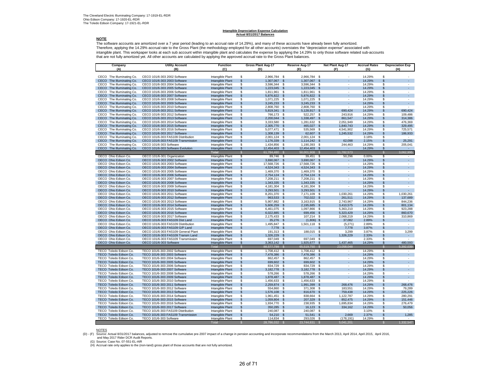#### **Intangible Depreciation Expense Calculation Actual 8/31/2017 Balances**

### **NOTE**

The software accounts are amortized over a 7 year period (leading to an accrual rate of 14.29%), and many of these accounts have already been fully amortized. Therefore, applying the 14.29% accrual rate to the Gross Plant (the methodology employed for all other accounts) overstates the "depreciation expense" associated with intangible plant. This workpaper looks at each sub account within intangible plant and calculates the expense by applying the 14.29% to only those software related sub-accounts that are not fully amortized yet. All other accounts are calculated by applying the approved accrual rate to the Gross Plant balances.

| Company                                                   | <b>Utility Account</b>                                        | <b>Function</b>                      |                                          | <b>Gross Plant Aug-17</b><br>Reserve Aug-17 |                         |                        |                       | Net Plant Aug-17                      | <b>Accrual Rates</b> | <b>Depreciation Exp</b>                              |  |
|-----------------------------------------------------------|---------------------------------------------------------------|--------------------------------------|------------------------------------------|---------------------------------------------|-------------------------|------------------------|-----------------------|---------------------------------------|----------------------|------------------------------------------------------|--|
| (A)                                                       | (B)                                                           | (C)                                  |                                          | (D)                                         |                         | (E)                    |                       | (F)                                   | (G)                  | (H)                                                  |  |
| CECO The Illuminating Co.                                 | CECO 101/6-303 2002 Software                                  | Intangible Plant                     | \$                                       | 2,966,784 \$                                |                         | 2,966,784 \$           |                       |                                       | 14.29%               | \$                                                   |  |
| CECO The Illuminating Co.                                 | CECO 101/6-303 2003 Software                                  | Intangible Plant                     | <sup>\$</sup>                            | 1,307,067                                   | - \$                    | 1,307,067              | $\mathfrak{L}$        |                                       | 14.29%               | $\mathfrak{L}$                                       |  |
| CECO The Illuminating Co.                                 | CECO 101/6-303 2004 Software                                  | Intangible Plant                     | \$                                       | 3,596,344 \$                                |                         | 3,596,344              | - \$                  |                                       | 14.29%               | \$<br>$\overline{a}$                                 |  |
| The Illuminating Co.<br>CECO                              | CECO 101/6-303 2005 Software                                  | Intangible Plant                     | <sup>\$</sup>                            | 1,223,045                                   | $\frac{3}{2}$           | 1,223,045              | $\mathfrak{s}$        |                                       | 14.29%               | ÷.<br>\$                                             |  |
| CECO The Illuminating Co.                                 | CECO 101/6-303 2006 Software                                  | Intangible Plant                     | \$                                       | 1.811.961                                   | - \$                    | 1,811,961              | \$<br>$\mathfrak{L}$  |                                       | 14.29%               | \$                                                   |  |
| CECO The Illuminating Co.<br>CECO The Illuminating Co.    | CECO 101/6-303 2007 Software<br>CECO 101/6-303 2008 Software  | Intangible Plant<br>Intangible Plant | $\mathsf{\$}$<br>\$                      | 5,876,822<br>1,071,225                      | - \$<br>- \$            | 5,876,822<br>1,071,225 | -\$                   | $\overline{\phantom{a}}$              | 14.29%<br>14.29%     | \$<br>\$<br>$\overline{\phantom{a}}$                 |  |
| CECO The Illuminating Co.                                 | CECO 101/6-303 2009 Software                                  | Intangible Plant                     | $\mathsf{\$}$                            | 3,245,233 \$                                |                         | 3,245,233              | $\mathfrak{s}$        | $\overline{\phantom{a}}$              | 14.29%               | \$<br>$\mathcal{L}_{\mathcal{A}}$                    |  |
| CECO The Illuminating Co.                                 | CECO 101/6-303 2010 Software                                  | Intangible Plant                     | \$                                       | 2,808,760                                   | $\mathbf{\$}$           | 2,808,760              | S.                    |                                       | 14.29%               | \$                                                   |  |
| CECO<br>The Illuminating Co.                              | CECO 101/6-303 2011 Software                                  | Intangible Plant                     | $\mathfrak{s}$                           | 5,819,341                                   | \$                      | 5,128,917              | \$                    | 690,424                               | 14.29%               | 690,424<br>S                                         |  |
| CECO The Illuminating Co.                                 | CECO 101/6-303 2012 Software                                  | Intangible Plant                     | \$                                       | 766,173                                     | \$                      | 522,257                | \$                    | 243,916                               | 14.29%               | \$<br>109,486                                        |  |
| CECO<br>The Illuminating Co.                              | CECO 101/6-303 2013 Software                                  | Intangible Plant                     | $\mathfrak{s}$                           | 2,200,044                                   | $\mathbf{\$}$           | 1,338,497              | \$                    | 861,547                               | 14.29%               | 314,386<br>\$                                        |  |
| CECO The Illuminating Co.<br>CECO<br>The Illuminating Co. | CECO 101/6-303 2014 Software<br>CECO 101/6-303 2015 Software  | Intangible Plant<br>Intangible Plant | \$<br>$\mathfrak{s}$                     | 3,333,580<br>2,305,770 \$                   | \$                      | 1,281,632<br>465,027   | -\$<br>$\mathbf s$    | 2,051,949<br>1,840,743                | 14.29%<br>14.29%     | \$<br>476,369<br>$\mathfrak{L}$<br>329,495           |  |
| CECO The Illuminating Co.                                 | CECO 101/6-303 2016 Software                                  | Intangible Plant                     | \$                                       | 5,077,471 \$                                |                         | 535,569                | - \$                  | 4,541,902                             | 14.29%               | \$<br>725,571                                        |  |
| The Illuminating Co.<br>CECO                              | CECO 101/6-303 2017 Software                                  | Intangible Plant                     | <sup>\$</sup>                            | 1,308,139                                   | $\sqrt{3}$              | 62,607                 | $\mathfrak{s}$        | 1,245,532                             | 14.29%               | 186,933<br>S                                         |  |
| CECO The Illuminating Co.                                 | CECO 101/6-303 FAS109 Distribution                            | Intangible Plant                     | \$                                       | 2,001,124                                   | <b>S</b>                | 2,001,124              | -S                    |                                       | 3.18%                | \$                                                   |  |
| The Illuminating Co.<br>CECO                              | CECO 101/6-303 FAS109 Transmission                            | Intangible Plant                     | $\mathfrak{s}$                           | 1,176,339                                   | \$S                     | 1,114,242              | $\mathfrak{L}$        | 62.098                                | 2.15%                | 25.291<br>\$                                         |  |
| CECO The Illuminating Co.                                 | CECO 101/6-303 Software                                       | Intangible Plant                     | \$                                       | 1,434,856                                   | \$                      | 1,190,393              | -S                    | 244,463                               | 14.29%               | \$<br>205,041                                        |  |
| CECO The Illuminating Co.                                 | CECO 101/6-303 Software Evolution                             | Intangible Plant                     | $\mathfrak{s}$                           | 12,454,403                                  | \$                      | 12,454,403             | -\$                   | $\sim$                                | 14.29%               | \$<br>$\sim$                                         |  |
| OECO Ohio Edison Co.                                      | OECO 101/6-301 Organization                                   | Tota<br>Intangible Plant             | $\mathcal{S}$<br>\$                      | 61,784,480<br>89,746                        | \$                      | 50.001.908<br>39,451   | S<br>\$               | 11,782,573<br>50,296                  | 0.00%                | 3,062,995<br>$\mathfrak{L}$<br>\$.                   |  |
| OECO Ohio Edison Co.                                      | OECO 101/6-303 2002 Software                                  | Intangible Plant                     | $\mathsf{\$}$                            | 3,690,067                                   | \$S                     | 3,690,067              | £.                    |                                       | 14.29%               | $\mathfrak{L}$                                       |  |
| OECO Ohio Edison Co.                                      | OECO 101/6-303 2003 Software                                  | Intangible Plant                     | \$                                       | 17,568,726                                  | \$                      | 17,568,726             | \$                    | $\sim$                                | 14.29%               | \$<br>$\sim$                                         |  |
| OECO Ohio Edison Co.                                      | OECO 101/6-303 2004 Software                                  | Intangible Plant                     | $\mathfrak{s}$                           | 4,524,343 \$                                |                         | 4,524,343              | <b>S</b>              |                                       | 14.29%               | \$<br>$\mathcal{L}_{\mathcal{A}}$                    |  |
| OECO Ohio Edison Co.                                      | OECO 101/6-303 2005 Software                                  | Intangible Plant                     | \$                                       | 1,469,370 \$                                |                         | 1,469,370              | - \$                  |                                       | 14.29%               | \$<br>$\sim$                                         |  |
| OECO Ohio Edison Co.                                      | OECO 101/6-303 2006 Software                                  | Intangible Plant                     | <sup>\$</sup>                            | 2,754,124 \$                                |                         | 2,754,124              | $\mathfrak{s}$        | ÷                                     | 14.29%               | $\mathcal{L}^{\pm}$<br>S.                            |  |
| OECO Ohio Edison Co.                                      | OECO 101/6-303 2007 Software                                  | Intangible Plant                     | \$                                       | 7,208,211                                   | -\$                     | 7,208,211              | \$                    |                                       | 14.29%               | S<br>÷.                                              |  |
| OECO Ohio Edison Co.<br>OECO Ohio Edison Co.              | OECO 101/6-303 2008 Software<br>OECO 101/6-303 2009 Software  | Intangible Plant<br>Intangible Plant | $\mathsf{\$}$<br>\$                      | 1,343,335<br>4,181,304                      | $\frac{3}{2}$<br>-S     | 1,343,335<br>4,181,304 | \$<br>$\mathbf{s}$    | $\sim$                                | 14.29%<br>14.29%     | \$<br>\$<br>$\overline{\phantom{a}}$                 |  |
| OECO Ohio Edison Co.                                      | OECO 101/6-303 2010 Software                                  | Intangible Plant                     | $\mathfrak{s}$                           | 3,293,501 \$                                |                         | 3,293,501              | \$                    | ÷.                                    | 14.29%               | S<br>$\sim$                                          |  |
| OECO Ohio Edison Co.                                      | OECO 101/6-303 2011 Software                                  | Intangible Plant                     | \$                                       | 8,201,370                                   | \$                      | 7,171,109              | \$                    | 1,030,261                             | 14.29%               | \$<br>1,030,261                                      |  |
| OECO Ohio Edison Co.                                      | OECO 101/6-303 2012 Software                                  | Intangible Plant                     | $\mathsf{\$}$                            | 963,533                                     | $\mathbf{\$}$           | 702,022                | $\mathbf{\$}$         | 261,511                               | 14.29%               | 137,689<br>\$                                        |  |
| OECO Ohio Edison Co.                                      | OECO 101/6-303 2013 Software                                  | Intangible Plant                     | \$                                       | 5,907,882                                   | \$                      | 3,163,915              | \$                    | 2,743,967                             | 14.29%               | \$<br>844,236                                        |  |
| OECO Ohio Edison Co.                                      | OECO 101/6-303 2014 Software                                  | Intangible Plant                     | $\mathfrak{s}$                           | 5,606,259                                   | \$                      | 2,195,685              | \$                    | 3,410,575                             | 14.29%               | S<br>801,134                                         |  |
| OECO Ohio Edison Co.<br>OECO Ohio Edison Co.              | OECO 101/6-303 2015 Software<br>OECO 101/6-303 2016 Software  | Intangible Plant<br>Intangible Plant | \$<br>$\$\$                              | 6,461,075<br>6,022,885                      | \$<br>-\$               | 1,097,866<br>699,456   | \$<br>\$              | 5,363,210<br>5,323,429                | 14.29%<br>14.29%     | \$<br>923,288<br>\$<br>860,670                       |  |
| OECO Ohio Edison Co.                                      | OECO 101/6-303 2017 Software                                  | Intangible Plant                     | \$                                       | 2,175,433                                   | -\$                     | 107,214                | - \$                  | 2,068,219                             | 14.29%               | \$<br>310,869                                        |  |
| OECO Ohio Edison Co.                                      | OECO 101/6-303 FAS109 Dist Land                               | Intangible Plant                     | $\mathfrak{s}$                           | 35,276                                      | - \$                    | $(1,806)$ \$           |                       | 37,082                                | 2.89%                | \$                                                   |  |
| OECO Ohio Edison Co.                                      | OECO 101/6-303 FAS109 Distribution                            | Intangible Plant                     | \$                                       | 1,495,847 \$                                |                         | 1,501,118              | - \$                  | (5,271)                               | 2.89%                | \$<br>$\sim$                                         |  |
| OECO Ohio Edison Co.                                      | OECO 101/6-303 FAS109 G/P Land                                | Intangible Plant                     | <sup>\$</sup>                            | 7,778                                       | $\frac{3}{2}$           |                        |                       | 7,778                                 | 3.87%                | $\omega_{\rm{eff}}$<br>\$                            |  |
| OECO Ohio Edison Co.                                      | OECO 101/6-303 FAS109 General Plant                           | Intangible Plant                     | \$                                       | 191.313                                     | \$                      | 188,015                | <b>S</b>              | 3.299                                 | 3.87%                | \$<br>3.299                                          |  |
| OECO Ohio Edison Co.                                      | OECO 101/6-303 FAS109 Transm Land                             | Intangible Plant                     | <sub>\$</sub>                            | 1,326,229                                   | \$S                     |                        | s                     | 1,326,229                             | 2.33%                | $\mathfrak{L}$<br>$\sim$<br>$\overline{\phantom{a}}$ |  |
| OECO Ohio Edison Co.<br>OECO Ohio Edison Co.              | OECO 101/6-303 FAS109 Transmission<br>OECO 101/6-303 Software | Intangible Plant<br>Intangible Plant | \$<br>$\mathfrak{s}$                     | 697,049<br>3,363,142                        | \$<br>\$                | 697,049<br>1,925,677   | -\$<br>$\mathfrak{s}$ | $\overline{\phantom{a}}$<br>1,437,465 | 2.33%<br>14.29%      | \$<br>\$<br>480,593                                  |  |
|                                                           |                                                               | Tota                                 | Ŝ.                                       | 88,577,799                                  |                         | 65.519.750             |                       | 23.058.048                            |                      | 5.392,039                                            |  |
| TECO Toledo Edison Co.                                    | TECO 101/6-303 2002 Software                                  | Intangible Plant                     | \$                                       | 1,708,412                                   | \$                      | 1,708,412              | \$                    |                                       | 14.29%               | \$                                                   |  |
| TECO Toledo Edison Co.                                    | TECO 101/6-303 2003 Software                                  | Intangible Plant                     | $\$\$                                    | 7,478,386                                   | -\$                     | 7,478,386              | \$                    |                                       | 14.29%               | \$<br>$\sim$                                         |  |
| TECO Toledo Edison Co                                     | TECO 101/6-303 2004 Software                                  | Intangible Plant                     | \$                                       | 862,457                                     | \$                      | 862,457                | \$                    | $\overline{\phantom{a}}$              | 14.29%               | \$<br>$\overline{\phantom{a}}$                       |  |
| TECO Toledo Edison Co.                                    | TECO 101/6-303 2005 Software                                  | Intangible Plant                     | $\mathfrak{S}$                           | 699.602 \$                                  |                         | 699,602                | $\mathbb{S}$          |                                       | 14.29%               | $\mathfrak{L}$<br>$\mathcal{L}_{\mathcal{A}}$        |  |
| TECO Toledo Edison Co.                                    | TECO 101/6-303 2006 Software                                  | Intangible Plant                     | $\overline{\mathbf{s}}$<br><sup>\$</sup> | 834,729                                     | $\overline{\mathbf{s}}$ | 834,729                | -S<br>$\mathfrak{S}$  |                                       | 14.29%<br>14.29%     | $\overline{\mathbf{s}}$<br>$\sim$<br>a.<br>\$        |  |
| TECO Toledo Edison Co.<br>TECO Toledo Edison Co.          | TECO 101/6-303 2007 Software<br>TECO 101/6-303 2008 Software  | Intangible Plant<br>Intangible Plant | \$                                       | 3,182,778<br>578,266                        | $\sqrt{3}$<br>\$        | 3,182,778<br>578,266   | \$                    |                                       | 14.29%               | S<br>$\overline{a}$                                  |  |
| TECO Toledo Edison Co.                                    | TECO 101/6-303 2009 Software                                  | Intangible Plant                     | <sub>\$</sub>                            | 1,878,487                                   | $\sqrt{3}$              | 1,878,487              | S                     |                                       | 14.29%               | ÷.<br>S                                              |  |
| TECO Toledo Edison Co.                                    | TECO 101/6-303 2010 Software                                  | Intangible Plant                     | \$                                       | 1,456,633                                   | <b>S</b>                | 1,456,633              | $\mathbf{s}$          | $\sim$                                | 14.29%               | \$<br>$\overline{\phantom{a}}$                       |  |
| TECO Toledo Edison Co.                                    | TECO 101/6-303 2011 Software                                  | Intangible Plant                     | \$                                       | 2,259,874                                   | $\mathbf{\$}$           | 1,991,399              | \$                    | 268,476                               | 14.29%               | 268,476<br>S                                         |  |
| TECO Toledo Edison Co.                                    | TECO 101/6-303 2012 Software                                  | Intangible Plant                     | \$                                       | 554,860                                     | \$                      | 371,308                | \$                    | 183,551                               | 14.29%               | \$<br>79,289                                         |  |
| TECO Toledo Edison Co.                                    | TECO 101/6-303 2013 Software                                  | Intangible Plant                     | $\$\$                                    | 1,576,108                                   | $\sqrt{3}$              | 816,670                | \$                    | 759,438                               | 14.29%               | 225,226<br>\$                                        |  |
| TECO Toledo Edison Co.<br>TECO Toledo Edison Co.          | TECO 101/6-303 2014 Software<br>TECO 101/6-303 2015 Software  | Intangible Plant<br>Intangible Plant | \$<br><sup>\$</sup>                      | 1,961,451<br>1,059,804                      | \$<br>$\mathfrak{s}$    | 838,664<br>207,329     | \$<br>\$              | 1,122,787<br>852,475                  | 14.29%<br>14.29%     | \$<br>280,291<br>\$<br>151,446                       |  |
| TECO Toledo Edison Co.                                    | TECO 101/6-303 2016 Software                                  | Intangible Plant                     | \$                                       | 1,934,770                                   | \$                      | 238,935                | -\$                   | 1,695,834                             | 14.29%               | \$<br>276,479                                        |  |
| TECO Toledo Edison Co.                                    | TECO 101/6-303 2017 Software                                  | Intangible Plant                     | \$                                       | 350,285 \$                                  |                         | 16,123                 | \$                    | 334,162                               | 14.29%               | 50,056<br>\$                                         |  |
| TECO Toledo Edison Co                                     | TECO 101/6-303 FAS109 Distribution                            | Intangible Plant                     | \$                                       | 240,087 \$                                  |                         | 240,087                | - \$                  |                                       | 3.10%                | \$                                                   |  |
| TECO Toledo Edison Co.                                    | TECO 101/6-303 FAS109 Transmission                            | Intangible Plant                     | $\mathfrak{S}$                           | 54,210 \$                                   |                         | 51,541 \$              |                       | 2,669                                 | 2.37%                | 1,285<br>\$.                                         |  |
| TECO Toledo Edison Co                                     | TECO 101/6-303 Software                                       | Intangible Plant                     | \$                                       | 114,834                                     | - \$                    | 293,026                | - \$                  | (178, 191)                            | 14.29%               | \$                                                   |  |
|                                                           |                                                               | Tota                                 |                                          | 28,786,032                                  | $\mathcal{S}$           | 23,744,831             | $\mathsf{\$}$         | 5,041,201                             |                      | 1,332,547                                            |  |

NOTES

(D) - (F) Source: Actual 8/31/2017 balances, adjusted to remove the cumulative pre-2007 impact of a change in pension accounting and incorporate recommendations from the March 2013, April 2014, April 2016, April 2016, and May 2017 Rider DCR Audit Reports.

(G) Source: Case No. 07-551-EL-AIR

(H) Accrual rate only applies to the (non-land) gross plant of those accounts that are not fully amortized.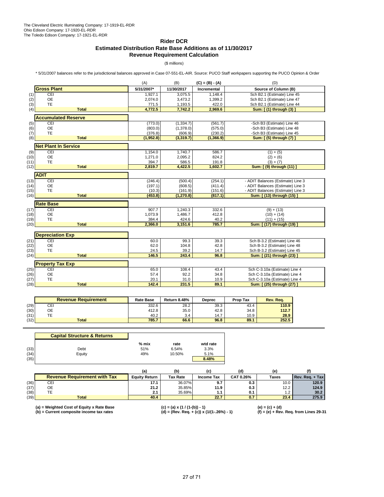### **Rider DCR Estimated Distribution Rate Base Additions as of 11/30/2017 Revenue Requirement Calculation**

(\$ millions)

\* 5/31/2007 balances refer to the jurisdictional balances approved in Case 07-551-EL-AIR. Source: PUCO Staff workpapers supporting the PUCO Opinion & Order

|              |                             | (A)           | (B)           | $(C) = (B) - (A)$ | (D)                                                        |
|--------------|-----------------------------|---------------|---------------|-------------------|------------------------------------------------------------|
|              | <b>Gross Plant</b>          | 5/31/2007*    | 11/30/2017    | Incremental       | Source of Column (B)                                       |
| (1)          | CEI                         | 1,927.1       | 3,075.5       | 1.148.4           | Sch B2.1 (Estimate) Line 45                                |
| (2)          | <b>OE</b>                   | 2,074.0       | 3,473.2       | 1,399.2           | Sch B2.1 (Estimate) Line 47                                |
| (3)          | <b>TE</b>                   | 771.5         | 1,193.5       | 422.0             | Sch B2.1 (Estimate) Line 44                                |
| (4)          | <b>Total</b>                | 4,772.5       | 7,742.2       | 2,969.6           | Sum: [(1) through (3)]                                     |
|              | <b>Accumulated Reserve</b>  |               |               |                   |                                                            |
| (5)          | CEI                         | (773.0)       | (1, 334.7)    | (561.7)           | -Sch B3 (Estimate) Line 46                                 |
| (6)          | <b>OE</b>                   | (803.0)       | (1,378.0)     | (575.0)           | -Sch B3 (Estimate) Line 48                                 |
| (7)          | TE                          | (376.8)       | (606.9)       | (230.2)           | -Sch B3 (Estimate) Line 45                                 |
| (8)          | <b>Total</b>                | (1,952.8)     | (3, 319.7)    | (1,366.9)         | Sum: [(5) through (7) ]                                    |
|              | <b>Net Plant In Service</b> |               |               |                   |                                                            |
| (9)          | CEI                         | 1,154.0       | 1,740.7       | 586.7             | $(1) + (5)$                                                |
| (10)         | <b>OE</b>                   | 1,271.0       | 2,095.2       | 824.2             | $(2) + (6)$                                                |
| (11)         | TE                          | 394.7         | 586.5         | 191.8             | $(3) + (7)$                                                |
| (12)         | <b>Total</b>                | 2,819.7       | 4,422.5       | 1,602.7           | Sum: [ (9) through (11) ]                                  |
|              | <b>ADIT</b>                 |               |               |                   |                                                            |
| (13)         | CEI                         | (246.4)       | (500.4)       | (254.1)           | - ADIT Balances (Estimate) Line 3                          |
| (14)         | <b>OE</b>                   | (197.1)       | (608.5)       | (411.4)           | - ADIT Balances (Estimate) Line 3                          |
| (15)         | <b>TE</b>                   | (10.3)        | (161.9)       | (151.6)           | - ADIT Balances (Estimate) Line 3                          |
| (16)         | <b>Total</b>                | (453.8)       | (1, 270.8)    | (817.1)           | Sum: [ (13) through (15) ]                                 |
|              | <b>Rate Base</b>            |               |               |                   |                                                            |
| (17)         | CEI                         | 907.7         | 1,240.3       | 332.6             | $(9) + (13)$                                               |
| (18)         | <b>OE</b>                   | 1,073.9       | 1,486.7       | 412.8             | $(10) + (14)$                                              |
| (19)         | TE                          | 384.4         | 424.6         | 40.2              | $(11) + (15)$                                              |
| (20)         | <b>Total</b>                | 2,366.0       | 3,151.6       | 785.7             | Sum: [ (17) through (19) ]                                 |
|              |                             |               |               |                   |                                                            |
|              | <b>Depreciation Exp</b>     |               |               |                   |                                                            |
| (21)         | CEI                         | 60.0          | 99.3          | 39.3              | Sch B-3.2 (Estimate) Line 46                               |
| (22)         | <b>OE</b>                   | 62.0          | 104.8         | 42.8              | Sch B-3.2 (Estimate) Line 48                               |
| (23)<br>(24) | TE<br><b>Total</b>          | 24.5<br>146.5 | 39.2<br>243.4 | 14.7<br>96.8      | Sch B-3.2 (Estimate) Line 45<br>Sum: [ (21) through (23) ] |
|              |                             |               |               |                   |                                                            |
|              | <b>Property Tax Exp</b>     |               |               |                   |                                                            |
| (25)         | CEI                         | 65.0          | 108.4         | 43.4              | Sch C-3.10a (Estimate) Line 4                              |
| (26)         | <b>OE</b>                   | 57.4          | 92.2          | 34.8              | Sch C-3.10a (Estimate) Line 4                              |
| (27)         | TE                          | 20.1          | 31.0          | 10.9              | Sch C-3.10a (Estimate) Line 4                              |
| (28)         | <b>Total</b>                | 142.4         | 231.5         | 89.1              | Sum: [ (25) through (27) ]                                 |
|              |                             |               |               |                   |                                                            |

|      | <b>Revenue Requirement</b> | <b>Rate Base</b> | <b>Return 8.48%</b> | <b>Deprec</b> | <b>Prop Tax</b> | Rev. Rea. |
|------|----------------------------|------------------|---------------------|---------------|-----------------|-----------|
| (29) | СEІ                        | 332.6            | 28.2                | 39.3          | 43.4            | 110.9     |
| (30) | ОE                         | 412.8            | 35.0                | 42.8          | 34.8            | 112.7     |
| (31) | ÷                          | 40.2             | 3.4                 | 14.7          | 10.9            | 28.9      |
| (32) | <b>Total</b>               | 785.7            | 66.6                | 96.8          | 89.1            | 252.5     |

|      | <b>Capital Structure &amp; Returns</b> |         |        |          |
|------|----------------------------------------|---------|--------|----------|
|      |                                        | $%$ mix | rate   | wtd rate |
| (33) | Debt                                   | 51%     | 6.54%  | 3.3%     |
| (34) | Equity                                 | 49%     | 10.50% | 5.1%     |
| (35) |                                        |         |        | 8.48%    |

|      |                                     |                      |                 | (C)        | (d)       | (e)          |                 |
|------|-------------------------------------|----------------------|-----------------|------------|-----------|--------------|-----------------|
|      | <b>Revenue Requirement with Tax</b> | <b>Equity Return</b> | <b>Tax Rate</b> | Income Tax | CAT 0.26% | <b>Taxes</b> | Rev. Reg. + Tax |
| (36) | CEI                                 | 17.1                 | 36.07%          | 9.7        | 0.3       | 10.0         | 120.9           |
| (37) | ОE                                  | 21.2                 | 35.85%          | 11.9       | 0.3       | 12.2         | 124.9           |
| (38) | TE                                  | 2.1                  | 35.69%          | 1.1        | 0.1       | 1.2          | 30.2            |
| (39) | <b>Total</b>                        | 40.4                 |                 | 22.7       | 0.7       | 23.4         | 275.9           |

(a) = Weighted Cost of Equity x Rate Base (c) = (a) x (1 / (1-(b)) - 1) (e) = (c) + (d)<br>(b) = Current composite income tax rates (d) = (Rev. Req. + (c)) x (1/(1-.26%) - 1) (f) = (e) +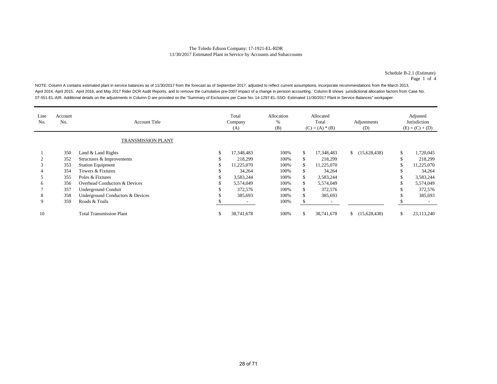Schedule B-2.1 (Estimate) Page 1 of 4

NOTE: Column A contains estimated plant in service balances as of 11/30/2017 from the forecast as of September 2017, adjusted to reflect current assumptions, incorporate recommendations from the March 2013, April 2014, April 2015, April 2016, and May 2017 Rider DCR Audit Reports, and to remove the cumulative pre-2007 impact of a change in pension accounting. Column B shows jurisdictional allocation factors from Case No. 07-551-EL-AIR. Additional details on the adjustments in Column D are provided on the "Summary of Exclusions per Case No. 14-1297-EL-SSO: Estimated 11/30/2017 Plant in Service Balances" workpaper.

| Line<br>No. | Account<br>No. | <b>Account Title</b>             |    | Total<br>Company<br>(A) | Allocation<br>%<br>(B) |    | Allocated<br>Total<br>$(C) = (A) * (B)$ |    | Adjustments<br>(D) |    | Adjusted<br>Jurisdiction<br>$(E) = (C) + (D)$ |
|-------------|----------------|----------------------------------|----|-------------------------|------------------------|----|-----------------------------------------|----|--------------------|----|-----------------------------------------------|
|             |                | TRANSMISSION PLANT               |    |                         |                        |    |                                         |    |                    |    |                                               |
|             | 350            | Land & Land Rights               | \$ | 17,348,483              | 100%                   | \$ | 17,348,483                              |    | (15,628,438)       | S. | 1,720,045                                     |
|             | 352            | Structures & Improvements        | S  | 218,299                 | 100%                   |    | 218,299                                 |    |                    |    | 218,299                                       |
|             | 353            | <b>Station Equipment</b>         |    | 11,225,070              | 100%                   | \$ | 11,225,070                              |    |                    |    | 11,225,070                                    |
|             | 354            | Towers & Fixtures                | S  | 34,264                  | 100%                   | S  | 34,264                                  |    |                    |    | 34,264                                        |
|             | 355            | Poles & Fixtures                 | \$ | 3,583,244               | 100%                   | \$ | 3,583,244                               |    |                    |    | 3,583,244                                     |
| h           | 356            | Overhead Conductors & Devices    | ъ  | 5,574,049               | 100%                   | \$ | 5,574,049                               |    |                    |    | 5,574,049                                     |
|             | 357            | Underground Conduit              | S  | 372,576                 | 100%                   | S  | 372,576                                 |    |                    |    | 372,576                                       |
| 8           | 358            | Underground Conductors & Devices |    | 385,693                 | 100%                   | \$ | 385,693                                 |    |                    |    | 385,693                                       |
| 9           | 359            | Roads & Trails                   |    |                         | 100%                   |    |                                         |    |                    |    |                                               |
| 10          |                | <b>Total Transmission Plant</b>  | \$ | 38,741,678              | 100%                   |    | 38,741,678                              | S. | (15,628,438)       |    | 23,113,240                                    |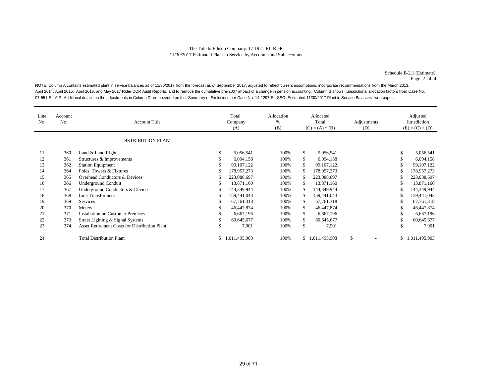Schedule B-2.1 (Estimate) Page 2 of 4

NOTE: Column A contains estimated plant in service balances as of 11/30/2017 from the forecast as of September 2017, adjusted to reflect current assumptions, incorporate recommendations from the March 2013, April 2014, April 2015, April 2016, and May 2017 Rider DCR Audit Reports, and to remove the cumulative pre-2007 impact of a change in pension accounting. Column B shows jurisdictional allocation factors from Case No. 07-551-EL-AIR. Additional details on the adjustments in Column D are provided on the "Summary of Exclusions per Case No. 14-1297-EL-SSO: Estimated 11/30/2017 Plant in Service Balances" workpaper.

| Line<br>No. | Account<br>No. | <b>Account Title</b><br><b>DISTRIBUTION PLANT</b>    |    | Total<br>Company<br>(A) | Allocation<br>%<br>(B) | Allocated<br>Total<br>$(C) = (A) * (B)$ |                 | Adjustments<br>(D) | Adjusted<br>Jurisdiction<br>$(E) = (C) + (D)$ |                 |
|-------------|----------------|------------------------------------------------------|----|-------------------------|------------------------|-----------------------------------------|-----------------|--------------------|-----------------------------------------------|-----------------|
| 11          | 360            | Land & Land Rights                                   | \$ | 5,056,541               | 100%                   | \$                                      | 5,056,541       |                    | \$                                            | 5,056,541       |
| 12          | 361            | Structures & Improvements                            |    | 6,094,158               | 100%                   | \$                                      | 6,094,158       |                    |                                               | 6,094,158       |
| 13          | 362            | <b>Station Equipment</b>                             | \$ | 99, 107, 122            | 100%                   | \$                                      | 99,107,122      |                    | ъ                                             | 99, 107, 122    |
| 14          | 364            | Poles, Towers & Fixtures                             | S  | 178,957,273             | 100%                   | \$                                      | 178,957,273     |                    |                                               | 178,957,273     |
| 15          | 365            | Overhead Conductors & Devices                        | S  | 223,088,697             | 100%                   |                                         | 223,088,697     |                    |                                               | 223,088,697     |
| 16          | 366            | <b>Underground Conduit</b>                           | \$ | 13,871,160              | 100%                   | \$                                      | 13,871,160      |                    | \$                                            | 13,871,160      |
| 17          | 367            | Underground Conductors & Devices                     | S  | 144,349,944             | 100%                   | \$                                      | 144,349,944     |                    |                                               | 144,349,944     |
| 18          | 368            | <b>Line Transformers</b>                             | S  | 159,441,043             | 100%                   |                                         | 159,441,043     |                    |                                               | 159,441,043     |
| 19          | 369            | Services                                             | S  | 67,761,318              | 100%                   | \$                                      | 67, 761, 318    |                    | ъ                                             | 67,761,318      |
| 20          | 370            | <b>Meters</b>                                        |    | 46,447,874              | 100%                   | \$                                      | 46,447,874      |                    | S                                             | 46,447,874      |
| 21          | 371            | <b>Installation on Customer Premises</b>             |    | 6,667,196               | 100%                   | \$                                      | 6,667,196       |                    |                                               | 6,667,196       |
| 22          | 373            | Street Lighting & Signal Systems                     |    | 60,645,677              | 100%                   | \$                                      | 60,645,677      |                    | \$                                            | 60,645,677      |
| 23          | 374            | <b>Asset Retirement Costs for Distribution Plant</b> |    | 7,901                   | 100%                   |                                         | 7,901           |                    |                                               | 7,901           |
| 24          |                | <b>Total Distribution Plant</b>                      | \$ | 1,011,495,903           | 100%                   |                                         | \$1,011,495,903 | \$                 |                                               | \$1,011,495,903 |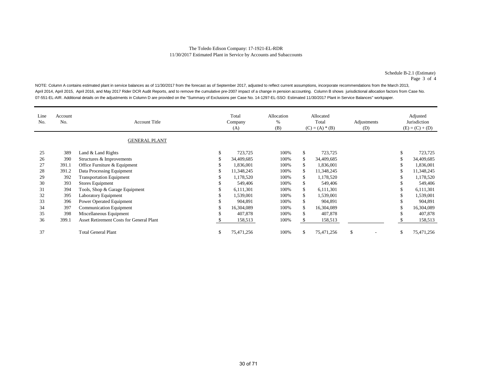Schedule B-2.1 (Estimate) Page 3 of 4

NOTE: Column A contains estimated plant in service balances as of 11/30/2017 from the forecast as of September 2017, adjusted to reflect current assumptions, incorporate recommendations from the March 2013, April 2014, April 2015, April 2016, and May 2017 Rider DCR Audit Reports, and to remove the cumulative pre-2007 impact of a change in pension accounting. Column B shows jurisdictional allocation factors from Case No. 07-551-EL-AIR. Additional details on the adjustments in Column D are provided on the "Summary of Exclusions per Case No. 14-1297-EL-SSO: Estimated 11/30/2017 Plant in Service Balances" workpaper.

| Line<br>No. | Account<br>No. | <b>Account Title</b><br><b>GENERAL PLANT</b>    | Total<br>Company<br>(A) | Allocation<br>%<br>(B) |     | Allocated<br>Total<br>$(C) = (A) * (B)$ | Adjustments<br>(D) |    | Adjusted<br>Jurisdiction<br>$(E) = (C) + (D)$ |
|-------------|----------------|-------------------------------------------------|-------------------------|------------------------|-----|-----------------------------------------|--------------------|----|-----------------------------------------------|
| 25          | 389            | Land & Land Rights                              | \$<br>723,725           | 100%                   | \$  | 723,725                                 |                    | \$ | 723,725                                       |
| 26          | 390            | Structures & Improvements                       | 34,409,685              | 100%                   |     | 34,409,685                              |                    | ъ  | 34,409,685                                    |
| 27          | 391.1          | Office Furniture & Equipment                    | 1,836,001               | 100%                   | S   | 1,836,001                               |                    |    | 1,836,001                                     |
| 28          | 391.2          | Data Processing Equipment                       | 11,348,245              | 100%                   | \$  | 11,348,245                              |                    |    | 11,348,245                                    |
| 29          | 392            | <b>Transportation Equipment</b>                 | 1,178,520               | 100%                   | \$  | 1,178,520                               |                    |    | 1,178,520                                     |
| 30          | 393            | Stores Equipment                                | 549,406                 | 100%                   | \$  | 549,406                                 |                    | ъ  | 549,406                                       |
| 31          | 394            | Tools, Shop & Garage Equipment                  | 6,111,301               | 100%                   | \$  | 6,111,301                               |                    | \$ | 6,111,301                                     |
| 32          | 395            | Laboratory Equipment                            | 1,539,001               | 100%                   | \$. | 1,539,001                               |                    |    | 1,539,001                                     |
| 33          | 396            | Power Operated Equipment                        | 904,891                 | 100%                   | \$  | 904,891                                 |                    |    | 904,891                                       |
| 34          | 397            | Communication Equipment                         | 16,304,089              | 100%                   | \$  | 16,304,089                              |                    | \$ | 16,304,089                                    |
| 35          | 398            | Miscellaneous Equipment                         | 407,878                 | 100%                   | \$  | 407,878                                 |                    | ъ  | 407,878                                       |
| 36          | 399.1          | <b>Asset Retirement Costs for General Plant</b> | 158,513                 | 100%                   |     | 158,513                                 |                    |    | 158,513                                       |
| 37          |                | <b>Total General Plant</b>                      | \$<br>75,471,256        | 100%                   | ъ   | 75,471,256                              | \$                 | \$ | 75,471,256                                    |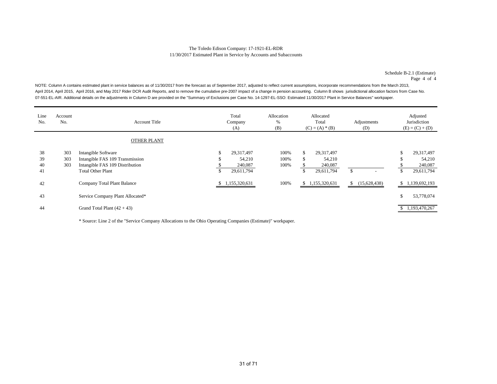Schedule B-2.1 (Estimate) Page 4 of 4

NOTE: Column A contains estimated plant in service balances as of 11/30/2017 from the forecast as of September 2017, adjusted to reflect current assumptions, incorporate recommendations from the March 2013, April 2014, April 2015, April 2016, and May 2017 Rider DCR Audit Reports, and to remove the cumulative pre-2007 impact of a change in pension accounting. Column B shows jurisdictional allocation factors from Case No. 07-551-EL-AIR. Additional details on the adjustments in Column D are provided on the "Summary of Exclusions per Case No. 14-1297-EL-SSO: Estimated 11/30/2017 Plant in Service Balances" workpaper.

| Line<br>No. | Account<br>No. | <b>Account Title</b>             | Total<br>Company<br>(A) | Allocation<br>%<br>(B) | Allocated<br>Total<br>$(C) = (A) * (B)$ |               | Adjustments<br>(D) |                          | Adjusted<br>Jurisdiction<br>$(E) = (C) + (D)$ |                 |
|-------------|----------------|----------------------------------|-------------------------|------------------------|-----------------------------------------|---------------|--------------------|--------------------------|-----------------------------------------------|-----------------|
|             |                | OTHER PLANT                      |                         |                        |                                         |               |                    |                          |                                               |                 |
| 38          | 303            | Intangible Software              | \$<br>29,317,497        | 100%                   | ъ                                       | 29.317.497    |                    |                          | Эħ.                                           | 29,317,497      |
| 39          | 303            | Intangible FAS 109 Transmission  | 54,210                  | 100%                   | Ъ.                                      | 54,210        |                    |                          | J.                                            | 54,210          |
| 40          | 303            | Intangible FAS 109 Distribution  | 240,087                 | 100%                   |                                         | 240,087       |                    |                          |                                               | 240,087         |
| 41          |                | <b>Total Other Plant</b>         | \$<br>29,611,794        |                        | \$                                      | 29,611,794    | \$.                | $\overline{\phantom{a}}$ | <sup>\$</sup>                                 | 29,611,794      |
| 42          |                | Company Total Plant Balance      | \$1,155,320,631         | 100%                   | \$.                                     | 1,155,320,631 | <sup>\$</sup>      | (15,628,438)             | <sup>\$</sup>                                 | 1,139,692,193   |
| 43          |                | Service Company Plant Allocated* |                         |                        |                                         |               |                    |                          | \$                                            | 53,778,074      |
| 44          |                | Grand Total Plant $(42 + 43)$    |                         |                        |                                         |               |                    |                          |                                               | \$1,193,470,267 |

\* Source: Line 2 of the "Service Company Allocations to the Ohio Operating Companies (Estimate)" workpaper.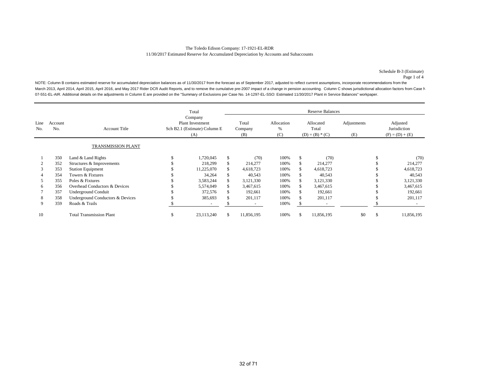Schedule B-3 (Estimate) Page 1 of 4

NOTE: Column B contains estimated reserve for accumulated depreciation balances as of 11/30/2017 from the forecast as of September 2017, adjusted to reflect current assumptions, incorporate recommendations from the March 2013, April 2014, April 2015, April 2016, and May 2017 Rider DCR Audit Reports, and to remove the cumulative pre-2007 impact of a change in pension accounting. Column C shows jurisdictional allocation factors from Ca 07-551-EL-AIR. Additional details on the adjustments in Column E are provided on the "Summary of Exclusions per Case No. 14-1297-EL-SSO: Estimated 11/30/2017 Plant in Service Balances" workpaper.

|             |                |                                  |                                                                           | Total      |     |                          |                        |                                         | <b>Reserve Balances</b> |                    |                                               |            |
|-------------|----------------|----------------------------------|---------------------------------------------------------------------------|------------|-----|--------------------------|------------------------|-----------------------------------------|-------------------------|--------------------|-----------------------------------------------|------------|
| Line<br>No. | Account<br>No. | <b>Account Title</b>             | Company<br><b>Plant Investment</b><br>Sch B2.1 (Estimate) Column E<br>(A) |            |     | Total<br>Company<br>(B)  | Allocation<br>%<br>(C) | Allocated<br>Total<br>$(D) = (B) * (C)$ |                         | Adjustments<br>(E) | Adjusted<br>Jurisdiction<br>$(F) = (D) + (E)$ |            |
|             |                | TRANSMISSION PLANT               |                                                                           |            |     |                          |                        |                                         |                         |                    |                                               |            |
|             | 350            | Land & Land Rights               |                                                                           | 1,720,045  | \$. | (70)                     | 100%                   |                                         | (70)                    |                    |                                               | (70)       |
|             | 352            | Structures & Improvements        |                                                                           | 218,299    | \$. | 214,277                  | 100%                   |                                         | 214,277                 |                    |                                               | 214,277    |
|             | 353            | <b>Station Equipment</b>         |                                                                           | 11,225,070 | \$. | 4,618,723                | 100%                   |                                         | 4,618,723               |                    |                                               | 4,618,723  |
|             | 354            | Towers & Fixtures                |                                                                           | 34,264     | \$. | 40,543                   | 100%                   |                                         | 40,543                  |                    |                                               | 40,543     |
|             | 355            | Poles & Fixtures                 |                                                                           | 3,583,244  |     | 3,121,330                | 100%                   |                                         | 3,121,330               |                    |                                               | 3,121,330  |
| 6           | 356            | Overhead Conductors & Devices    |                                                                           | 5,574,049  |     | 3,467,615                | 100%                   |                                         | 3,467,615               |                    |                                               | 3,467,615  |
|             | 357            | <b>Underground Conduit</b>       |                                                                           | 372,576    |     | 192,661                  | 100%                   |                                         | 192,661                 |                    |                                               | 192,661    |
| 8           | 358            | Underground Conductors & Devices |                                                                           | 385,693    |     | 201,117                  | 100%                   |                                         | 201,117                 |                    |                                               | 201,117    |
| 9           | 359            | Roads & Trails                   |                                                                           |            |     | $\overline{\phantom{a}}$ | 100%                   |                                         |                         |                    |                                               |            |
| 10          |                | <b>Total Transmission Plant</b>  | ъ                                                                         | 23,113,240 | \$. | 11,856,195               | 100%                   |                                         | 11,856,195              | \$0                | \$                                            | 11,856,195 |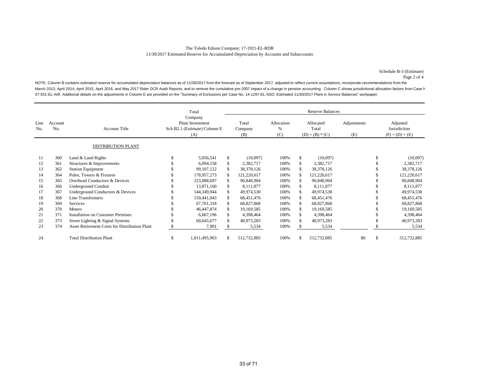Schedule B-3 (Estimate) Page 2 of 4

NOTE: Column B contains estimated reserve for accumulated depreciation balances as of 11/30/2017 from the forecast as of September 2017, adjusted to reflect current assumptions, incorporate recommendations from the March 2013, April 2014, April 2015, April 2016, and May 2017 Rider DCR Audit Reports, and to remove the cumulative pre-2007 impact of a change in pension accounting. Column C shows jurisdictional allocation factors from Ca 07-551-EL-AIR. Additional details on the adjustments in Column E are provided on the "Summary of Exclusions per Case No. 14-1297-EL-SSO: Estimated 11/30/2017 Plant in Service Balances" workpaper.

|             |                |                                               |                                                                    | Total         |    |                         |                        |                                         | <b>Reserve Balances</b> |                    |               |                                               |  |
|-------------|----------------|-----------------------------------------------|--------------------------------------------------------------------|---------------|----|-------------------------|------------------------|-----------------------------------------|-------------------------|--------------------|---------------|-----------------------------------------------|--|
| Line<br>No. | Account<br>No. | <b>Account Title</b>                          | Company<br>Plant Investment<br>Sch B2.1 (Estimate) Column E<br>(A) |               |    | Total<br>Company<br>(B) | Allocation<br>%<br>(C) | Allocated<br>Total<br>$(D) = (B) * (C)$ |                         | Adjustments<br>(E) |               | Adjusted<br>Jurisdiction<br>$(F) = (D) + (E)$ |  |
|             |                | <b>DISTRIBUTION PLANT</b>                     |                                                                    |               |    |                         |                        |                                         |                         |                    |               |                                               |  |
| 11          | 360            | Land & Land Rights                            |                                                                    | 5,056,541     | \$ | (10,097)                | 100%                   | \$.                                     | (10,097)                |                    |               | (10,097)                                      |  |
| 12          | 361            | Structures & Improvements                     |                                                                    | 6,094,158     |    | 2,382,717               | 100%                   |                                         | 2,382,717               |                    |               | 2,382,717                                     |  |
| 13          | 362            | <b>Station Equipment</b>                      |                                                                    | 99.107.122    |    | 38, 378, 126            | 100%                   |                                         | 38,378,126              |                    |               | 38,378,126                                    |  |
| 14          | 364            | Poles, Towers & Fixtures                      |                                                                    | 178,957,273   |    | 121,220,617             | 100%                   |                                         | 121,220,617             |                    |               | 121,220,617                                   |  |
| 15          | 365            | Overhead Conductors & Devices                 |                                                                    | 223,088,697   |    | 90,848,904              | 100%                   |                                         | 90,848,904              |                    |               | 90,848,904                                    |  |
| 16          | 366            | <b>Underground Conduit</b>                    |                                                                    | 13,871,160    |    | 8,111,877               | 100%                   |                                         | 8,111,877               |                    |               | 8,111,877                                     |  |
| 17          | 367            | Underground Conductors & Devices              |                                                                    | 144,349,944   |    | 49,974,530              | 100%                   |                                         | 49,974,530              |                    |               | 49,974,530                                    |  |
| 18          | 368            | Line Transformers                             |                                                                    | 159,441,043   |    | 68,451,476              | 100%                   |                                         | 68,451,476              |                    |               | 68,451,476                                    |  |
| 19          | 369            | Services                                      |                                                                    | 67,761,318    |    | 68,827,868              | 100%                   |                                         | 68,827,868              |                    |               | 68,827,868                                    |  |
| 20          | 370            | Meters                                        |                                                                    | 46,447,874    |    | 19,169,585              | 100%                   |                                         | 19,169,585              |                    |               | 19,169,585                                    |  |
| 21          | 371            | <b>Installation on Customer Premises</b>      |                                                                    | 6,667,196     | S  | 4,398,464               | 100%                   |                                         | 4,398,464               |                    |               | 4,398,464                                     |  |
| 22          | 373            | Street Lighting & Signal Systems              |                                                                    | 60,645,677    |    | 40,973,283              | 100%                   |                                         | 40,973,283              |                    |               | 40,973,283                                    |  |
| 23          | 374            | Asset Retirement Costs for Distribution Plant |                                                                    | 7,901         |    | 5,534                   | 100%                   |                                         | 5,534                   |                    |               | 5,534                                         |  |
| 24          |                | <b>Total Distribution Plant</b>               | S                                                                  | 1,011,495,903 | S. | 512,732,885             | 100%                   |                                         | 512,732,885             | \$0                | <sup>\$</sup> | 512,732,885                                   |  |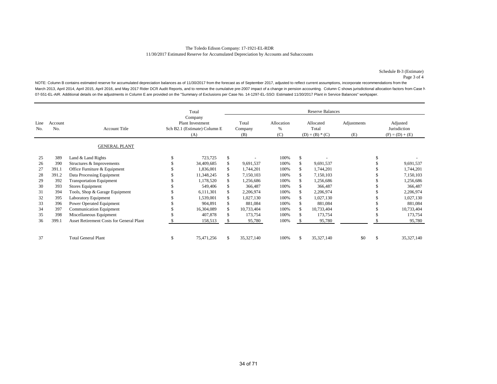Schedule B-3 (Estimate) Page 3 of 4

NOTE: Column B contains estimated reserve for accumulated depreciation balances as of 11/30/2017 from the forecast as of September 2017, adjusted to reflect current assumptions, incorporate recommendations from the March 2013, April 2014, April 2015, April 2016, and May 2017 Rider DCR Audit Reports, and to remove the cumulative pre-2007 impact of a change in pension accounting. Column C shows jurisdictional allocation factors from Ca 07-551-EL-AIR. Additional details on the adjustments in Column E are provided on the "Summary of Exclusions per Case No. 14-1297-EL-SSO: Estimated 11/30/2017 Plant in Service Balances" workpaper.

|             |                | <b>Reserve Balances</b><br>Total         |                                                                    |            |    |                         |                        |                                         |            |                    |   |                                               |  |
|-------------|----------------|------------------------------------------|--------------------------------------------------------------------|------------|----|-------------------------|------------------------|-----------------------------------------|------------|--------------------|---|-----------------------------------------------|--|
| Line<br>No. | Account<br>No. | <b>Account Title</b>                     | Company<br>Plant Investment<br>Sch B2.1 (Estimate) Column E<br>(A) |            |    | Total<br>Company<br>(B) | Allocation<br>%<br>(C) | Allocated<br>Total<br>$(D) = (B) * (C)$ |            | Adjustments<br>(E) |   | Adjusted<br>Jurisdiction<br>$(F) = (D) + (E)$ |  |
|             |                | <b>GENERAL PLANT</b>                     |                                                                    |            |    |                         |                        |                                         |            |                    |   |                                               |  |
| 25          | 389            | Land & Land Rights                       |                                                                    | 723,725    | \$ |                         | 100%                   | \$                                      |            |                    |   |                                               |  |
| 26          | 390            | Structures & Improvements                |                                                                    | 34,409,685 |    | 9,691,537               | 100%                   | S                                       | 9,691,537  |                    |   | 9,691,537                                     |  |
| 27          | 391.1          | Office Furniture & Equipment             |                                                                    | 1,836,001  |    | 1,744,201               | 100%                   |                                         | 1,744,201  |                    |   | 1,744,201                                     |  |
| 28          | 391.2          | Data Processing Equipment                |                                                                    | 11,348,245 |    | 7,150,103               | 100%                   | S.                                      | 7,150,103  |                    |   | 7,150,103                                     |  |
| 29          | 392            | <b>Transportation Equipment</b>          |                                                                    | 1,178,520  |    | 1,256,686               | 100%                   |                                         | 1,256,686  |                    |   | 1,256,686                                     |  |
| 30          | 393            | <b>Stores Equipment</b>                  |                                                                    | 549,406    |    | 366,487                 | 100%                   |                                         | 366,487    |                    |   | 366,487                                       |  |
| 31          | 394            | Tools, Shop & Garage Equipment           |                                                                    | 6,111,301  |    | 2,206,974               | 100%                   |                                         | 2,206,974  |                    |   | 2,206,974                                     |  |
| 32          | 395            | Laboratory Equipment                     |                                                                    | 1,539,001  |    | 1,027,130               | 100%                   |                                         | 1,027,130  |                    |   | 1,027,130                                     |  |
| 33          | 396            | Power Operated Equipment                 |                                                                    | 904,891    |    | 881,084                 | 100%                   |                                         | 881,084    |                    |   | 881,084                                       |  |
| 34          | 397            | <b>Communication Equipment</b>           |                                                                    | 16,304,089 |    | 10,733,404              | 100%                   |                                         | 10,733,404 |                    |   | 10,733,404                                    |  |
| 35          | 398            | Miscellaneous Equipment                  |                                                                    | 407,878    |    | 173,754                 | 100%                   |                                         | 173,754    |                    |   | 173,754                                       |  |
| 36          | 399.1          | Asset Retirement Costs for General Plant |                                                                    | 158,513    |    | 95,780                  | 100%                   |                                         | 95,780     |                    |   | 95,780                                        |  |
| 37          |                | <b>Total General Plant</b>               | S                                                                  | 75,471,256 | S  | 35,327,140              | 100%                   | \$                                      | 35,327,140 | \$0                | S | 35, 327, 140                                  |  |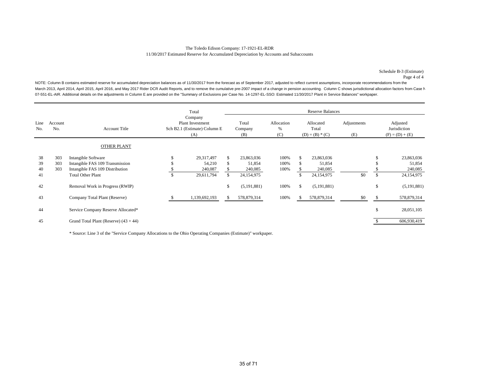#### The Toledo Edison Company: 17-1921-EL-RDR 11/30/2017 Estimated Reserve for Accumulated Depreciation by Accounts and Subaccounts

Schedule B-3 (Estimate) Page 4 of 4

NOTE: Column B contains estimated reserve for accumulated depreciation balances as of 11/30/2017 from the forecast as of September 2017, adjusted to reflect current assumptions, incorporate recommendations from the March 2013, April 2014, April 2015, April 2016, and May 2017 Rider DCR Audit Reports, and to remove the cumulative pre-2007 impact of a change in pension accounting. Column C shows jurisdictional allocation factors from Ca 07-551-EL-AIR. Additional details on the adjustments in Column E are provided on the "Summary of Exclusions per Case No. 14-1297-EL-SSO: Estimated 11/30/2017 Plant in Service Balances" workpaper.

|             |                |                                                        |   | Total                                                                     |    |                         |                        |    | <b>Reserve Balances</b>                 |                    |               |                                               |
|-------------|----------------|--------------------------------------------------------|---|---------------------------------------------------------------------------|----|-------------------------|------------------------|----|-----------------------------------------|--------------------|---------------|-----------------------------------------------|
| Line<br>No. | Account<br>No. | <b>Account Title</b>                                   |   | Company<br><b>Plant Investment</b><br>Sch B2.1 (Estimate) Column E<br>(A) |    | Total<br>Company<br>(B) | Allocation<br>%<br>(C) |    | Allocated<br>Total<br>$(D) = (B) * (C)$ | Adjustments<br>(E) |               | Adjusted<br>Jurisdiction<br>$(F) = (D) + (E)$ |
|             |                | OTHER PLANT                                            |   |                                                                           |    |                         |                        |    |                                         |                    |               |                                               |
| 38<br>39    | 303<br>303     | Intangible Software<br>Intangible FAS 109 Transmission |   | 29,317,497<br>54,210                                                      | \$ | 23,863,036<br>51,854    | 100%<br>100%           |    | 23,863,036<br>51,854                    |                    |               | 23,863,036<br>51,854                          |
| 40          | 303            | Intangible FAS 109 Distribution                        |   | 240,087                                                                   | эv | 240,085                 | 100%                   |    | 240,085                                 |                    |               | 240,085                                       |
| 41          |                | <b>Total Other Plant</b>                               | S | 29,611,794                                                                | \$ | 24,154,975              |                        |    | 24,154,975                              | \$0                | <sup>\$</sup> | 24,154,975                                    |
| 42          |                | Removal Work in Progress (RWIP)                        |   |                                                                           | \$ | (5, 191, 881)           | 100%                   | S. | (5, 191, 881)                           |                    | $\mathbb{S}$  | (5, 191, 881)                                 |
| 43          |                | Company Total Plant (Reserve)                          |   | 1,139,692,193                                                             | Ъ. | 578,879,314             | 100%                   |    | 578,879,314                             | \$0                |               | 578,879,314                                   |
| 44          |                | Service Company Reserve Allocated*                     |   |                                                                           |    |                         |                        |    |                                         |                    | \$            | 28,051,105                                    |
| 45          |                | Grand Total Plant (Reserve) $(43 + 44)$                |   |                                                                           |    |                         |                        |    |                                         |                    |               | 606,930,419                                   |

\* Source: Line 3 of the "Service Company Allocations to the Ohio Operating Companies (Estimate)" workpaper.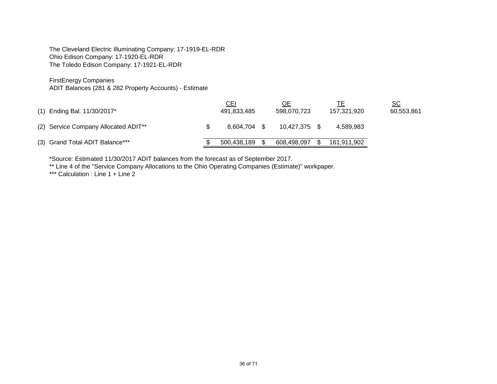The Cleveland Electric Illuminating Company: 17-1919-EL-RDR Ohio Edison Company: 17-1920-EL-RDR The Toledo Edison Company: 17-1921-EL-RDR

FirstEnergy Companies

ADIT Balances (281 & 282 Property Accounts) - Estimate

| (1) Ending Bal. 11/30/2017*                      | <u>CEI</u><br>491,833,485 | ОE<br>598.070.723 | 157.321.920 | <u>sc</u><br>60,553,861 |
|--------------------------------------------------|---------------------------|-------------------|-------------|-------------------------|
| (2) Service Company Allocated ADIT <sup>**</sup> | 8.604.704 \$              | 10.427.375        | 4.589.983   |                         |
| (3) Grand Total ADIT Balance***                  | 500.438.189               | 608.498.097       | 161,911,902 |                         |

\*Source: Estimated 11/30/2017 ADIT balances from the forecast as of September 2017.

\*\* Line 4 of the "Service Company Allocations to the Ohio Operating Companies (Estimate)" workpaper.

\*\*\* Calculation : Line 1 + Line 2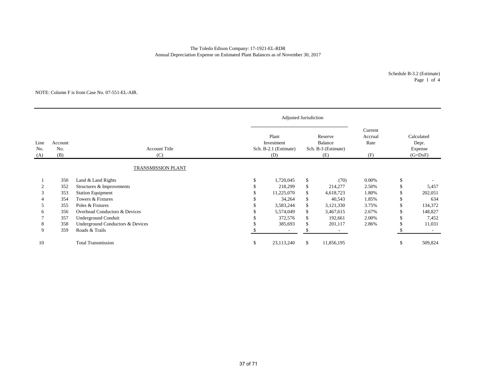#### The Toledo Edison Company: 17-1921-EL-RDR Annual Depreciation Expense on Estimated Plant Balances as of November 30, 2017

Schedule B-3.2 (Estimate) Page 1 of 4

#### NOTE: Column F is from Case No. 07-551-EL-AIR.

|                    |                       |                                  |                                                     | Adjusted Jurisdiction    |    |                                                  |                                   |                                             |         |
|--------------------|-----------------------|----------------------------------|-----------------------------------------------------|--------------------------|----|--------------------------------------------------|-----------------------------------|---------------------------------------------|---------|
| Line<br>No.<br>(A) | Account<br>No.<br>(B) | <b>Account Title</b><br>(C)      | Plant<br>Investment<br>Sch. B-2.1 (Estimate)<br>(D) |                          |    | Reserve<br>Balance<br>Sch. B-3 (Estimate)<br>(E) | Current<br>Accrual<br>Rate<br>(F) | Calculated<br>Depr.<br>Expense<br>$(G=DxF)$ |         |
|                    |                       | TRANSMISSION PLANT               |                                                     |                          |    |                                                  |                                   |                                             |         |
|                    | 350                   | Land & Land Rights               | \$                                                  | 1,720,045                | \$ | (70)                                             | 0.00%                             | <sup>\$</sup>                               |         |
|                    | 352                   | Structures & Improvements        |                                                     | 218,299                  | \$ | 214,277                                          | 2.50%                             |                                             | 5,457   |
|                    | 353                   | <b>Station Equipment</b>         |                                                     | 11,225,070               | \$ | 4,618,723                                        | 1.80%                             |                                             | 202,051 |
|                    | 354                   | Towers & Fixtures                |                                                     | 34,264                   | \$ | 40,543                                           | 1.85%                             |                                             | 634     |
|                    | 355                   | Poles & Fixtures                 |                                                     | 3,583,244                | \$ | 3,121,330                                        | 3.75%                             |                                             | 134,372 |
| 6                  | 356                   | Overhead Conductors & Devices    |                                                     | 5,574,049                | \$ | 3,467,615                                        | 2.67%                             |                                             | 148,827 |
|                    | 357                   | <b>Underground Conduit</b>       |                                                     | 372,576                  | \$ | 192,661                                          | 2.00%                             |                                             | 7,452   |
| 8                  | 358                   | Underground Conductors & Devices |                                                     | 385,693                  | \$ | 201,117                                          | 2.86%                             |                                             | 11,031  |
| 9                  | 359                   | Roads & Trails                   |                                                     | $\overline{\phantom{a}}$ | \$ |                                                  |                                   |                                             |         |
| 10                 |                       | <b>Total Transmission</b>        | \$                                                  | 23,113,240               | \$ | 11,856,195                                       |                                   | <sup>\$</sup>                               | 509,824 |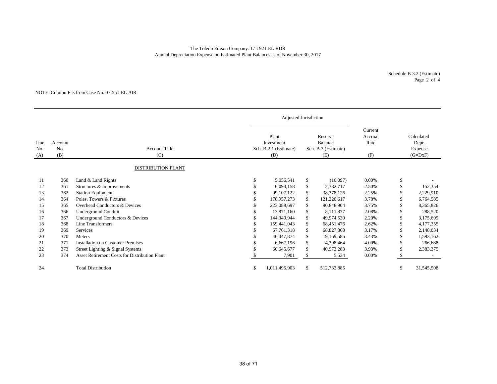#### The Toledo Edison Company: 17-1921-EL-RDR Annual Depreciation Expense on Estimated Plant Balances as of November 30, 2017

Schedule B-3.2 (Estimate) Page 2 of 4

#### NOTE: Column F is from Case No. 07-551-EL-AIR.

|                    |                       |                                                      | Adjusted Jurisdiction                               |              |                                                  |                                   |               |                                             |
|--------------------|-----------------------|------------------------------------------------------|-----------------------------------------------------|--------------|--------------------------------------------------|-----------------------------------|---------------|---------------------------------------------|
| Line<br>No.<br>(A) | Account<br>No.<br>(B) | <b>Account Title</b><br>(C)                          | Plant<br>Investment<br>Sch. B-2.1 (Estimate)<br>(D) |              | Reserve<br>Balance<br>Sch. B-3 (Estimate)<br>(E) | Current<br>Accrual<br>Rate<br>(F) |               | Calculated<br>Depr.<br>Expense<br>$(G=DxF)$ |
|                    |                       | <b>DISTRIBUTION PLANT</b>                            |                                                     |              |                                                  |                                   |               |                                             |
| 11<br>12           | 360<br>361            | Land & Land Rights<br>Structures & Improvements      | \$<br>5,056,541<br>6.094.158                        | \$<br>\$     | (10,097)<br>2,382,717                            | $0.00\%$<br>2.50%                 | \$<br>\$      | 152,354                                     |
| 13                 | 362                   | <b>Station Equipment</b>                             | 99, 107, 122                                        | \$           | 38, 378, 126                                     | 2.25%                             | <sup>\$</sup> | 2,229,910                                   |
| 14                 | 364                   | Poles, Towers & Fixtures                             | 178,957,273                                         | \$           | 121,220,617                                      | 3.78%                             | S             | 6,764,585                                   |
| 15                 | 365                   | Overhead Conductors & Devices                        | 223,088,697                                         | \$           | 90.848.904                                       | 3.75%                             | \$            | 8,365,826                                   |
| 16                 | 366                   | Underground Conduit                                  | 13,871,160                                          | \$           | 8,111,877                                        | 2.08%                             | \$            | 288,520                                     |
| 17                 | 367                   | Underground Conductors & Devices                     | 144,349,944                                         | $\mathbb{S}$ | 49,974,530                                       | 2.20%                             | \$            | 3,175,699                                   |
| 18                 | 368                   | Line Transformers                                    | 159,441,043                                         | \$           | 68,451,476                                       | 2.62%                             | \$            | 4,177,355                                   |
| 19                 | 369                   | Services                                             | 67,761,318                                          | \$           | 68,827,868                                       | 3.17%                             | \$            | 2,148,034                                   |
| 20                 | 370                   | Meters                                               | 46,447,874                                          | \$           | 19,169,585                                       | 3.43%                             | <sup>\$</sup> | 1,593,162                                   |
| 21                 | 371                   | <b>Installation on Customer Premises</b>             | 6,667,196                                           | \$           | 4,398,464                                        | 4.00%                             | \$            | 266,688                                     |
| 22                 | 373                   | Street Lighting & Signal Systems                     | 60,645,677                                          | \$           | 40,973,283                                       | 3.93%                             | \$            | 2,383,375                                   |
| 23                 | 374                   | <b>Asset Retirement Costs for Distribution Plant</b> | 7,901                                               | S            | 5,534                                            | 0.00%                             | \$            |                                             |
| 24                 |                       | <b>Total Distribution</b>                            | \$<br>1,011,495,903                                 | \$           | 512,732,885                                      |                                   | \$            | 31,545,508                                  |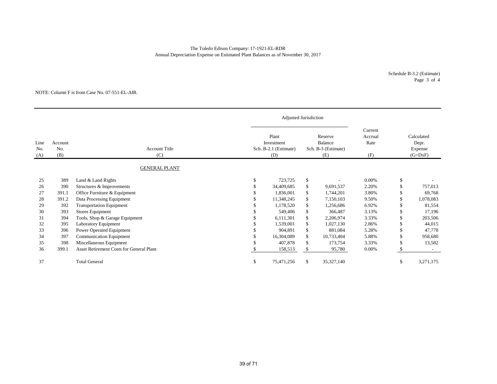#### Annual Depreciation Expense on Estimated Plant Balances as of November 30, 2017 The Toledo Edison Company: 17-1921-EL-RDR

Schedule B-3.2 (Estimate) Page 3 of 4

#### NOTE: Column F is from Case No. 07-551-EL-AIR.

|                    |                       |                                                 | <b>Adjusted Jurisdiction</b>                        |              |                                                  |                                   |                                             |
|--------------------|-----------------------|-------------------------------------------------|-----------------------------------------------------|--------------|--------------------------------------------------|-----------------------------------|---------------------------------------------|
| Line<br>No.<br>(A) | Account<br>No.<br>(B) | <b>Account Title</b><br>(C)                     | Plant<br>Investment<br>Sch. B-2.1 (Estimate)<br>(D) |              | Reserve<br>Balance<br>Sch. B-3 (Estimate)<br>(E) | Current<br>Accrual<br>Rate<br>(F) | Calculated<br>Depr.<br>Expense<br>$(G=DxF)$ |
|                    |                       | <b>GENERAL PLANT</b>                            |                                                     |              |                                                  |                                   |                                             |
| 25                 | 389                   | Land & Land Rights                              | \$<br>723,725                                       | \$           |                                                  | 0.00%                             | \$                                          |
| 26                 | 390                   | Structures & Improvements                       | 34,409,685                                          | $\mathbb{S}$ | 9,691,537                                        | 2.20%                             | 757,013                                     |
| 27                 | 391.1                 | Office Furniture & Equipment                    | 1,836,001                                           | \$           | 1,744,201                                        | 3.80%                             | 69,768                                      |
| 28                 | 391.2                 | Data Processing Equipment                       | 11,348,245                                          | \$           | 7,150,103                                        | 9.50%                             | 1,078,083                                   |
| 29                 | 392                   | <b>Transportation Equipment</b>                 | 1,178,520                                           | \$           | 1,256,686                                        | 6.92%                             | 81,554                                      |
| 30                 | 393                   | <b>Stores Equipment</b>                         | 549,406                                             | \$           | 366,487                                          | 3.13%                             | 17,196                                      |
| 31                 | 394                   | Tools, Shop & Garage Equipment                  | 6,111,301                                           | \$           | 2,206,974                                        | 3.33%                             | 203,506                                     |
| 32                 | 395                   | Laboratory Equipment                            | 1,539,001                                           | \$           | 1,027,130                                        | 2.86%                             | 44,015                                      |
| 33                 | 396                   | Power Operated Equipment                        | 904,891                                             | \$           | 881,084                                          | 5.28%                             | 47,778                                      |
| 34                 | 397                   | Communication Equipment                         | 16,304,089                                          | \$           | 10,733,404                                       | 5.88%                             | 958,680                                     |
| 35                 | 398                   | Miscellaneous Equipment                         | 407,878                                             | \$           | 173,754                                          | 3.33%                             | 13,582                                      |
| 36                 | 399.1                 | <b>Asset Retirement Costs for General Plant</b> | 158,513                                             | \$           | 95,780                                           | 0.00%                             |                                             |
| 37                 |                       | <b>Total General</b>                            | \$<br>75,471,256                                    | \$           | 35, 327, 140                                     |                                   | \$<br>3,271,175                             |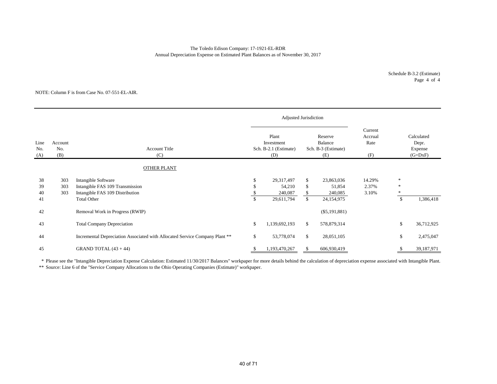#### The Toledo Edison Company: 17-1921-EL-RDR Annual Depreciation Expense on Estimated Plant Balances as of November 30, 2017

Schedule B-3.2 (Estimate) Page 4 of 4

#### NOTE: Column F is from Case No. 07-551-EL-AIR.

|                                             |                   |                                                                                           |                                                     | Adjusted Jurisdiction           |                                                  |                                 |                                   |                                             |            |
|---------------------------------------------|-------------------|-------------------------------------------------------------------------------------------|-----------------------------------------------------|---------------------------------|--------------------------------------------------|---------------------------------|-----------------------------------|---------------------------------------------|------------|
| Line<br>Account<br>No.<br>No.<br>(B)<br>(A) |                   | <b>Account Title</b><br>(C)                                                               | Plant<br>Investment<br>Sch. B-2.1 (Estimate)<br>(D) |                                 | Reserve<br>Balance<br>Sch. B-3 (Estimate)<br>(E) |                                 | Current<br>Accrual<br>Rate<br>(F) | Calculated<br>Depr.<br>Expense<br>$(G=DxF)$ |            |
|                                             |                   | <b>OTHER PLANT</b>                                                                        |                                                     |                                 |                                                  |                                 |                                   |                                             |            |
| 38<br>39<br>40                              | 303<br>303<br>303 | Intangible Software<br>Intangible FAS 109 Transmission<br>Intangible FAS 109 Distribution | \$                                                  | 29,317,497<br>54,210<br>240,087 | \$<br>\$<br>\$                                   | 23,863,036<br>51,854<br>240,085 | 14.29%<br>2.37%<br>3.10%          | $\ast$<br>$\ast$<br>∗                       |            |
| 41                                          |                   | <b>Total Other</b>                                                                        | $\mathbb{S}$                                        | 29,611,794                      | $\mathbb{S}$                                     | 24,154,975                      |                                   | $\mathbb{S}$                                | 1,386,418  |
| 42                                          |                   | Removal Work in Progress (RWIP)                                                           |                                                     |                                 |                                                  | $(\$5,191,881)$                 |                                   |                                             |            |
| 43                                          |                   | <b>Total Company Depreciation</b>                                                         | \$                                                  | 1,139,692,193                   | \$                                               | 578,879,314                     |                                   | \$                                          | 36,712,925 |
| 44                                          |                   | Incremental Depreciation Associated with Allocated Service Company Plant **               | \$                                                  | 53,778,074                      | \$                                               | 28,051,105                      |                                   | \$                                          | 2,475,047  |
| 45                                          |                   | GRAND TOTAL $(43 + 44)$                                                                   |                                                     | 1,193,470,267                   | S                                                | 606,930,419                     |                                   |                                             | 39,187,971 |

\* Please see the "Intangible Depreciation Expense Calculation: Estimated 11/30/2017 Balances" workpaper for more details behind the calculation of depreciation expense associated with Intangible Plant.

\*\* Source: Line 6 of the "Service Company Allocations to the Ohio Operating Companies (Estimate)" workpaper.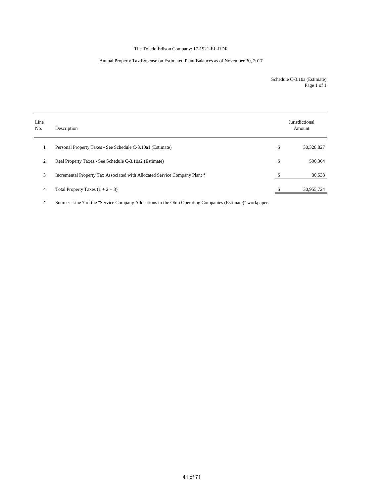### The Toledo Edison Company: 17-1921-EL-RDR

### Annual Property Tax Expense on Estimated Plant Balances as of November 30, 2017

Schedule C-3.10a (Estimate) Page 1 of 1

| Line<br>No. | Description                                                                | Jurisdictional<br>Amount |
|-------------|----------------------------------------------------------------------------|--------------------------|
|             | Personal Property Taxes - See Schedule C-3.10a1 (Estimate)                 | \$<br>30,328,827         |
| 2           | Real Property Taxes - See Schedule C-3.10a2 (Estimate)                     | \$<br>596,364            |
| 3           | Incremental Property Tax Associated with Allocated Service Company Plant * | 30,533                   |
| 4           | Total Property Taxes $(1 + 2 + 3)$                                         | 30,955,724               |

\* Source: Line 7 of the "Service Company Allocations to the Ohio Operating Companies (Estimate)" workpaper.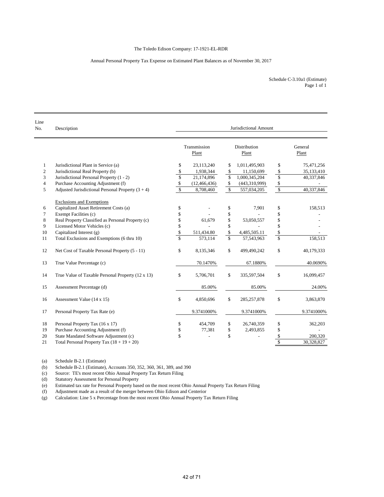#### Annual Personal Property Tax Expense on Estimated Plant Balances as of November 30, 2017

Schedule C-3.10a1 (Estimate) Page 1 of 1

| Line<br>No.             | Description                                         | Jurisdictional Amount   |                       |                         |                       |                         |                  |  |  |  |
|-------------------------|-----------------------------------------------------|-------------------------|-----------------------|-------------------------|-----------------------|-------------------------|------------------|--|--|--|
|                         |                                                     |                         | Transmission<br>Plant |                         | Distribution<br>Plant |                         | General<br>Plant |  |  |  |
| 1                       | Jurisdictional Plant in Service (a)                 | \$                      | 23,113,240            | S                       | 1,011,495,903         | \$                      | 75,471,256       |  |  |  |
| $\mathfrak{2}$          | Jurisdictional Real Property (b)                    | \$                      | 1,938,344             | \$                      | 11,150,699            | $\mathbb{S}$            | 35,133,410       |  |  |  |
| 3                       | Jurisdictional Personal Property (1 - 2)            | \$                      | 21,174,896            | \$                      | 1,000,345,204         | \$                      | 40,337,846       |  |  |  |
| $\overline{\mathbf{4}}$ | Purchase Accounting Adjustment (f)                  | \$                      | (12, 466, 436)        | \$                      | (443,310,999)         | $\mathbb{S}$            |                  |  |  |  |
| 5                       | Adjusted Jurisdictional Personal Property $(3 + 4)$ | \$                      | 8,708,460             | $\sqrt{3}$              | 557,034,205           | $\sqrt{2}$              | 40,337,846       |  |  |  |
|                         | <b>Exclusions and Exemptions</b>                    |                         |                       |                         |                       |                         |                  |  |  |  |
| 6                       | Capitalized Asset Retirement Costs (a)              | \$                      |                       | \$                      | 7,901                 | \$                      | 158,513          |  |  |  |
| 7                       | Exempt Facilities (c)                               | \$                      |                       | \$                      |                       | \$                      |                  |  |  |  |
| 8                       | Real Property Classified as Personal Property (c)   | \$                      | 61,679                | \$                      | 53,050,557            | \$                      |                  |  |  |  |
| 9                       | Licensed Motor Vehicles (c)                         | \$                      |                       | \$                      |                       | \$                      |                  |  |  |  |
| 10                      | Capitalized Interest (g)                            | \$                      | 511,434.80            | \$                      | 4,485,505.11          | \$                      |                  |  |  |  |
| 11                      | Total Exclusions and Exemptions (6 thru 10)         | $\overline{\mathbb{S}}$ | 573,114               | $\overline{\mathbb{S}}$ | 57,543,963            | \$                      | 158,513          |  |  |  |
| 12                      | Net Cost of Taxable Personal Property (5 - 11)      | \$                      | 8,135,346             | \$                      | 499,490,242           | \$                      | 40,179,333       |  |  |  |
| 13                      | True Value Percentage (c)                           |                         | 70.1470%              |                         | 67.1880%              |                         | 40.0690%         |  |  |  |
| 14                      | True Value of Taxable Personal Property (12 x 13)   | \$                      | 5,706,701             | \$                      | 335,597,504           | \$                      | 16,099,457       |  |  |  |
| 15                      | Assessment Percentage (d)                           |                         | 85.00%                |                         | 85.00%                |                         | 24.00%           |  |  |  |
| 16                      | Assessment Value (14 x 15)                          | \$                      | 4,850,696             | \$                      | 285, 257, 878         | \$                      | 3,863,870        |  |  |  |
| 17                      | Personal Property Tax Rate (e)                      |                         | 9.3741000%            |                         | 9.3741000%            |                         | 9.3741000%       |  |  |  |
| 18                      | Personal Property Tax (16 x 17)                     | \$                      | 454,709               | \$                      | 26,740,359            | \$                      | 362,203          |  |  |  |
| 19                      | Purchase Accounting Adjustment (f)                  | \$                      | 77,381                | \$                      | 2,493,855             | \$                      |                  |  |  |  |
| 20                      | State Mandated Software Adjustment (c)              | \$                      |                       | \$                      |                       | \$                      | 200,320          |  |  |  |
| 21                      | Total Personal Property Tax $(18 + 19 + 20)$        |                         |                       |                         |                       | $\overline{\mathbb{S}}$ | 30,328,827       |  |  |  |

(a) Schedule B-2.1 (Estimate)

(b) Schedule B-2.1 (Estimate), Accounts 350, 352, 360, 361, 389, and 390

(c) Source: TE's most recent Ohio Annual Property Tax Return Filing

(d) Statutory Assessment for Personal Property

(e) Estimated tax rate for Personal Property based on the most recent Ohio Annual Property Tax Return Filing

(f) Adjustment made as a result of the merger between Ohio Edison and Centerior

(g) Calculation: Line 5 x Percentage from the most recent Ohio Annual Property Tax Return Filing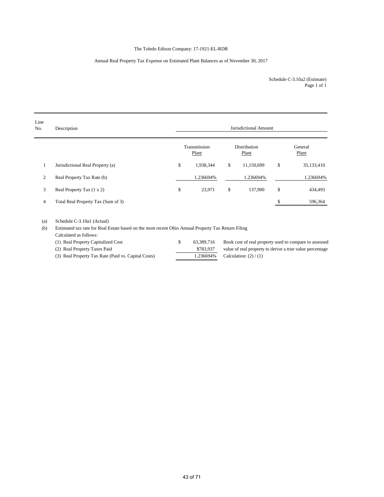### The Toledo Edison Company: 17-1921-EL-RDR

#### Annual Real Property Tax Expense on Estimated Plant Balances as of November 30, 2017

Page 1 of 1 Schedule C-3.10a2 (Estimate)

| Line<br>No. | Description                        | Jurisdictional Amount |                       |    |                              |    |                  |  |
|-------------|------------------------------------|-----------------------|-----------------------|----|------------------------------|----|------------------|--|
|             |                                    |                       | Transmission<br>Plant |    | <b>Distribution</b><br>Plant |    | General<br>Plant |  |
|             | Jurisdictional Real Property (a)   | \$                    | 1,938,344             | \$ | 11,150,699                   | \$ | 35,133,410       |  |
| 2           | Real Property Tax Rate (b)         |                       | 1.236694%             |    | 1.236694%                    |    | 1.236694%        |  |
| 3           | Real Property Tax (1 x 2)          | \$                    | 23,971                | \$ | 137,900                      | \$ | 434,493          |  |
| 4           | Total Real Property Tax (Sum of 3) |                       |                       |    |                              |    | 596,364          |  |

(a) Schedule C-3.10a1 (Actual)

(b) Estimated tax rate for Real Estate based on the most recent Ohio Annual Property Tax Return Filing

Calculated as follows:

| (1) Real Property Capitalized Cost                  | 63.389.716 | Book cost of real property used to compare to assessed   |
|-----------------------------------------------------|------------|----------------------------------------------------------|
| (2) Real Property Taxes Paid                        | \$783.937  | value of real property to derive a true value percentage |
| (3) Real Property Tax Rate (Paid vs. Capital Costs) |            | 1.236694% Calculation: $(2) / (1)$                       |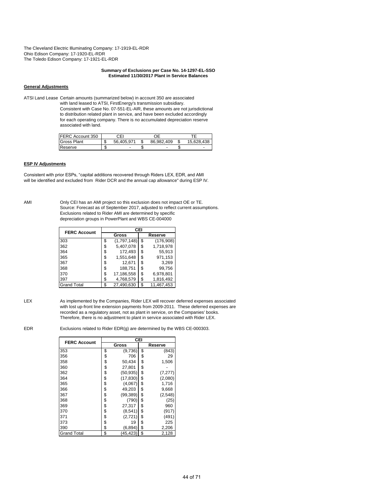The Cleveland Electric Illuminating Company: 17-1919-EL-RDR Ohio Edison Company: 17-1920-EL-RDR The Toledo Edison Company: 17-1921-EL-RDR

#### **Summary of Exclusions per Case No. 14-1297-EL-SSO Estimated 11/30/2017 Plant in Service Balances**

#### **General Adjustments**

ATSI Land Lease Certain amounts (summarized below) in account 350 are associated with land leased to ATSI, FirstEnergy's transmission subsidiary. Consistent with Case No. 07-551-EL-AIR, these amounts are not jurisdictional to distribution related plant in service, and have been excluded accordingly for each operating company. There is no accumulated depreciation reserve associated with land.

| <b>FERC Account 350</b> |         | СEI        | DЕ         |            |
|-------------------------|---------|------------|------------|------------|
| <b>Gross Plant</b>      | ₼<br>J  | 56.405.971 | 86.982.409 | 15.628.438 |
| Reserve                 | Ф<br>мD | -          | -          | -          |

#### **ESP IV Adjustments**

Consistent with prior ESPs, "capital additions recovered through Riders LEX, EDR, and AMI will be identified and excluded from Rider DCR and the annual cap allowance" during ESP IV.

AMI Only CEI has an AMI project so this exclusion does not impact OE or TE. Source: Forecast as of September 2017, adjusted to reflect current assumptions. Exclusions related to Rider AMI are determined by specific depreciation groups in PowerPlant and WBS CE-004000

| <b>FERC Account</b> | CEI               |    |            |  |  |  |  |  |  |
|---------------------|-------------------|----|------------|--|--|--|--|--|--|
|                     | Gross             |    | Reserve    |  |  |  |  |  |  |
| 303                 | \$<br>(1,797,148) | \$ | (176,908)  |  |  |  |  |  |  |
| 362                 | \$<br>5,407,078   | \$ | 1,718,978  |  |  |  |  |  |  |
| 364                 | \$<br>172.493     | \$ | 55.913     |  |  |  |  |  |  |
| 365                 | \$<br>1,551,648   | \$ | 971,153    |  |  |  |  |  |  |
| 367                 | \$<br>12,671      | S  | 3,269      |  |  |  |  |  |  |
| 368                 | \$<br>188,751     | \$ | 99.756     |  |  |  |  |  |  |
| 370                 | \$<br>17,186,558  | \$ | 6,978,801  |  |  |  |  |  |  |
| 397                 | \$<br>4,768,579   | \$ | 1,816,492  |  |  |  |  |  |  |
| <b>Grand Total</b>  | \$<br>27,490,630  | \$ | 11,467,453 |  |  |  |  |  |  |

LEX As implemented by the Companies, Rider LEX will recover deferred expenses associated with lost up-front line extension payments from 2009-2011. These deferred expenses are recorded as a regulatory asset, not as plant in service, on the Companies' books. Therefore, there is no adjustment to plant in service associated with Rider LEX.

EDR Exclusions related to Rider EDR(g) are determined by the WBS CE-000303.

| <b>FERC Account</b> | CEI |           |    |          |  |  |  |  |  |  |
|---------------------|-----|-----------|----|----------|--|--|--|--|--|--|
|                     |     | Gross     |    | Reserve  |  |  |  |  |  |  |
| 353                 | \$  | (9,736)   | \$ | (843)    |  |  |  |  |  |  |
| 356                 | \$  | 706       | \$ | 29       |  |  |  |  |  |  |
| 358                 | \$  | 50,434    | \$ | 1,506    |  |  |  |  |  |  |
| 360                 | \$  | 27,801    | \$ |          |  |  |  |  |  |  |
| 362                 | \$  | (50, 935) | \$ | (7, 277) |  |  |  |  |  |  |
| 364                 | \$  | (17, 830) | \$ | (2,080)  |  |  |  |  |  |  |
| 365                 | \$  | (4,067)   | \$ | 1,716    |  |  |  |  |  |  |
| 366                 | \$  | 49,203    | \$ | 9,668    |  |  |  |  |  |  |
| 367                 | \$  | (99, 389) | \$ | (2,548)  |  |  |  |  |  |  |
| 368                 | \$  | (790)     | \$ | (25)     |  |  |  |  |  |  |
| 369                 | \$  | 27,317    | \$ | 960      |  |  |  |  |  |  |
| 370                 | \$  | (8,541)   | \$ | (917)    |  |  |  |  |  |  |
| 371                 | \$  | (2,721)   | \$ | (491)    |  |  |  |  |  |  |
| 373                 | \$  | 19        | \$ | 225      |  |  |  |  |  |  |
| 390                 | \$  | (6, 894)  | \$ | 2,206    |  |  |  |  |  |  |
| <b>Grand Total</b>  | \$  | (45,423   | \$ | 2,128    |  |  |  |  |  |  |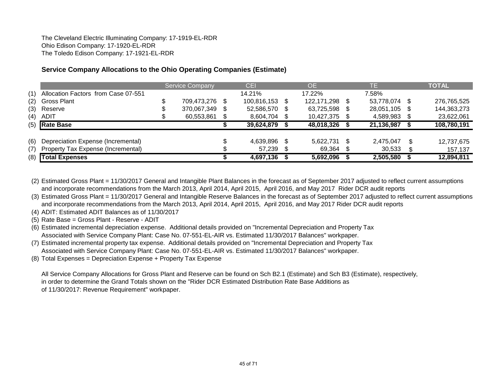The Cleveland Electric Illuminating Company: 17-1919-EL-RDR Ohio Edison Company: 17-1920-EL-RDR The Toledo Edison Company: 17-1921-EL-RDR

# **Service Company Allocations to the Ohio Operating Companies (Estimate)**

|     |                                     | <b>Service Company</b> |     | <b>CEI</b>  |      | <b>OE</b>      | TΕ         |    | <b>TOTAL</b> |
|-----|-------------------------------------|------------------------|-----|-------------|------|----------------|------------|----|--------------|
| (1) | Allocation Factors from Case 07-551 |                        |     | 14.21%      |      | 17.22%         | 7.58%      |    |              |
| (2) | <b>Gross Plant</b>                  | 709,473,276            | \$. | 100,816,153 | - \$ | 122,171,298 \$ | 53,778,074 |    | 276,765,525  |
| (3) | Reserve                             | 370,067,349            | \$. | 52,586,570  | - \$ | 63,725,598     | 28,051,105 |    | 144,363,273  |
| (4) | ADIT                                | 60,553,861             |     | 8,604,704   | - \$ | 10,427,375 \$  | 4,589,983  |    | 23,622,061   |
|     | $(5)$ Rate Base                     |                        |     | 39,624,879  |      | 48,018,326     | 21,136,987 |    | 108,780,191  |
|     |                                     |                        |     |             |      |                |            |    |              |
| (6) | Depreciation Expense (Incremental)  |                        |     | 4,639,896   | - \$ | 5,622,731 \$   | 2.475.047  | £. | 12,737,675   |
| (7) | Property Tax Expense (Incremental)  |                        |     | 57,239      |      | 69,364 \$      | 30,533     |    | 157,137      |
|     | (8) Total Expenses                  |                        |     | 4,697,136   |      | 5,692,096      | 2,505,580  |    | 12,894,811   |

(2) Estimated Gross Plant = 11/30/2017 General and Intangible Plant Balances in the forecast as of September 2017 adjusted to reflect current assumptions and incorporate recommendations from the March 2013, April 2014, April 2015, April 2016, and May 2017 Rider DCR audit reports

(3) Estimated Gross Plant = 11/30/2017 General and Intangible Reserve Balances in the forecast as of September 2017 adjusted to reflect current assumptions and incorporate recommendations from the March 2013, April 2014, April 2015, April 2016, and May 2017 Rider DCR audit reports

(4) ADIT: Estimated ADIT Balances as of 11/30/2017

(5) Rate Base = Gross Plant - Reserve - ADIT

(6) Estimated incremental depreciation expense. Additional details provided on "Incremental Depreciation and Property Tax Associated with Service Company Plant: Case No. 07-551-EL-AIR vs. Estimated 11/30/2017 Balances" workpaper.

- (7) Estimated incremental property tax expense. Additional details provided on "Incremental Depreciation and Property Tax Associated with Service Company Plant: Case No. 07-551-EL-AIR vs. Estimated 11/30/2017 Balances" workpaper.
- (8) Total Expenses = Depreciation Expense + Property Tax Expense

All Service Company Allocations for Gross Plant and Reserve can be found on Sch B2.1 (Estimate) and Sch B3 (Estimate), respectively, in order to determine the Grand Totals shown on the "Rider DCR Estimated Distribution Rate Base Additions as of 11/30/2017: Revenue Requirement" workpaper.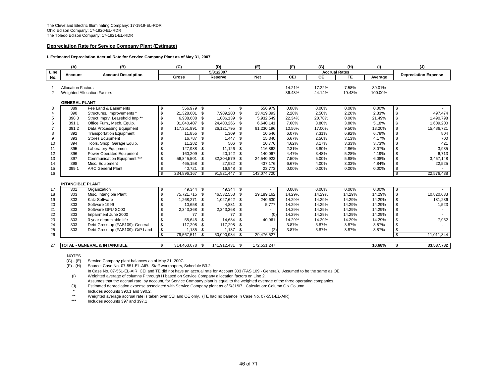#### **Depreciation Rate for Service Company Plant (Estimate)**

#### **I. Estimated Depreciation Accrual Rate for Service Company Plant as of May 31, 2007**

|      | (A)                       | (B)                                       |    | (C)           |      | (D)            |                          | (E)         | (F)    | (G)                  | (H)       | (1)     |                | (J)                         |
|------|---------------------------|-------------------------------------------|----|---------------|------|----------------|--------------------------|-------------|--------|----------------------|-----------|---------|----------------|-----------------------------|
| Line | <b>Account</b>            | <b>Account Description</b>                |    |               |      | 5/31/2007      |                          |             |        | <b>Accrual Rates</b> |           |         |                | <b>Depreciation Expense</b> |
| No.  |                           |                                           |    | Gross         |      | Reserve        |                          | <b>Net</b>  | CEI    | <b>OE</b>            | <b>TE</b> | Average |                |                             |
|      |                           |                                           |    |               |      |                |                          |             |        |                      |           |         |                |                             |
|      | <b>Allocation Factors</b> |                                           |    |               |      |                |                          |             | 14.21% | 17.22%               | 7.58%     | 39.01%  |                |                             |
| 2    |                           | <b>Weighted Allocation Factors</b>        |    |               |      |                |                          |             | 36.43% | 44.14%               | 19.43%    | 100.00% |                |                             |
|      |                           |                                           |    |               |      |                |                          |             |        |                      |           |         |                |                             |
|      | <b>GENERAL PLANT</b>      |                                           |    |               |      |                |                          |             |        |                      |           |         |                |                             |
| 3    | 389                       | Fee Land & Easements                      | S  | 556.979 \$    |      |                | \$                       | 556,979     | 0.00%  | 0.00%                | 0.00%     | 0.00%   | \$             |                             |
| 4    | 390                       | Structures, Improvements *                | \$ | 21,328,601    | \$   | 7.909.208      | \$                       | 13.419.393  | 2.20%  | 2.50%                | 2.20%     | 2.33%   | \$             | 497,474                     |
| 5    | 390.3                     | Struct Imprv, Leasehold Imp <sup>**</sup> | \$ | 6,938,688 \$  |      | 1,006,139 \$   |                          | 5,932,549   | 22.34% | 20.78%               | 0.00%     | 21.49%  | \$             | 1,490,798                   |
| 6    | 391.1                     | Office Furn., Mech. Equip.                | \$ | 31,040,407    | - \$ | 24.400.266     | - \$                     | 6,640,141   | 7.60%  | 3.80%                | 3.80%     | 5.18%   | \$             | 1,609,200                   |
|      | 391.2                     | Data Processing Equipment                 | \$ | 117,351,991   | \$   | 26,121,795     | - \$                     | 91,230,196  | 10.56% | 17.00%               | 9.50%     | 13.20%  | \$             | 15,486,721                  |
| 8    | 392                       | <b>Transportation Equipment</b>           | \$ | 11,855        | - \$ | 1,309          | - \$                     | 10,546      | 6.07%  | 7.31%                | 6.92%     | 6.78%   | \$             | 804                         |
| 9    | 393                       | <b>Stores Equipment</b>                   |    | 16.787        | -S   | 1.447          | - \$                     | 15,340      | 6.67%  | 2.56%                | 3.13%     | 4.17%   | \$             | 700                         |
| 10   | 394                       | Tools, Shop, Garage Equip.                |    | 11,282        | \$   | 506            | - \$                     | 10,776      | 4.62%  | 3.17%                | 3.33%     | 3.73%   | \$             | 421                         |
| 11   | 395                       | <b>Laboratory Equipment</b>               | S  | 127.988       | \$   | 11.126         | - \$                     | 116,862     | 2.31%  | 3.80%                | 2.86%     | 3.07%   | \$             | 3,935                       |
| 12   | 396                       | <b>Power Operated Equipment</b>           | \$ | 160,209       | \$   | 20,142 \$      |                          | 140,067     | 4.47%  | 3.48%                | 5.28%     | 4.19%   | \$             | 6,713                       |
| 13   | 397                       | Communication Equipment ***               | \$ | 56,845,501    | \$   | 32,304,579     | - \$                     | 24,540,922  | 7.50%  | 5.00%                | 5.88%     | 6.08%   | \$             | 3,457,148                   |
| 14   | 398                       | Misc. Equipment                           |    | 465,158       | \$   | 27,982 \$      |                          | 437,176     | 6.67%  | 4.00%                | 3.33%     | 4.84%   | \$             | 22,525                      |
| 15   | 399.1                     | <b>ARC General Plant</b>                  |    | 40,721        | -\$  | 16,948         | - \$                     | 23,773      | 0.00%  | 0.00%                | 0.00%     | 0.00%   | \$             |                             |
| 16   |                           |                                           | \$ | 234,896,167   | \$   | 91,821,447     | $\overline{\mathcal{S}}$ | 143,074,720 |        |                      |           |         | $\mathfrak{L}$ | 22,576,438                  |
|      |                           |                                           |    |               |      |                |                          |             |        |                      |           |         |                |                             |
|      | <b>INTANGIBLE PLANT</b>   |                                           |    |               |      |                |                          |             |        |                      |           |         |                |                             |
| 17   | 301                       | Organization                              | S  | 49,344 \$     |      | 49,344 \$      |                          |             | 0.00%  | 0.00%                | 0.00%     | 0.00%   | \$             |                             |
| 18   | 303                       | Misc. Intangible Plant                    | \$ | 75,721,715    | - \$ | 46,532,553     | \$                       | 29,189,162  | 14.29% | 14.29%               | 14.29%    | 14.29%  | \$             | 10,820,633                  |
| 19   | 303                       | <b>Katz Software</b>                      |    | 1,268,271 \$  |      | 1,027,642      | - \$                     | 240,630     | 14.29% | 14.29%               | 14.29%    | 14.29%  | \$             | 181,236                     |
| 20   | 303                       | Software 1999                             |    | 10,658        | - \$ | 4,881          | - \$                     | 5,777       | 14.29% | 14.29%               | 14.29%    | 14.29%  | \$             | 1,523                       |
| 21   | 303                       | Software GPU SC00                         |    | 2,343,368     | \$   | 2,343,368      | - \$                     | $\sim$      | 14.29% | 14.29%               | 14.29%    | 14.29%  | \$             |                             |
| 22   | 303                       | Impairment June 2000                      |    | 77            | \$   | 77             | \$                       | (0)         | 14.29% | 14.29%               | 14.29%    | 14.29%  | \$             |                             |
| 23   | 303                       | 3 year depreciable life                   |    | 55,645        | - \$ | 14,684         | \$                       | 40,961      | 14.29% | 14.29%               | 14.29%    | 14.29%  | \$             | 7,952                       |
| 24   | 303                       | Debt Gross-up (FAS109): General           |    | 117,298       | \$   | 117,298        | \$                       | $\sim$      | 3.87%  | 3.87%                | 3.87%     | 3.87%   | \$             |                             |
| 25   | 303                       | Debt Gross-up (FAS109): G/P Land          | \$ | 1,135         | - \$ | 1,137          | - \$                     | (2)         | 3.87%  | 3.87%                | 3.87%     | 3.87%   | \$             |                             |
| 26   |                           |                                           | \$ | 79,567,511 \$ |      | 50,090,984     | \$                       | 29,476,527  |        |                      |           |         | \$             | 11,011,344                  |
|      |                           |                                           |    |               |      |                |                          |             |        |                      |           |         |                |                             |
| 27   |                           | <b>TOTAL - GENERAL &amp; INTANGIBLE</b>   | \$ | 314.463.678   | - \$ | 141.912.431 \$ |                          | 172.551.247 |        |                      |           | 10.68%  | Ŝ.             | 33,587,782                  |

NOTES

 $\frac{1}{10}$  (C) - (E) Service Company plant balances as of May 31, 2007.<br>(F) - (H) Source: Case No. 07-551-EL-AIR. Staff workpapers, S

Source: Case No. 07-551-EL-AIR. Staff workpapers, Schedule B3.2.

In Case No. 07-551-EL-AIR, CEI and TE did not have an accrual rate for Account 303 (FAS 109 - General). Assumed to be the same as OE. (I) Weighted average of columns F through H based on Service Company allocation factors on Line 2.

Assumes that the accrual rate, by account, for Service Company plant is equal to the weighted average of the three operating companies. (J) Estimated depreciation expense associated with Service Company plant as of 5/31/07. Calculation: Column C x Column I.

\* Includes accounts 390.1 and 390.2.<br>\*\* Weighted average accrual rate is taken

\*\* Weighted average accrual rate is taken over CEI and OE only. (TE had no balance in Case No. 07-551-EL-AIR).<br>\*\*\* lincludes accounts 397 and 397 1.

Includes accounts 397 and 397.1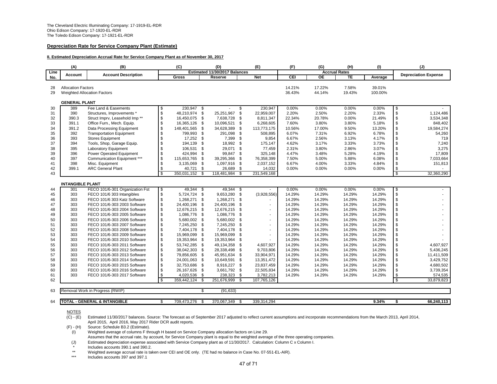#### **Depreciation Rate for Service Company Plant (Estimate)**

#### **II. Estimated Depreciation Accrual Rate for Service Company Plant as of November 30, 2017**

|          | (A)                       | (B)                                                          |          | (C)                          |                       | (D)                           |              | (E)                      | (F)              | (G)                  | (H)              | (1)              |                            | (J)                         |
|----------|---------------------------|--------------------------------------------------------------|----------|------------------------------|-----------------------|-------------------------------|--------------|--------------------------|------------------|----------------------|------------------|------------------|----------------------------|-----------------------------|
| Line     | Account                   | <b>Account Description</b>                                   |          |                              |                       | Estimated 11/30/2017 Balances |              |                          |                  | <b>Accrual Rates</b> |                  |                  |                            | <b>Depreciation Expense</b> |
| No.      |                           |                                                              |          | Gross                        |                       | Reserve                       |              | <b>Net</b>               | CEI              | <b>OE</b>            | <b>TE</b>        | Average          |                            |                             |
| 28       | <b>Allocation Factors</b> |                                                              |          |                              |                       |                               |              |                          | 14.21%           | 17.22%               | 7.58%            | 39.01%           |                            |                             |
| 29       |                           | <b>Weighted Allocation Factors</b>                           |          |                              |                       |                               |              |                          | 36.43%           | 44.14%               | 19.43%           | 100.00%          |                            |                             |
|          |                           |                                                              |          |                              |                       |                               |              |                          |                  |                      |                  |                  |                            |                             |
|          | <b>GENERAL PLANT</b>      |                                                              |          |                              |                       |                               |              |                          |                  |                      |                  |                  |                            |                             |
| 30       | 389                       | Fee Land & Easements                                         | \$       | 230,947 \$                   |                       |                               | \$           | 230,947                  | 0.00%            | 0.00%                | 0.00%            | 0.00%            | \$                         |                             |
| 31       | 390                       | Structures, Improvements *                                   | \$       | 48,210,974 \$                |                       | 25,251,967                    | \$           | 22,959,007               | 2.20%            | 2.50%                | 2.20%            | 2.33%            | \$                         | 1,124,486                   |
| 32       | 390.3                     | Struct Imprv, Leasehold Imp <sup>**</sup>                    | \$       | 16,450,075                   | \$                    | 7,638,728 \$                  |              | 8,811,347                | 22.34%           | 20.78%               | 0.00%            | 21.49%           | \$                         | 3,534,348                   |
| 33       | 391.1                     | Office Furn., Mech. Equip.                                   | \$       | 16,365,126                   | <b>S</b>              | 10,096,521                    | \$           | 6,268,605                | 7.60%            | 3.80%                | 3.80%            | 5.18%            | \$                         | 848,402                     |
| 34<br>35 | 391.2<br>392              | Data Processing Equipment<br><b>Transportation Equipment</b> | \$<br>\$ | 148,401,565<br>799,993       | $\mathbf{\$}$<br>- \$ | 34,628,389<br>291,098         | \$<br>- \$   | 113,773,175<br>508,895   | 10.56%<br>6.07%  | 17.00%<br>7.31%      | 9.50%<br>6.92%   | 13.20%<br>6.78%  | \$<br>\$                   | 19,584,274<br>54,260        |
| 36       | 393                       | <b>Stores Equipment</b>                                      | \$       | 17,252 \$                    |                       | 7,399                         | - \$         | 9,854                    | 6.67%            | 2.56%                | 3.13%            | 4.17%            | \$                         | 719                         |
| 37       | 394                       | Tools, Shop, Garage Equip.                                   | \$       | 194,139                      | \$                    | 18,992                        | $\sqrt{3}$   | 175,147                  | 4.62%            | 3.17%                | 3.33%            | 3.73%            | \$                         | 7,240                       |
| 38       | 395                       | Laboratory Equipment                                         | \$       | 106,531                      | \$                    | 29,071                        | \$           | 77,459                   | 2.31%            | 3.80%                | 2.86%            | 3.07%            | \$                         | 3,275                       |
| 39       | 396                       | <b>Power Operated Equipment</b>                              | \$       | 424,994                      | \$                    | 99,847 \$                     |              | 325,148                  | 4.47%            | 3.48%                | 5.28%            | 4.19%            | $\mathfrak s$              | 17,809                      |
| 40       | 397                       | Communication Equipment ***                                  | \$       | 115,653,765                  | \$                    | 39,295,366                    | \$           | 76,358,399               | 7.50%            | 5.00%                | 5.88%            | 6.08%            | $\mathfrak s$              | 7,033,664                   |
| 41       | 398                       | Misc. Equipment                                              | \$       | 3,135,069 \$                 |                       | 1,097,916 \$                  |              | 2,037,152                | 6.67%            | 4.00%                | 3.33%            | 4.84%            | \$                         | 151,813                     |
| 42       | 399.1                     | <b>ARC General Plant</b>                                     | \$       | 40,721 \$                    |                       | 26,689                        | - \$         | 14,032                   | 0.00%            | 0.00%                | 0.00%            | 0.00%            | $\sqrt{3}$                 |                             |
| 43       |                           |                                                              | \$.      | 350,031,152                  | \$                    | 118,481,984                   | \$           | 231,549,168              |                  |                      |                  |                  | $\overline{\mathbf{s}}$    | 32,360,290                  |
|          |                           |                                                              |          |                              |                       |                               |              |                          |                  |                      |                  |                  |                            |                             |
|          | <b>INTANGIBLE PLANT</b>   |                                                              |          |                              |                       |                               |              |                          |                  |                      |                  |                  |                            |                             |
| 44       | 301                       | FECO 101/6-301 Organization Fst                              | \$       | 49,344 \$                    |                       | 49,344 \$                     |              |                          | 0.00%            | 0.00%                | 0.00%            | 0.00%            | $\sqrt{3}$                 |                             |
| 45       | 303<br>303                | FECO 101/6 303 Intangibles<br>FECO 101/6 303 Katz Software   | \$<br>\$ | 5,724,724 \$<br>1,268,271 \$ |                       | 9,653,280<br>1,268,271 \$     | - \$         | (3,928,556)              | 14.29%<br>14.29% | 14.29%<br>14.29%     | 14.29%<br>14.29% | 14.29%<br>14.29% | \$<br>\$                   |                             |
| 46<br>47 | 303                       | FECO 101/6-303 2003 Software                                 | \$       | 24,400,196                   | \$                    | 24,400,196                    | \$           | $\sim$<br>$\sim$         | 14.29%           | 14.29%               | 14.29%           | 14.29%           | \$                         |                             |
| 48       | 303                       | FECO 101/6-303 2004 Software                                 | \$       | 12,676,215 \$                |                       | 12,676,215                    | - \$         | $\overline{\phantom{a}}$ | 14.29%           | 14.29%               | 14.29%           | 14.29%           | $\mathfrak s$              |                             |
| 49       | 303                       | FECO 101/6-303 2005 Software                                 | \$       | 1,086,776 \$                 |                       | 1,086,776                     | \$           | $\overline{\phantom{a}}$ | 14.29%           | 14.29%               | 14.29%           | 14.29%           | $\mathfrak s$              |                             |
| 50       | 303                       | FECO 101/6-303 2006 Software                                 | \$       | 5,680,002 \$                 |                       | 5,680,002                     | \$.          |                          | 14.29%           | 14.29%               | 14.29%           | 14.29%           | \$                         |                             |
| 51       | 303                       | FECO 101/6-303 2007 Software                                 | \$       | 7,245,250 \$                 |                       | 7,245,250                     | £.           | $\mathbf{r}$             | 14.29%           | 14.29%               | 14.29%           | 14.29%           | \$                         |                             |
| 52       | 303                       | FECO 101/6-303 2008 Software                                 | \$       | 7,404,178 \$                 |                       | 7,404,178                     | -9           | $\overline{\phantom{a}}$ | 14.29%           | 14.29%               | 14.29%           | 14.29%           | \$                         |                             |
| 53       | 303                       | FECO 101/6-303 2009 Software                                 | \$       | 15,969,099 \$                |                       | 15,969,099                    | $\mathbf{S}$ | $\sim$                   | 14.29%           | 14.29%               | 14.29%           | 14.29%           | \$                         |                             |
| 54       | 303                       | FECO 101/6-303 2010 Software                                 | \$       | 19,353,964                   | - \$                  | 19,353,964                    | \$           |                          | 14.29%           | 14.29%               | 14.29%           | 14.29%           | \$                         |                             |
| 55       | 303                       | FECO 101/6-303 2011 Software                                 | \$       | 53,742,285                   | <b>S</b>              | 49.134.358                    | - \$         | 4,607,927                | 14.29%           | 14.29%               | 14.29%           | 14.29%           | $\mathfrak s$              | 4.607.927                   |
| 56       | 303                       | FECO 101/6-303 2012 Software                                 | \$       | 38,042,303                   | - \$                  | 28,338,498                    | - \$         | 9,703,806                | 14.29%           | 14.29%               | 14.29%           | 14.29%           | \$                         | 5,436,245                   |
| 57       | 303                       | FECO 101/6-303 2013 Software                                 | \$       | 79,856,605                   | <b>S</b>              | 45,951,634 \$                 |              | 33,904,971               | 14.29%           | 14.29%               | 14.29%           | 14.29%           | \$                         | 11,411,509                  |
| 58       | 303                       | FECO 101/6-303 2014 Software                                 | \$       | 24,001,063 \$                |                       | 10,649,591                    | - \$         | 13,351,472               | 14.29%           | 14.29%               | 14.29%           | 14.29%           | \$                         | 3,429,752                   |
| 59       | 303                       | FECO 101/6-303 2015 Software                                 | \$       | 32,753,686 \$                |                       | 8,916,227 \$                  |              | 23,837,459               | 14.29%           | 14.29%               | 14.29%           | 14.29%           | \$                         | 4,680,502                   |
| 60       | 303<br>303                | FECO 101/6-303 2016 Software                                 | \$       | 26,167,626 \$<br>4,020,536   | - \$                  | 3,661,792 \$<br>238,323       | - \$         | 22,505,834<br>3,782,213  | 14.29%<br>14.29% | 14.29%               | 14.29%<br>14.29% | 14.29%<br>14.29% | \$                         | 3,739,354<br>574,535        |
| 61<br>62 |                           | FECO 101/6-303 2017 Software                                 | \$<br>\$ | 359,442,124                  | \$                    | 251,676,999                   | - \$         | 107,765,126              |                  | 14.29%               |                  |                  | $\sqrt{3}$<br>$\mathbf{s}$ | 33,879,823                  |
|          |                           |                                                              |          |                              |                       |                               |              |                          |                  |                      |                  |                  |                            |                             |
| 63       |                           | Removal Work in Progress (RWIP)                              |          |                              | Ŝ,                    | (91, 633)                     |              |                          |                  |                      |                  |                  |                            |                             |
|          |                           |                                                              |          |                              |                       |                               |              |                          |                  |                      |                  |                  |                            |                             |
| 64       |                           | TOTAL - GENERAL & INTANGIBLE                                 | \$       | 709,473,276                  | - \$                  | 370.067.349                   | - \$         | 339.314.294              |                  |                      |                  | 9.34%            | \$                         | 66,240,113                  |

# $\frac{\text{NOTES}}{\text{(C)} - \text{(E)}}$

Estimated 11/30/2017 balances. Source: The forecast as of September 2017 adjusted to reflect current assumptions and incorporate recommendations from the March 2013, April 2014, April 2015, April 2016, May 2017 Rider DCR audit reports.

(F) - (H) Source: Schedule B3.2 (Estimate).

(I) Weighted average of columns F through H based on Service Company allocation factors on Line 29.

Assumes that the accrual rate, by account, for Service Company plant is equal to the weighted average of the three operating companies.

(J) Estimated depreciation expense associated with Service Company plant as of 11/30/2017. Calculation: Column C x Column I.

\* Includes accounts 390.1 and 390.2.

\*\* Weighted average accrual rate is taken over CEI and OE only. (TE had no balance in Case No. 07-551-EL-AIR).

Includes accounts 397 and 397.1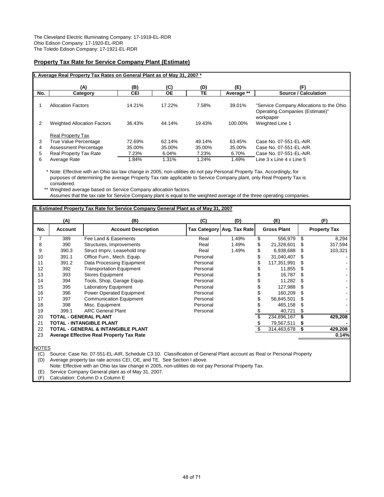### **Property Tax Rate for Service Company Plant (Estimate)**

| (A)                                | (B)        | (C)       | (D)    | (E)                                                                      | (F)                                      |
|------------------------------------|------------|-----------|--------|--------------------------------------------------------------------------|------------------------------------------|
| Category                           | <b>CEI</b> | <b>OE</b> | TЕ     | Average **                                                               | Source / Calculation                     |
|                                    |            |           |        |                                                                          |                                          |
| <b>Allocation Factors</b>          | 14.21%     | 17.22%    | 7.58%  | 39.01%                                                                   | "Service Company Allocations to the Ohio |
|                                    |            |           |        |                                                                          | Operating Companies (Estimate)"          |
|                                    |            |           |        |                                                                          | workpaper                                |
| <b>Weighted Allocation Factors</b> | 36.43%     | 44.14%    | 19.43% | 100.00%                                                                  | Weighted Line 1                          |
|                                    |            |           |        |                                                                          |                                          |
| <b>Real Property Tax</b>           |            |           |        |                                                                          |                                          |
| True Value Percentage              | 72.69%     | 62.14%    | 49.14% | 63.45%                                                                   | Case No. 07-551-EL-AIR.                  |
| Assessment Percentage              | 35.00%     | 35.00%    | 35.00% | 35.00%                                                                   | Case No. 07-551-EL-AIR.                  |
| Real Property Tax Rate             | 7.23%      | 6.04%     | 7.23%  | 6.70%                                                                    | Case No. 07-551-EL-AIR.                  |
| Average Rate                       | 1.84%      | 1.31%     | 1.24%  | 1.49%                                                                    | Line 3 x Line 4 x Line 5                 |
|                                    |            |           |        | I. Average Real Property Tax Rates on General Plant as of May 31, 2007 * |                                          |

\* Note: Effective with an Ohio tax law change in 2005, non-utilities do not pay Personal Property Tax. Accordingly, for purposes of determining the average Property Tax rate applicable to Service Company plant, only Real Property Tax is considered.

\*\* Weighted average based on Service Company allocation factors. Assumes that the tax rate for Service Company plant is equal to the weighted average of the three operating companies.

|     |                       | II. Estimated Property Tax Rate for Service Company General Plant as of May 31, 2007 |          |                            |                    |     |                     |
|-----|-----------------------|--------------------------------------------------------------------------------------|----------|----------------------------|--------------------|-----|---------------------|
|     | (A)                   | (B)                                                                                  | (C)      | (D)                        | (E)                |     | (F)                 |
| No. | <b>Account</b>        | <b>Account Description</b>                                                           |          | Tax Category Avg. Tax Rate | <b>Gross Plant</b> |     | <b>Property Tax</b> |
| 7   | 389                   | Fee Land & Easements                                                                 | Real     | 1.49%                      | \$<br>556,979      | \$  | 8,294               |
| 8   | 390                   | Structures, Improvements                                                             | Real     | 1.49%                      | 21,328,601         |     | 317,594             |
| 9   | 390.3                 | Struct Imprv, Leasehold Imp                                                          | Real     | 1.49%                      | 6,938,688          |     | 103,321             |
| 10  | 391.1                 | Office Furn., Mech. Equip.                                                           | Personal |                            | 31,040,407         |     |                     |
| 11  | 391.2                 | Data Processing Equipment                                                            | Personal |                            | 117,351,991        |     |                     |
| 12  | 392                   | <b>Transportation Equipment</b>                                                      | Personal |                            | 11,855             |     |                     |
| 13  | 393                   | <b>Stores Equipment</b>                                                              | Personal |                            | 16,787             |     |                     |
| 14  | 394                   | Tools, Shop, Garage Equip.                                                           | Personal |                            | 11,282             |     |                     |
| 15  | 395                   | Laboratory Equipment                                                                 | Personal |                            | 127,988            |     |                     |
| 16  | 396                   | <b>Power Operated Equipment</b>                                                      | Personal |                            | 160,209            |     |                     |
| 17  | 397                   | <b>Communication Equipment</b>                                                       | Personal |                            | 56,845,501         |     |                     |
| 18  | 398                   | Misc. Equipment                                                                      | Personal |                            | 465,158            |     |                     |
| 19  | 399.1                 | <b>ARC General Plant</b>                                                             | Personal |                            | 40,721             | \$. |                     |
| 20  | TOTAL - GENERAL PLANT |                                                                                      |          |                            | 234,896,167        |     | 429,208             |
| 21  |                       | <b>TOTAL - INTANGIBLE PLANT</b>                                                      |          |                            | 79,567,511         |     |                     |
| 22  |                       | <b>TOTAL - GENERAL &amp; INTANGIBLE PLANT</b>                                        |          |                            | 314,463,678        | \$  | 429,208             |
| 23  |                       | <b>Average Effective Real Property Tax Rate</b>                                      |          |                            |                    |     | 0.14%               |
|     |                       |                                                                                      |          |                            |                    |     |                     |

NOTES

(C) Source: Case No. 07-551-EL-AIR, Schedule C3.10. Classification of General Plant account as Real or Personal Property

(D) Average property tax rate across CEI, OE, and TE. See Section I above.

Note: Effective with an Ohio tax law change in 2005, non-utilities do not pay Personal Property Tax.

(E) Service Company General plant as of May 31, 2007.

(F) Calculation: Column D x Column E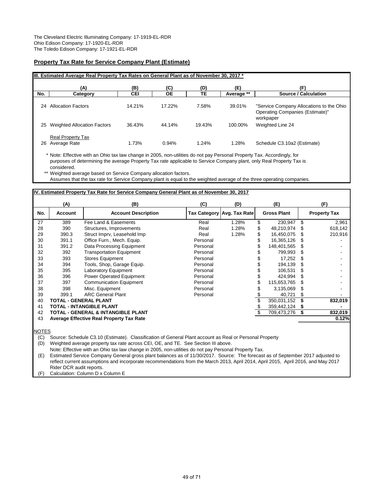#### **Property Tax Rate for Service Company Plant (Estimate)**

|     | IIII. Estimated Average Real Property Tax Rates on General Plant as of November 30, 2017 * |        |           |        |            |                                                                                          |  |  |  |  |  |  |  |  |
|-----|--------------------------------------------------------------------------------------------|--------|-----------|--------|------------|------------------------------------------------------------------------------------------|--|--|--|--|--|--|--|--|
|     | (A)                                                                                        | (B)    | (C)       | (D)    | (E)        | (F)                                                                                      |  |  |  |  |  |  |  |  |
| No. | Category                                                                                   | CEI    | <b>OE</b> | TΕ     | Average ** | Source / Calculation                                                                     |  |  |  |  |  |  |  |  |
| 24  | <b>Allocation Factors</b>                                                                  | 14.21% | 17.22%    | 7.58%  | 39.01%     | "Service Company Allocations to the Ohio<br>Operating Companies (Estimate)"<br>workpaper |  |  |  |  |  |  |  |  |
| 25  | <b>Weighted Allocation Factors</b>                                                         | 36.43% | 44.14%    | 19.43% | 100.00%    | Weighted Line 24                                                                         |  |  |  |  |  |  |  |  |
| 26  | <b>Real Property Tax</b><br>Average Rate                                                   | 1.73%  | 0.94%     | 1.24%  | 1.28%      | Schedule C3.10a2 (Estimate)                                                              |  |  |  |  |  |  |  |  |

\* Note: Effective with an Ohio tax law change in 2005, non-utilities do not pay Personal Property Tax. Accordingly, for purposes of determining the average Property Tax rate applicable to Service Company plant, only Real Property Tax is considered.

\*\* Weighted average based on Service Company allocation factors.

Assumes that the tax rate for Service Company plant is equal to the weighted average of the three operating companies.

#### **IV. Estimated Property Tax Rate for Service Company General Plant as of November 30, 2017**

|     | (A)                   | (B)                                             | (C)      | (D)                        | (E)                |     | (F)                 |
|-----|-----------------------|-------------------------------------------------|----------|----------------------------|--------------------|-----|---------------------|
| No. | Account               | <b>Account Description</b>                      |          | Tax Category Avg. Tax Rate | <b>Gross Plant</b> |     | <b>Property Tax</b> |
| 27  | 389                   | Fee Land & Easements                            | Real     | 1.28%                      | \$<br>230,947      | \$  | 2,961               |
| 28  | 390                   | Structures, Improvements                        | Real     | 1.28%                      | \$<br>48,210,974   |     | 618,142             |
| 29  | 390.3                 | Struct Imprv, Leasehold Imp                     | Real     | 1.28%                      | \$<br>16,450,075   | \$. | 210,916             |
| 30  | 391.1                 | Office Furn., Mech. Equip.                      | Personal |                            | 16,365,126         |     |                     |
| 31  | 391.2                 | Data Processing Equipment                       | Personal |                            | 148,401,565        |     |                     |
| 32  | 392                   | <b>Transportation Equipment</b>                 | Personal |                            | 799.993            |     |                     |
| 33  | 393                   | <b>Stores Equipment</b>                         | Personal |                            | 17,252             | \$. |                     |
| 34  | 394                   | Tools, Shop, Garage Equip.                      | Personal |                            | 194,139            | S   |                     |
| 35  | 395                   | <b>Laboratory Equipment</b>                     | Personal |                            | 106,531            | \$. |                     |
| 36  | 396                   | Power Operated Equipment                        | Personal |                            | 424.994            |     |                     |
| 37  | 397                   | <b>Communication Equipment</b>                  | Personal |                            | 115,653,765        | \$. |                     |
| 38  | 398                   | Misc. Equipment                                 | Personal |                            | 3,135,069          | S   |                     |
| 39  | 399.1                 | <b>ARC General Plant</b>                        | Personal |                            | 40,721             | \$. |                     |
| 40  | TOTAL - GENERAL PLANT |                                                 |          |                            | 350,031,152        |     | 832,019             |
| 41  |                       | <b>TOTAL - INTANGIBLE PLANT</b>                 |          |                            | 359,442,124        | S   |                     |
| 42  |                       | TOTAL - GENERAL & INTANGIBLE PLANT              |          |                            | \$<br>709,473,276  | \$  | 832,019             |
| 43  |                       | <b>Average Effective Real Property Tax Rate</b> |          |                            |                    |     | 0.12%               |
|     |                       |                                                 |          |                            |                    |     |                     |

NOTES

(C) Source: Schedule C3.10 (Estimate). Classification of General Plant account as Real or Personal Property

(D) Weighted average property tax rate across CEI, OE, and TE. See Section III above.

Note: Effective with an Ohio tax law change in 2005, non-utilities do not pay Personal Property Tax.

(E) Estimated Service Company General gross plant balances as of 11/30/2017. Source: The forecast as of September 2017 adjusted to reflect current assumptions and incorporate recommendations from the March 2013, April 2014, April 2015, April 2016, and May 2017 Rider DCR audit reports.

(F) Calculation: Column D x Column E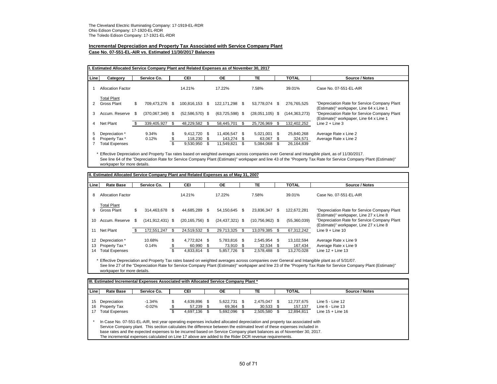#### **Incremental Depreciation and Property Tax Associated with Service Company Plant Case No. 07-551-EL-AIR vs. Estimated 11/30/2017 Balances**

| Line | Category                 |     | Service Co.        |     | CEI               |      | <b>OE</b>         |     | <b>TE</b>         |      | <b>TOTAL</b>    | Source / Notes                               |
|------|--------------------------|-----|--------------------|-----|-------------------|------|-------------------|-----|-------------------|------|-----------------|----------------------------------------------|
|      | <b>Allocation Factor</b> |     |                    |     | 14.21%            |      | 17.22%            |     | 7.58%             |      | 39.01%          | Case No. 07-551-EL-AIR                       |
|      | <b>Total Plant</b>       |     |                    |     |                   |      |                   |     |                   |      |                 |                                              |
|      | Gross Plant              | \$  | 709.473.276        | \$. | 100.816.153       | - \$ | 122.171.298 \$    |     | 53.778.074 \$     |      | 276.765.525     | "Depreciation Rate for Service Company Plant |
|      |                          |     |                    |     |                   |      |                   |     |                   |      |                 | (Estimate)" workpaper, Line 64 x Line 1      |
| 3    | Accum. Reserve           | \$. | $(370,067,349)$ \$ |     | $(52,586,570)$ \$ |      | $(63,725,598)$ \$ |     | $(28,051,105)$ \$ |      | (144, 363, 273) | "Depreciation Rate for Service Company Plant |
|      |                          |     |                    |     |                   |      |                   |     |                   |      |                 | (Estimate)" workpaper, Line 64 x Line 1      |
| 4    | Net Plant                | Æ.  | 339,405,927        | S   | 48.229.582        | S    | 58.445.701        | \$. | 25.726.969        | -S   | 132.402.252     | Line $2 +$ Line $3$                          |
| 5    | Depreciation *           |     | 9.34%              |     | $9.412.720$ \$    |      | 11.406.547 \$     |     | 5.021.001         | - \$ | 25,840,268      | Average Rate x Line 2                        |
| 6    | Property Tax *           |     | 0.12%              |     | 118,230 \$        |      | 143.274 \$        |     | 63,067 \$         |      | 324,571         | Average Rate x Line 2                        |
|      | <b>Total Expenses</b>    |     |                    | ж   | 9,530,950         | \$   | 11,549,821        | \$  | 5,084,068 \$      |      | 26,164,839      |                                              |

\* Effective Depreciation and Property Tax rates based on weighted averages across companies over General and Intangible plant, as of 11/30/2017. See line 64 of the "Depreciation Rate for Service Company Plant (Estimate)" workpaper and line 43 of the "Property Tax Rate for Service Company Plant (Estimate)" workpaper for more details.

|                | II. Estimated Allocated Service Company Plant and Related Expenses as of May 31, 2007 |    |                      |    |                                     |            |                                           |     |                                       |           |                                     |                                                                                         |  |  |
|----------------|---------------------------------------------------------------------------------------|----|----------------------|----|-------------------------------------|------------|-------------------------------------------|-----|---------------------------------------|-----------|-------------------------------------|-----------------------------------------------------------------------------------------|--|--|
| Line           | <b>Rate Base</b>                                                                      |    | Service Co.          |    | <b>CEI</b>                          |            | <b>OE</b>                                 |     | TE.                                   |           | <b>TOTAL</b>                        | Source / Notes                                                                          |  |  |
| 8              | <b>Allocation Factor</b>                                                              |    |                      |    | 14.21%                              |            | 17.22%                                    |     | 7.58%                                 |           | 39.01%                              | Case No. 07-551-EL-AIR                                                                  |  |  |
| 9              | <b>Total Plant</b><br><b>Gross Plant</b>                                              | \$ | 314.463.678          | S  | 44.685.289                          | S          | 54.150.645 \$                             |     | 23.836.347 \$                         |           | 122.672.281                         | "Depreciation Rate for Service Company Plant<br>(Estimate)" workpaper, Line 27 x Line 8 |  |  |
| 10             | Accum, Reserve                                                                        | -S | $(141, 912, 431)$ \$ |    | $(20, 165, 756)$ \$                 |            | $(24, 437, 321)$ \$                       |     | $(10,756,962)$ \$                     |           | (55,360,039)                        | "Depreciation Rate for Service Company Plant<br>(Estimate)" workpaper, Line 27 x Line 8 |  |  |
| 11             | Net Plant                                                                             | S  | 172.551.247          |    | 24.519.532                          | -S         | 29.713.325                                | \$. | 13.079.385                            | \$.       | 67,312,242                          | Line $9 +$ Line 10                                                                      |  |  |
| 12<br>13<br>14 | Depreciation *<br>Property Tax *<br><b>Total Expenses</b>                             |    | 10.68%<br>0.14%      | \$ | 4.772.824<br>60,990 \$<br>4.833.814 | - \$<br>\$ | 5,783,816 \$<br>73,910 \$<br>5,857,726 \$ |     | 2.545.954<br>$32,534$ \$<br>2.578.488 | - \$<br>S | 13.102.594<br>167,434<br>13.270.028 | Average Rate x Line 9<br>Average Rate x Line 9<br>Line $12 +$ Line 13                   |  |  |

\* Effective Depreciation and Property Tax rates based on weighted averages across companies over General and Intangible plant as of 5/31/07. See line 27 of the "Depreciation Rate for Service Company Plant (Estimate)" workpaper and line 23 of the "Property Tax Rate for Service Company Plant (Estimate)" workpaper for more details.

| Line | <b>Rate Base</b>                                                                                                                                                                                                                                    | Service Co. |    | CEI       | <b>OE</b>    | TE           | <b>TOTAL</b> | Source / Notes       |
|------|-----------------------------------------------------------------------------------------------------------------------------------------------------------------------------------------------------------------------------------------------------|-------------|----|-----------|--------------|--------------|--------------|----------------------|
| 15   | Depreciation                                                                                                                                                                                                                                        | $-1.34%$    | S. | 4.639.896 | 5.622.731 \$ | 2.475.047 \$ | 12,737,675   | Line $5 -$ Line $12$ |
|      |                                                                                                                                                                                                                                                     |             |    |           |              |              |              |                      |
| 16   | Property Tax                                                                                                                                                                                                                                        | $-0.02\%$   |    | 57.239 \$ | 69.364 \$    | $30,533$ \$  | 157,137      | Line $6 -$ Line 13   |
| 17   | <b>Total Expenses</b>                                                                                                                                                                                                                               |             |    | 4,697,136 | 5.692.096    | 2.505.580 \$ | 12.894.811   | Line $15 +$ Line 16  |
|      | In Case No. 07-551-EL-AIR, test year operating expenses included allocated depreciation and property tax associated with<br>Service Company plant. This section calculates the difference between the estimated level of these expenses included in |             |    |           |              |              |              |                      |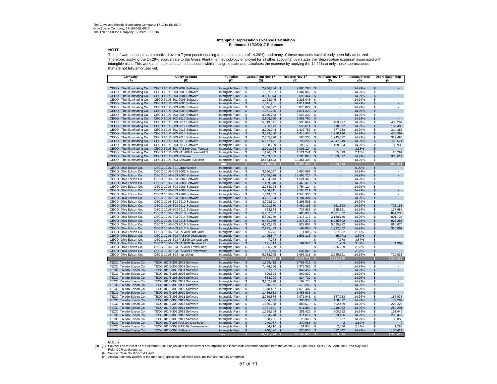#### **Intangible Depreciation Expense Calculation Estimated 11/30/2017 Balances**

#### **NOTE**

The software accounts are amortized over a 7 year period (leading to an accrual rate of 14.29%), and many of these accounts have already been fully amortized. Therefore, applying the 14.29% accrual rate to the Gross Plant (the methodology employed for all other accounts) overstates the "depreciation expense" associated with intangible plant. This workpaper looks at each sub account within intangible plant and calculates the expense by applying the 14.29% to only those sub-accounts that are not fully amortized yet.

| Company<br>(A)                                         | <b>Utility Account</b><br>(B)                                | <b>Function</b><br>(C)               | <b>Gross Plant Nov-17</b><br>(D) |                      | <b>Reserve Nov-17</b><br>(E) | Net Plant Nov-17<br>(F)              | <b>Accrual Rates</b><br>(G) | <b>Depreciation Exp</b><br>(H)    |
|--------------------------------------------------------|--------------------------------------------------------------|--------------------------------------|----------------------------------|----------------------|------------------------------|--------------------------------------|-----------------------------|-----------------------------------|
|                                                        |                                                              |                                      |                                  |                      |                              |                                      |                             |                                   |
| CECO The Illuminating Co.                              | CECO 101/6-303 2002 Software                                 | Intangible Plant                     | 2.966.784 \$<br>$\mathbf{s}$     |                      | 2.966.784 \$                 |                                      | 14.29%                      | \$                                |
| CECO The Illuminating Co.                              | CECO 101/6-303 2003 Software                                 | Intangible Plant                     | 1,307,067<br>s                   | \$                   | 1,307,067                    | \$<br>$\overline{\phantom{a}}$       | 14.29%                      | \$<br>$\sim$                      |
| CECO<br>The Illuminating Co.                           | CECO 101/6-303 2004 Software                                 | Intangible Plant                     | $\mathbb{S}$<br>3,596,344        | $\mathbf{s}$         | 3,596,344 \$                 | $\overline{\phantom{a}}$             | 14.29%                      | \$<br>÷.                          |
| CECO The Illuminating Co.                              | CECO 101/6-303 2005 Software                                 | Intangible Plant                     | \$<br>1,223,045                  | - \$                 | 1,223,045                    | - \$<br>$\overline{\phantom{a}}$     | 14.29%                      | \$<br>٠                           |
| The Illuminating Co.<br>CECO                           | CECO 101/6-303 2006 Software                                 | Intangible Plant                     | $\mathsf{\$}$<br>1,811,961       | $\mathfrak{s}$       | 1,811,961                    | $\mathsf{\$}$<br>$\overline{a}$      | 14.29%                      | $\mathcal{L}^{\mathcal{A}}$<br>\$ |
| The Illuminating Co.<br>CECO                           | CECO 101/6-303 2007 Software                                 | Intangible Plant                     | s<br>5,876,822                   | \$                   | 5,876,822                    | \$                                   | 14.29%                      | s<br>٠                            |
| The Illuminating Co.<br>CECO                           | CECO 101/6-303 2008 Software                                 | Intangible Plant                     | 1,071,225<br>\$                  | $\mathfrak{S}$       | 1,071,225                    | $\mathfrak{L}$                       | 14.29%                      | L.<br>\$                          |
| CECO The Illuminating Co.                              | CECO 101/6-303 2009 Software                                 | Intangible Plant                     | S<br>3,245,233                   | \$                   | 3,245,233                    | \$<br>$\overline{\phantom{a}}$       | 14.29%                      | S<br>٠                            |
| CECO The Illuminating Co.                              | CECO 101/6-303 2010 Software                                 | Intangible Plant                     | 2,808,760<br>$\mathbb{S}$        | \$                   | 2,808,760                    | $\mathfrak{s}$                       | 14.29%                      | \$<br>$\mathcal{L}^{\mathcal{L}}$ |
| CECO The Illuminating Co.<br>CECO The Illuminating Co. | CECO 101/6-303 2011 Software<br>CECO 101/6-303 2012 Software | Intangible Plant                     | 5,819,341<br>s                   | S.<br>$\mathfrak{S}$ | 5,336,044                    | 483.297<br>\$<br>210,562             | 14.29%<br>14.29%            | S<br>483.297<br>109,486           |
| CECO<br>The Illuminating Co.                           | CECO 101/6-303 2013 Software                                 | Intangible Plant<br>Intangible Plant | 766,173<br>\$<br>\$<br>2,200,044 | \$                   | 555,611<br>1,422,756         | \$<br>\$<br>777,288                  | 14.29%                      | \$<br>\$<br>314,386               |
| <b>CECO</b><br>The Illuminating Co.                    | CECO 101/6-303 2014 Software                                 | Intangible Plant                     | \$<br>3,333,580                  | \$                   | 1,415,454                    | \$<br>1,918,126                      | 14.29%                      | \$<br>476,369                     |
| CECO The Illuminating Co.                              | CECO 101/6-303 2015 Software                                 | Intangible Plant                     | \$<br>2,305,770                  | \$                   | 560,238                      | \$<br>1,745,532                      | 14.29%                      | \$<br>329,495                     |
| CECO The Illuminating Co.                              | CECO 101/6-303 2016 Software                                 | Intangible Plant                     | <b>S</b><br>5,077,471            | \$                   | 730,222                      | 4,347,249<br><b>S</b>                | 14.29%                      | \$<br>725,571                     |
| CECO<br>The Illuminating Co.                           | CECO 101/6-303 2017 Software                                 | Intangible Plant                     | s<br>1,308,139                   | -\$                  | 108,175                      | -S<br>1,199,964                      | 14.29%                      | \$<br>186,933                     |
| CECO The Illuminating Co.                              | CECO 101/6-303 FAS109 Dist- Forcast                          | Intangible Plant                     | 2,001,124<br>\$                  | $\mathbf{s}$         | 2,001,124 \$                 |                                      | 3.18%                       | \$                                |
| CECO The Illuminating Co.                              | CECO 101/6-303 FAS109 Transm-FCT                             | Intangible Plant                     | 1,176,339<br>s                   | \$                   | 1,121,241                    | 55,099<br>\$                         | 2.15%                       | 25,291<br>\$                      |
| CECO<br>The Illuminating Co.                           | CECO 101/6-303 Software                                      | Intangible Plant                     | \$<br>2,369,585                  | \$                   | 1,285,888                    | \$<br>1,083,697                      | 14.29%                      | \$<br>338,614                     |
| CECO The Illuminating Co.                              | CECO 101/6-303 Software Evolution                            | Intangible Plant                     | 12,454,403<br>s                  | \$                   | 12,454,403                   | \$                                   | 14.29%                      | S                                 |
|                                                        |                                                              | <b>Total</b>                         | 62,719,209                       | -S                   | 50,898,396                   | 11,820,813<br>S.                     |                             | 2,989,441<br>S                    |
| OECO Ohio Edison Co.                                   | OECO 101/6-301 Organization                                  | Intangible Plant                     | \$                               | $\mathfrak{L}$       |                              | $\mathfrak{L}$                       | 0.00%                       | \$                                |
| OECO Ohio Edison Co.                                   | OECO 101/6-303 2002 Software                                 | Intangible Plant                     | \$<br>3,690,067                  | \$                   | 3,690,067                    | \$                                   | 14.29%                      | \$<br>٠                           |
| OECO Ohio Edison Co.                                   | OECO 101/6-303 2003 Software                                 | Intangible Plant                     | \$<br>17,568,726                 | $\mathfrak{L}$       | 17,568,726                   | \$<br>÷.                             | 14.29%                      | ¥.<br>\$                          |
| OECO Ohio Edison Co.                                   | OECO 101/6-303 2004 Software                                 | Intangible Plant                     | 4,524,343<br>s                   | \$                   | 4,524,343                    | \$<br>$\overline{\phantom{a}}$       | 14.29%                      | \$<br>٠                           |
| OECO Ohio Edison Co.                                   | OECO 101/6-303 2005 Software                                 | Intangible Plant                     | $\mathbb{S}$<br>1,469,370        | $\mathfrak{s}$       | 1,469,370                    | \$<br>$\overline{\phantom{a}}$       | 14.29%                      | \$<br>÷.                          |
| OECO Ohio Edison Co.                                   | OECO 101/6-303 2006 Software                                 | Intangible Plant                     | \$<br>2,754,124                  | \$                   | 2,754,124                    | \$<br>$\overline{a}$                 | 14.29%                      | \$<br>$\overline{\phantom{a}}$    |
| OECO Ohio Edison Co.                                   | OECO 101/6-303 2007 Software                                 | Intangible Plant                     | $\mathbb{S}$<br>7,208,211        | $\mathbf{s}$         | 7,208,211                    | $\mathfrak{S}$<br>ä,                 | 14.29%                      | \$<br>÷.                          |
| OECO Ohio Edison Co.                                   | OECO 101/6-303 2008 Software                                 | Intangible Plant                     | \$<br>1,343,335                  | \$                   | 1,343,335                    | - \$<br>$\overline{a}$               | 14.29%                      | S<br>$\overline{a}$               |
| OECO Ohio Edison Co.                                   | OECO 101/6-303 2009 Software                                 | Intangible Plant                     | \$<br>4,181,304                  | $\mathfrak{s}$       | 4,181,304                    | $\mathfrak{s}$<br>$\overline{a}$     | 14.29%                      | a.<br>S                           |
| OECO Ohio Edison Co.                                   | OECO 101/6-303 2010 Software                                 | Intangible Plant                     | s<br>3,293,501                   | \$                   | 3,293,501                    | \$                                   | 14.29%                      | \$                                |
| OECO Ohio Edison Co.                                   | OECO 101/6-303 2011 Software<br>OECO 101/6-303 2012 Software | Intangible Plant                     | 8,201,370<br>$\mathbb{S}$        | $\mathfrak{s}$       | 7,480,188                    | $\mathbf{\$}$<br>721,183<br>225,851  | 14.29%                      | \$<br>721,183<br>\$               |
| OECO Ohio Edison Co.<br>OECO Ohio Edison Co.           | OECO 101/6-303 2013 Software                                 | Intangible Plant<br>Intangible Plant | \$<br>963,533<br>\$<br>5,907,882 | \$<br>$\mathbf{s}$   | 737,682<br>3,406,030         | \$<br>$\mathfrak{s}$<br>2,501,852    | 14.29%<br>14.29%            | 137,689<br>844,236<br>\$          |
| OECO Ohio Edison Co.                                   | OECO 101/6-303 2014 Software                                 | Intangible Plant                     | s<br>5,606,259                   | \$                   | 2,418,113                    | 3,188,146<br>\$                      | 14.29%                      | \$<br>801,134                     |
| OECO Ohio Edison Co.                                   | OECO 101/6-303 2015 Software                                 | Intangible Plant                     | \$<br>6,461,075                  | $\mathfrak{s}$       | 1,375,273                    | 5,085,802<br>\$                      | 14.29%                      | 923,288<br>S                      |
| OECO Ohio Edison Co.                                   | OECO 101/6-303 2016 Software                                 | Intangible Plant                     | 6,022,885<br>s                   | \$                   | 927.603                      | 5,095,282<br>\$                      | 14.29%                      | S<br>860.670                      |
| OECO Ohio Edison Co.                                   | OECO 101/6-303 2017 Software                                 | Intangible Plant                     | 2,175,433<br>\$                  | $\mathfrak{s}$       | 182,880                      | $\mathbf{s}$<br>1,992,552            | 14.29%                      | \$<br>310,869                     |
| OECO Ohio Edison Co.                                   | OECO 101/6-303 FAS109 Dist Land                              | Intangible Plant                     | s<br>35,276                      | \$                   | $(1,806)$ \$                 | 37,082                               | 2.89%                       | \$<br>$\overline{\phantom{a}}$    |
| OECO Ohio Edison Co.                                   | OECO 101/6-303 FAS109 Distribution                           | Intangible Plant                     | \$<br>1,495,847                  | $\mathfrak{s}$       | 1,501,118 \$                 | (5, 271)                             | 2.89%                       | \$<br>$\sim$                      |
| OECO Ohio Edison Co.                                   | OECO 101/6-303 FAS109 General Lan                            | Intangible Plant                     | \$<br>7,778                      | <b>S</b>             |                              | \$<br>7,778                          | 3.87%                       | S<br>$\overline{a}$               |
| OECO Ohio Edison Co.                                   | OECO 101/6-303 FAS109 General Plt                            | Intangible Plant                     | 191,313<br>\$                    | $\mathfrak{S}$       | 189,344                      | \$<br>1,969                          | 3.87%                       | 1,969<br>\$                       |
| OECO Ohio Edison Co.                                   | OECO 101/6-303 FAS109 Trans Land                             | Intangible Plant                     | 1,326,229<br>\$                  | \$                   |                              | \$<br>1,326,229                      | 2.33%                       | \$                                |
| OECO Ohio Edison Co.                                   | OECO 101/6-303 FAS109 Transmissio                            | Intangible Plant                     | 697,049<br>\$                    | -S                   | 697,049                      | $\mathfrak{s}$                       | 2.33%                       | ÷.<br>\$                          |
| OECO Ohio Edison Co.                                   | OECO 101/6-303 Intangibles                                   | Intangible Plant                     | \$<br>5,038,005                  | \$                   | 2,092,315                    | 2,945,691<br>\$                      | 14.29%                      | 719,931<br>\$                     |
|                                                        |                                                              | Tota                                 | 90.162.916                       |                      | 67.038.771                   | 23.124.145                           |                             | 5.320.969                         |
| TECO Toledo Edison Co.                                 | TECO 101/6-303 2002 Software                                 | Intangible Plant                     | 1,708,412<br>\$                  | $\mathfrak{s}$       | 1,708,412                    | \$                                   | 14.29%                      | \$                                |
| TECO Toledo Edison Co.                                 | TECO 101/6-303 2003 Software                                 | Intangible Plant                     | s<br>7,478,386                   | \$                   | 7,478,386                    | \$                                   | 14.29%                      | \$                                |
| TECO Toledo Edison Co.                                 | TECO 101/6-303 2004 Software                                 | Intangible Plant                     | 862,457<br>\$                    | $\mathsf{\$}$        | 862,457                      | $\mathfrak{S}$<br>L,                 | 14.29%                      | \$<br>ä,                          |
| TECO Toledo Edison Co.                                 | TECO 101/6-303 2005 Software                                 | Intangible Plant                     | 699,602<br>s                     | \$                   | 699,602                      | \$<br>$\overline{\phantom{a}}$       | 14.29%                      | \$<br>$\overline{\phantom{a}}$    |
| TECO Toledo Edison Co.                                 | TECO 101/6-303 2006 Software                                 | Intangible Plant                     | <b>S</b><br>834,729 \$           |                      | 834,729                      | <b>S</b><br>$\overline{\phantom{a}}$ | 14.29%                      | \$<br>÷.                          |
| TECO Toledo Edison Co.                                 | TECO 101/6-303 2007 Software                                 | Intangible Plant                     | 3,182,778<br>S                   | -\$                  | 3,182,778                    | \$<br>$\overline{\phantom{a}}$<br>÷. | 14.29%                      | \$<br>٠<br>÷.                     |
| TECO Toledo Edison Co.<br>TECO Toledo Edison Co.       | TECO 101/6-303 2008 Software<br>TECO 101/6-303 2009 Software | Intangible Plant<br>Intangible Plant | 578,266<br>\$<br>1,878,487<br>s  | $\mathfrak{s}$<br>\$ | 578,266<br>1,878,487         | $\mathfrak{s}$<br>\$                 | 14.29%<br>14.29%            | S<br>S                            |
| TECO Toledo Edison Co.                                 | TECO 101/6-303 2010 Software                                 | Intangible Plant                     | 1,456,633<br>\$                  | $\mathfrak{S}$       | 1,456,633                    | $\mathfrak{s}$<br>÷.                 | 14.29%                      | a.<br>\$                          |
| TECO Toledo Edison Co.                                 | TECO 101/6-303 2011 Software                                 | Intangible Plant                     | 2,259,874<br>s                   | \$                   | 2,071,941                    | 187,933<br>\$                        | 14.29%                      | \$<br>187,933                     |
| TECO Toledo Edison Co.                                 | TECO 101/6-303 2012 Software                                 | Intangible Plant                     | 554,860<br>-S                    | -\$                  | 396,338                      | 158,522<br>- \$                      | 14.29%                      | \$<br>79,289                      |
| TECO Toledo Edison Co.                                 | TECO 101/6-303 2013 Software                                 | Intangible Plant                     | 1,576,108<br>s                   | \$                   | 883,679                      | 692,429<br>\$                        | 14.29%                      | \$<br>225,226                     |
| TECO Toledo Edison Co.                                 | TECO 101/6-303 2014 Software                                 | Intangible Plant                     | 1,961,451<br>\$                  | $\mathfrak{S}$       | 911,889                      | \$<br>1,049,562                      | 14.29%                      | 280,291<br>\$                     |
| TECO Toledo Edison Co.                                 | TECO 101/6-303 2015 Software                                 | Intangible Plant                     | \$<br>1,059,804                  | \$                   | 251,423                      | \$<br>808,382                        | 14.29%                      | \$<br>151,446                     |
| TECO Toledo Edison Co.                                 | TECO 101/6-303 2016 Software                                 | Intangible Plant                     | \$<br>1,934,770                  | $\mathfrak{s}$       | 311,614                      | \$<br>1,623,156                      | 14.29%                      | \$<br>276,479                     |
| TECO Toledo Edison Co.                                 | TECO 101/6-303 2017 Software                                 | Intangible Plant                     | 350,285<br>s                     | \$                   | 28,348                       | \$<br>321,937                        | 14.29%                      | \$<br>50,056                      |
| TECO Toledo Edison Co.                                 | TECO 101/6-303 FAS109 Distribution                           | Intangible Plant                     | 240,087<br>\$                    | $\mathfrak{s}$       | 240,085                      | <b>S</b><br>$\overline{2}$           | 3.10%                       | \$<br>$\overline{2}$              |
| TECO Toledo Edison Co.                                 | TECO 101/6-303 FAS109 Transmission                           | Intangible Plant                     | s<br>54,210                      | - \$                 | 51,854                       | - \$<br>2,356                        | 2.37%                       | 1,285<br>\$                       |
| TECO Toledo Edison Co.                                 | TECO 101/6-303 Software                                      | Intangible Plant                     | 940,596<br>\$                    | $\mathbf{s}$         | 328,054                      | <b>S</b><br>612.542                  | 14.29%                      | \$<br>134,411                     |
|                                                        |                                                              | Total                                | 29,611,794                       |                      | 24, 154, 975                 | 5,456,819<br>$\mathfrak{S}$          |                             | 1,386,418                         |

NOTES (D) - (F) Source: The forecast as of September 2017 adjusted to reflect current assumptions and incorporate recommendations from the March 2013, April 2014, April 2015, April 2016, and May 2017 Rider DCR audit reports.

(G) Source: Case No. 07-551-EL-AIR

(H) Accrual rate only applies to the (non-land) gross plant of those accounts that are not fully amortized.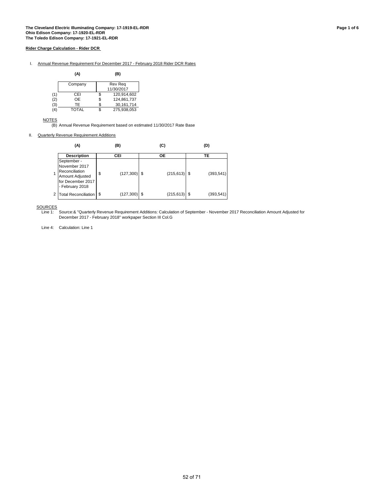#### I. Annual Revenue Requirement For December 2017 - February 2018 Rider DCR Rates

|     | (A)          | (B)               |
|-----|--------------|-------------------|
|     | Company      | Rev Reg           |
|     |              | 11/30/2017        |
| (1) | CEI          | \$<br>120,914,602 |
| (2) | OΕ           | \$<br>124,861,737 |
| (3) | TF           | \$<br>30,161,714  |
| (4) | <b>TOTAL</b> | \$<br>275.938.053 |

NOTES

(B) Annual Revenue Requirement based on estimated 11/30/2017 Rate Base

II. Quarterly Revenue Requirement Additions

| (A)                                                                                                       | (B)                  | (C)             | (D) |            |  |  |
|-----------------------------------------------------------------------------------------------------------|----------------------|-----------------|-----|------------|--|--|
| <b>Description</b>                                                                                        | CEI                  | <b>OE</b>       |     | TE         |  |  |
| September -<br>November 2017<br>Reconciliation<br>Amount Adjusted<br>for December 2017<br>- February 2018 | \$<br>$(127,300)$ \$ | $(215, 613)$ \$ |     | (393, 541) |  |  |
| Total Reconciliation   \$                                                                                 | (127, 300)           | (215, 613)      |     | (393, 541) |  |  |

SOURCES<br>Line 1:

Source:& "Quarterly Revenue Requirement Additions: Calculation of September - November 2017 Reconciliation Amount Adjusted for December 2017 - February 2018" workpaper Section III Col.G

Line 4: Calculation: Line 1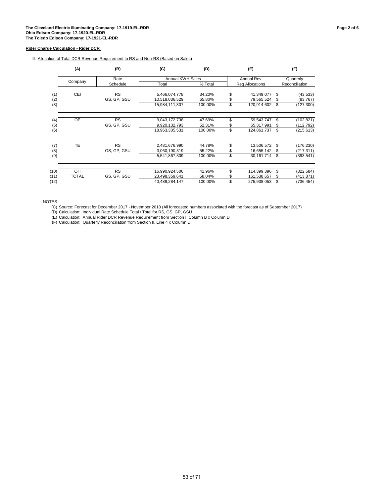### III. Allocation of Total DCR Revenue Requirement to RS and Non-RS (Based on Sales)

|            | (A)          | (C)<br>(B)<br>(D) |                                 |         |    |                   | (F) |                        |  |
|------------|--------------|-------------------|---------------------------------|---------|----|-------------------|-----|------------------------|--|
|            |              | Rate              | <b>Annual KWH Sales</b>         |         |    | <b>Annual Rev</b> |     | Quarterly              |  |
|            | Company      | Schedule          | Total                           | % Total |    | Reg Allocations   |     | Reconciliation         |  |
|            | CEI          | <b>RS</b>         |                                 | 34.20%  | \$ | 41,349,077        | \$  |                        |  |
| (1)<br>(2) |              | GS, GP, GSU       | 5,466,074,778<br>10,518,036,529 | 65.80%  | \$ | 79,565,524        | \$  | (43, 533)<br>(83, 767) |  |
| (3)        |              |                   | 15,984,111,307                  | 100.00% | \$ | 120,914,602       | \$  | (127, 300)             |  |
|            |              |                   |                                 |         |    |                   |     |                        |  |
| (4)        | <b>OE</b>    | <b>RS</b>         | 9,043,172,738                   | 47.69%  | \$ | 59,543,747        | \$  | (102, 821)             |  |
| (5)        |              | GS, GP, GSU       | 9,920,132,793                   | 52.31%  | \$ | 65,317,991        | \$  | (112, 792)             |  |
| (6)        |              |                   | 18,963,305,531                  | 100.00% | \$ | 124,861,737       | \$  | (215, 613)             |  |
| (7)        | TE           | <b>RS</b>         | 2,481,676,990                   | 44.78%  | \$ | 13,506,572        | \$  | (176, 230)             |  |
| (8)        |              | GS, GP, GSU       | 3,060,190,319                   | 55.22%  | \$ | 16,655,142        | \$  | (217, 311)             |  |
| (9)        |              |                   | 5,541,867,309                   | 100.00% | \$ | 30,161,714        | \$  | (393, 541)             |  |
|            |              |                   |                                 |         |    |                   |     |                        |  |
| (10)       | OH           | <b>RS</b>         | 16,990,924,506                  | 41.96%  | \$ | 114,399,396       | \$  | (322, 584)             |  |
| (11)       | <b>TOTAL</b> | GS, GP, GSU       | 23,498,359,641                  | 58.04%  | \$ | 161,538,657       | \$  | (413, 871)             |  |
| (12)       |              |                   | 40,489,284,147                  | 100.00% | \$ | 275,938,053       | \$  | (736, 454)             |  |

**NOTES** 

(C) Source: Forecast for December 2017 - November 2018 (All forecasted numbers associated with the forecast as of September 2017)

(D) Calculation: Individual Rate Schedule Total / Total for RS, GS, GP, GSU

(E) Calculation: Annual Rider DCR Revenue Requirement from Section I, Column B x Column D

(F) Calculation: Quarterly Reconciliation from Section II, Line 4 x Column D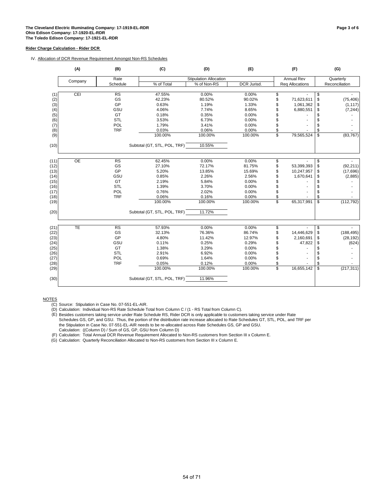### IV. Allocation of DCR Revenue Requirement Amongst Non-RS Schedules

|      | (A)             | (B)        | (C)                          | (D)                           | (E)                |    | (F)               |                          | (G)            |
|------|-----------------|------------|------------------------------|-------------------------------|--------------------|----|-------------------|--------------------------|----------------|
|      |                 | Rate       |                              | <b>Stipulation Allocation</b> |                    |    | <b>Annual Rev</b> |                          | Quarterly      |
|      | Company         | Schedule   | % of Total                   | % of Non-RS                   | <b>DCR Jurisd.</b> |    | Req Allocations   |                          | Reconciliation |
|      |                 |            |                              |                               |                    |    |                   |                          |                |
| (1)  | CEI             | RS         | 47.55%                       | 0.00%                         | 0.00%              | \$ |                   | \$                       |                |
| (2)  |                 | GS         | 42.23%                       | 80.52%                        | 90.02%             | \$ | 71,623,611        | \$                       | (75, 406)      |
| (3)  |                 | GP         | 0.63%                        | 1.19%                         | 1.33%              | \$ | 1,061,362         | \$                       | (1, 117)       |
| (4)  |                 | GSU        | 4.06%                        | 7.74%                         | 8.65%              |    | 6,880,551         | \$                       | (7, 244)       |
| (5)  |                 | GT         | 0.18%                        | 0.35%                         | 0.00%              |    |                   | \$                       |                |
| (6)  |                 | <b>STL</b> | 3.53%                        | 6.73%                         | 0.00%              | \$ |                   | \$                       |                |
| (7)  |                 | POL        | 1.79%                        | 3.41%                         | 0.00%              | \$ |                   | \$                       |                |
| (8)  |                 | <b>TRF</b> | 0.03%                        | 0.06%                         | 0.00%              | \$ |                   | \$                       |                |
| (9)  |                 |            | 100.00%                      | 100.00%                       | 100.00%            | \$ | 79,565,524        | \$                       | (83, 767)      |
| (10) |                 |            | Subtotal (GT, STL, POL, TRF) | 10.55%                        |                    |    |                   |                          |                |
| (11) | $\overline{OE}$ | RS         | 62.45%                       | 0.00%                         | 0.00%              | \$ |                   | \$                       |                |
| (12) |                 | GS         | 27.10%                       | 72.17%                        | 81.75%             | \$ | 53,399,393        | \$                       | (92, 211)      |
|      |                 | GP         | 5.20%                        | 13.85%                        | 15.69%             |    | 10,247,957        |                          | (17,696)       |
| (13) |                 | GSU        | 0.85%                        | 2.26%                         | 2.56%              |    |                   | \$                       |                |
| (14) |                 | GT         | 2.19%                        |                               | 0.00%              | \$ | 1,670,641         | \$<br>\$                 | (2,885)        |
| (15) |                 | <b>STL</b> | 1.39%                        | 5.84%<br>3.70%                | 0.00%              |    |                   |                          |                |
| (16) |                 | POL        | 0.76%                        | 2.02%                         |                    | \$ |                   | \$                       |                |
| (17) |                 |            |                              |                               | 0.00%              | \$ |                   | \$                       |                |
| (18) |                 | <b>TRF</b> | 0.06%                        | 0.16%                         | 0.00%              | \$ |                   | \$                       |                |
| (19) |                 |            | 100.00%                      | 100.00%                       | 100.00%            | \$ | 65,317,991        | \$                       | (112, 792)     |
| (20) |                 |            | Subtotal (GT, STL, POL, TRF) | 11.72%                        |                    |    |                   |                          |                |
| (21) | <b>TE</b>       | RS         | 57.93%                       | 0.00%                         | 0.00%              | \$ |                   | \$                       |                |
| (22) |                 | GS         | 32.13%                       | 76.36%                        | 86.74%             | \$ | 14,446,629        | \$                       | (188, 495)     |
| (23) |                 | GP         | 4.80%                        | 11.42%                        | 12.97%             | S  | 2,160,691         | \$                       | (28, 192)      |
| (24) |                 | GSU        | 0.11%                        | 0.25%                         | 0.29%              | \$ | 47,822            | \$                       | (624)          |
| (25) |                 | GT         | 1.38%                        | 3.29%                         | 0.00%              |    |                   | \$                       |                |
| (26) |                 | STL        | 2.91%                        | 6.92%                         | 0.00%              | \$ |                   | \$                       |                |
| (27) |                 | POL        | 0.69%                        | 1.64%                         | 0.00%              | \$ |                   | \$                       |                |
| (28) |                 | <b>TRF</b> | 0.05%                        | 0.12%                         | 0.00%              | \$ |                   | \$                       |                |
| (29) |                 |            | 100.00%                      | 100.00%                       | 100.00%            | \$ | 16,655,142        | $\overline{\mathcal{S}}$ | (217, 311)     |
| (30) |                 |            | Subtotal (GT, STL, POL, TRF) | 11.96%                        |                    |    |                   |                          |                |

NOTES

(D) Calculation: Individual Non-RS Rate Schedule Total from Column C / (1 - RS Total from Column C).

(E) Besides customers taking service under Rate Schedule RS, Rider DCR is only applicable to customers taking service under Rate Calculation: ((Column D) / Sum of GS, GP, GSU from Column D) Schedules GS, GP, and GSU. Thus, the portion of the distribution rate increase allocated to Rate Schedules GT, STL, POL, and TRF per the Stipulation in Case No. 07-551-EL-AIR needs to be re-allocated across Rate Schedules GS, GP and GSU.

(F) Calculation: Total Annual DCR Revenue Requirement Allocated to Non-RS customers from Section III x Column E.

(G) Calculation: Quarterly Reconciliation Allocated to Non-RS customers from Section III x Column E.

<sup>(</sup>C) Source: Stipulation in Case No. 07-551-EL-AIR.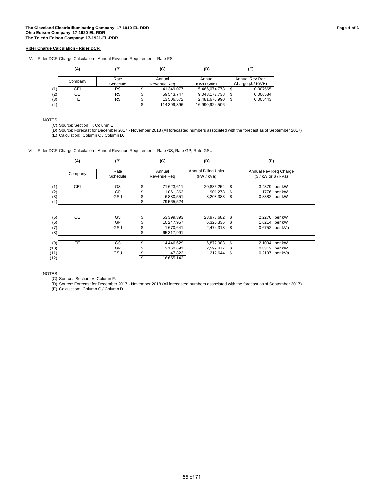V. Rider DCR Charge Calculation - Annual Revenue Requirement - Rate RS

|     | (A)     | (B)       | (C)               | (D)              |                   | (E)            |  |
|-----|---------|-----------|-------------------|------------------|-------------------|----------------|--|
|     | Company | Rate      | Annual            | Annual           |                   | Annual Rev Reg |  |
|     |         | Schedule  | Revenue Reg       | <b>KWH Sales</b> | Charge (\$ / KWH) |                |  |
| (1) | CEI     | <b>RS</b> | 41.349.077        | 5,466,074,778    | \$                | 0.007565       |  |
| (2) | OE      | <b>RS</b> | \$<br>59,543,747  | 9,043,172,738    | S                 | 0.006584       |  |
| (3) | TЕ      | <b>RS</b> | 13.506.572        | 2,481,676,990    | \$.               | 0.005443       |  |
| (4) |         |           | \$<br>114,399,396 | 16.990.924.506   |                   |                |  |

NOTES

(C) Source: Section III, Column E.

(D) Source: Forecast for December 2017 - November 2018 (All forecasted numbers associated with the forecast as of September 2017) (E) Calculation: Column C / Column D.

VI. Rider DCR Charge Calculation - Annual Revenue Requirement - Rate GS, Rate GP, Rate GSU

|      | (A)       | (B)      | (C)              | (D)                         |      | (E)                     |  |
|------|-----------|----------|------------------|-----------------------------|------|-------------------------|--|
|      | Company   | Rate     | Annual           | <b>Annual Billing Units</b> |      | Annual Rev Reg Charge   |  |
|      |           | Schedule | Revenue Reg      | (kW / kVa)                  |      | $($ /$ kW or $$ /$ kVa) |  |
|      |           |          |                  |                             |      |                         |  |
| (1)  | CEI       | GS       | 71,623,611       | 20,833,254                  | \$   | 3.4379 per kW           |  |
| (2)  |           | GP       | 1,061,362        | 901,278                     | S    | 1.1776 per kW           |  |
| (3)  |           | GSU      | 6,880,551        | 8,208,383                   | - \$ | 0.8382 per kW           |  |
| (4)  |           |          | \$<br>79,565,524 |                             |      |                         |  |
|      |           |          |                  |                             |      |                         |  |
| (5)  | <b>OE</b> | GS       | 53,399,393       | 23,978,682                  | \$   | 2.2270 per kW           |  |
| (6)  |           | GP       | 10,247,957       | 6,320,336                   | - \$ | 1.6214 per kW           |  |
| (7)  |           | GSU      | \$<br>1,670,641  | 2,474,313 \$                |      | 0.6752 per kVa          |  |
| (8)  |           |          | \$<br>65,317,991 |                             |      |                         |  |
|      |           |          |                  |                             |      |                         |  |
| (9)  | <b>TE</b> | GS       | 14,446,629       | 6,877,983                   | \$   | 2.1004 per kW           |  |
| (10) |           | GP       | 2,160,691        | 2,599,477                   | S    | 0.8312 per kW           |  |
| (11) |           | GSU      | \$<br>47,822     | 217,644                     | \$   | 0.2197 per kVa          |  |
| (12) |           |          | 16,655,142       |                             |      |                         |  |

**NOTES** 

(C) Source: Section IV, Column F.

(D) Source: Forecast for December 2017 - November 2018 (All forecasted numbers associated with the forecast as of September 2017)

(E) Calculation: Column C / Column D.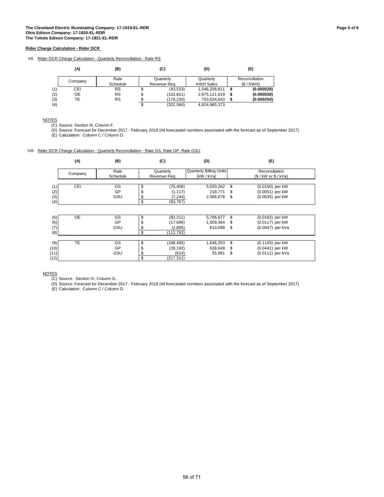### VII. Rider DCR Charge Calculation - Quarterly Reconciliation - Rate RS

|     | (A)     | (B)       |             | (C)        |  | (D)              | (E)            |
|-----|---------|-----------|-------------|------------|--|------------------|----------------|
|     | Company | Rate      |             | Quarterly  |  | Quarterly        | Reconciliation |
|     |         | Schedule  | Revenue Rea |            |  | <b>KWH Sales</b> | (S/KWH)        |
| (1) | CEI     | <b>RS</b> | S           | (43, 533)  |  | 1,546,208,811    | (0.000028)     |
| (2) | OE      | RS        | \$          | (102, 821) |  | 2,675,121,919    | (0.000038)     |
| (3) | TE      | <b>RS</b> | \$          | (176.230)  |  | 703.634.643      | (0.000250)     |
| (4) |         |           | \$          | (322.584)  |  | 4,924,965,373    |                |

NOTES

(C) Source: Section III, Column F.

(D) Source: Forecast for December 2017 - February 2018 (All forecasted numbers associated with the forecast as of September 2017)

(E) Calculation: Column C / Column D.

#### VIII. Rider DCR Charge Calculation - Quarterly Reconciliation - Rate GS, Rate GP, Rate GSU

|      | (A)        | (B)      | (C)              | (D)                            |    | (E)                  |  |
|------|------------|----------|------------------|--------------------------------|----|----------------------|--|
|      |            | Rate     | Quarterly        | <b>Quarterly Billing Units</b> |    | Reconciliation       |  |
|      | Company    | Schedule | Revenue Req      | (kW / kVa)                     |    | (S / kW or \$ / KVa) |  |
|      |            |          |                  |                                |    |                      |  |
| (1)  | <b>CEI</b> | GS       | \$<br>(75, 406)  | 5,020,262                      | \$ | (0.0150) per kW      |  |
| (2)  |            | GP       | \$<br>(1, 117)   | 218,771                        | \$ | (0.0051) per kW      |  |
| (3)  |            | GSU      | \$<br>(7, 244)   | 2,066,678                      | \$ | (0.0035) per kW      |  |
| (4)  |            |          | \$<br>(83, 767)  |                                |    |                      |  |
|      |            |          |                  |                                |    |                      |  |
| (5)  | <b>OE</b>  | GS       | \$<br>(92, 211)  | 5,706,677                      | \$ | (0.0162) per kW      |  |
| (6)  |            | GP       | \$<br>(17,696)   | 1,509,364                      | \$ | (0.0117) per kW      |  |
| (7)  |            | GSU      | \$<br>(2,885)    | 610,098                        | \$ | (0.0047) per kVa     |  |
| (8)  |            |          | \$<br>(112, 792) |                                |    |                      |  |
|      |            |          |                  |                                |    |                      |  |
| (9)  | <b>TE</b>  | GS       | \$<br>(188, 495) | 1,646,353                      | \$ | (0.1145) per kW      |  |
| (10) |            | GP       | \$<br>(28, 192)  | 638,649                        | S  | (0.0441) per kW      |  |
| (11) |            | GSU      | \$<br>(624)      | 55,991                         | \$ | (0.0111) per kVa     |  |
| (12) |            |          | \$<br>(217,311)  |                                |    |                      |  |

**NOTES** 

(C) Source: Section IV, Column G.

(D) Source: Forecast for December 2017 - February 2018 (All forecasted numbers associated with the forecast as of September 2017)

(E) Calculation: Column C / Column D.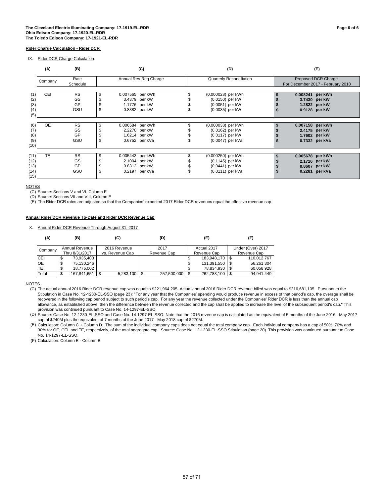IX. Rider DCR Charge Calculation

|                                      | (A)<br>(B)<br>(C) |                              |                |                                                                      |    | (D)                                                                           | (E)                                                                  |  |  |  |  |
|--------------------------------------|-------------------|------------------------------|----------------|----------------------------------------------------------------------|----|-------------------------------------------------------------------------------|----------------------------------------------------------------------|--|--|--|--|
|                                      | Company           | Rate<br>Schedule             |                | Annual Rev Reg Charge                                                |    | <b>Quarterly Reconciliation</b>                                               | Proposed DCR Charge<br>For December 2017 - February 2018             |  |  |  |  |
| (2)<br>(3)<br>(4)<br>(5)             | <b>CEI</b>        | <b>RS</b><br>GS<br>GP<br>GSU | \$<br>\$       | 0.007565 per kWh<br>3.4379 per kW<br>1.1776 per kW<br>0.8382 per kW  | S  | (0.000028) per kWh<br>(0.0150) per kW<br>$(0.0051)$ per kW<br>(0.0035) per kW | 0.008241 per kWh<br>3.7430 per kW<br>1.2822 per kW<br>0.9128 per kW  |  |  |  |  |
| (6)<br>(7)<br>(8)<br>(9)<br>(10)     | <b>OE</b>         | <b>RS</b><br>GS<br>GP<br>GSU | \$<br>\$<br>\$ | 0.006584 per kWh<br>2.2270 per kW<br>1.6214 per kW<br>0.6752 per kVa | \$ | (0.000038) per kWh<br>(0.0162) per kW<br>(0.0117) per kW<br>(0.0047) per kVa  | 0.007158 per kWh<br>2.4175 per kW<br>1.7602 per kW<br>0.7332 per kVa |  |  |  |  |
| (11)<br>(12)<br>(13)<br>(14)<br>(15) | <b>TE</b>         | <b>RS</b><br>GS<br>GP<br>GSU | \$<br>\$       | 0.005443 per kWh<br>2.1004 per kW<br>0.8312 per kW<br>0.2197 per kVa | \$ | (0.000250) per kWh<br>(0.1145) per kW<br>(0.0441) per kW<br>(0.0111) per kVa  | 0.005678 per kWh<br>2.1716 per kW<br>0.8607 per kW<br>0.2281 per kVa |  |  |  |  |

#### **NOTES**

(C) Source: Sections V and VI, Column E

(D) Source: Sections VII and VIII, Column E

(E) The Rider DCR rates are adjusted so that the Companies' expected 2017 Rider DCR revenues equal the effective revenue cap.

#### **Annual Rider DCR Revenue To-Date and Rider DCR Revenue Cap**

X. Annual Rider DCR Revenue Through August 31, 2017

| (A)        | (B)             | (C)             | (D)         | (E)               | (F)               |
|------------|-----------------|-----------------|-------------|-------------------|-------------------|
| Company    | Annual Revenue  | 2016 Revenue    | 2017        | Actual 2017       | Under (Over) 2017 |
|            | Thru 8/31/2017  | vs. Revenue Cap | Revenue Cap | Revenue Cap       | Revenue Cap       |
| <b>CEI</b> | 73,935,403<br>Φ |                 |             | 183,948,170<br>\$ | 110.012.767       |
| OE         | 75,130,246<br>จ |                 |             | 131,391,550<br>\$ | 56,261,304        |
| TE         | 18.776.002<br>Φ |                 |             | 78,834,930<br>S   | 60.058.928        |
| Total      | 167,841,651     | 5,283,100       | 257,500,000 | 262,783,100       | 94,941,449        |

**NOTES** 

(C) The actual annual 2016 Rider DCR revenue cap was equal to \$221,964,205. Actual annual 2016 Rider DCR revenue billed was equal to \$216,681,105. Pursuant to the Stipulation in Case No. 12-1230-EL-SSO (page 23): "For any year that the Companies' spending would produce revenue in excess of that period's cap, the overage shall be recovered in the following cap period subject to such period's cap. For any year the revenue collected under the Companies' Rider DCR is less than the annual cap allowance, as established above, then the difference between the revenue collected and the cap shall be applied to increase the level of the subsequent period's cap." This provision was continued pursuant to Case No. 14-1297-EL-SSO.

(D) Source: Case No. 12-1230-EL-SSO and Case No. 14-1297-EL-SSO. Note that the 2016 revenue cap is calculated as the equivalent of 5 months of the June 2016 - May 2017 cap of \$240M plus the equivalent of 7 months of the June 2017 - May 2018 cap of \$270M.

(E) Calculation: Column C + Column D. The sum of the individual company caps does not equal the total company cap. Each individual company has a cap of 50%, 70% and 30% for OE, CEI, and TE, respectively, of the total aggregate cap. Source: Case No. 12-1230-EL-SSO Stipulation (page 20). This provision was continued pursuant to Case No. 14-1297-EL-SSO.

(F) Calculation: Column E - Column B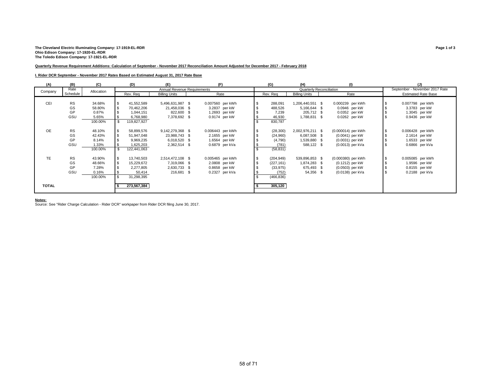# The Cleveland Electric Illuminating Company: 17-1919-EL-RDR<br>Ohio Edison Company: 17-1920-EL-RDR<br>The Toledo Edison Company: 17-1921-EL-RDR

#### **Quarterly Revenue Requirement Additions: Calculation of September - November 2017 Reconciliation Amount Adjusted for December 2017 - February 2018**

#### **I. Rider DCR September - November 2017 Rates Based on Estimated August 31, 2017 Rate Base**

| (A)       | (B)       | (C)        | (D)         | (E)                         |                  | (G)        | (H)                             | (1)                | (J)                            |
|-----------|-----------|------------|-------------|-----------------------------|------------------|------------|---------------------------------|--------------------|--------------------------------|
| Company   | Rate      | Allocation |             | Annual Revenue Requirements |                  |            | <b>Quarterly Reconciliation</b> |                    | September - November 2017 Rate |
|           | Schedule  |            | Rev. Req    | <b>Billing Units</b>        | Rate             | Rev. Req   | <b>Billing Units</b>            | Rate               | <b>Estimated Rate Base</b>     |
|           |           |            |             |                             |                  |            |                                 |                    |                                |
| CEI       | <b>RS</b> | 34.68%     | 41,552,589  | 5,496,631,987 \$            | 0.007560 per kWh | 288,091    | 1,206,440,551 \$                | 0.000239 per kWh   | 0.007798 per kWh               |
|           | GS        | 58.80%     | 70,462,206  | 21,458,036 \$               | 3.2837 per kW    | 488,526    | 5,166,644 \$                    | 0.0946 per kW      | 3.3783 per kW                  |
|           | GP        | 0.87%      | 1,044,151   | 822,600 \$                  | 1.2693 per kW    | 7,239      | 205,712 \$                      | 0.0352 per kW      | 1.3045 per kW                  |
|           | GSU       | 5.65%      | 6,768,980   | 7,378,692 \$                | 0.9174 per kW    | 46,930     | 1,788,831 \$                    | 0.0262 per kW      | 0.9436 per kW                  |
|           |           | 100.00%    | 119,827,927 |                             |                  | 830,787    |                                 |                    |                                |
|           |           |            |             |                             |                  |            |                                 |                    |                                |
| <b>OE</b> | <b>RS</b> | 48.10%     | 58,899,576  | 9,142,279,368 \$            | 0.006443 per kWh | (28, 300)  | 2,002,976,211 \$                | (0.000014) per kWh | 0.006428 per kWh               |
|           | GS        | 42.43%     | 51,947,048  | 23,988,743 \$               | 2.1655 per kW    | (24,960)   | 6,087,508 \$                    | (0.0041) per kW    | 2.1614 per kW                  |
|           | GP        | 8.14%      | 9,969,235   | 6,018,520 \$                | 1.6564 per kW    | (4,790)    | 1,539,880 \$                    | (0.0031) per kW    | 1.6533 per kW                  |
|           | GSU       | 1.33%      | 1,625,203   | 2,362,514 \$                | 0.6879 per kVa   | (781)      | 588,122 \$                      | (0.0013) per kVa   | 0.6866 per kVa                 |
|           |           | 100.00%    | 122,441,063 |                             |                  | (58, 831)  |                                 |                    |                                |
|           |           |            |             |                             |                  |            |                                 |                    |                                |
| <b>TE</b> | <b>RS</b> | 43.90%     | 13,740,503  | 2,514,472,108 \$            | 0.005465 per kWh | (204, 949) | 539,896,853 \$                  | (0.000380) per kWh | 0.005085 per kWh               |
|           | GS        | 48.66%     | 15,229,672  | 7,319,066 \$                | 2.0808 per kW    | (227, 161) | 1,874,283 \$                    | (0.1212) per kW    | 1.9596 per kW                  |
|           | GP        | 7.28%      | 2,277,805   | 2,630,733 \$                | 0.8658 per kW    | (33, 975)  | 675,493 \$                      | (0.0503) per kW    | 0.8155 per kW                  |
|           | GSU       | 0.16%      | 50,414      | 216,681 \$                  | 0.2327 per kVa   | (752)      | 54,356 \$                       | (0.0138) per kVa   | 0.2188 per kVa                 |
|           |           | 100.00%    | 31,298,395  |                             |                  | (466, 836) |                                 |                    |                                |
|           |           |            |             |                             |                  |            |                                 |                    |                                |
|           |           |            |             |                             |                  |            |                                 |                    |                                |
| TOTAL     |           |            | 273,567,384 |                             |                  | 305,120    |                                 |                    |                                |
|           |           |            |             |                             |                  |            |                                 |                    |                                |

**Notes:** Source: See "Rider Charge Calculation - Rider DCR" workpaper from Rider DCR filing June 30, 2017.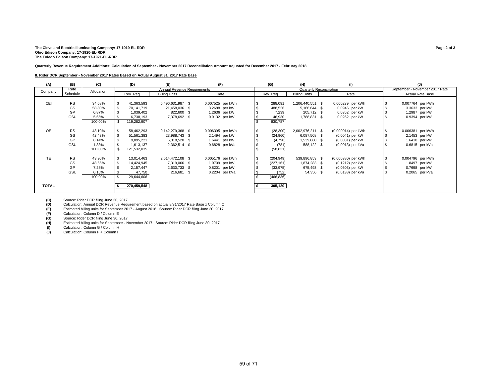#### **The Cleveland Electric Illuminating Company: 17-1919-EL-RDR Page 2 of 3 Ohio Edison Company: 17-1920-EL-RDR The Toledo Edison Company: 17-1921-EL-RDR**

#### **Quarterly Revenue Requirement Additions: Calculation of September - November 2017 Reconciliation Amount Adjusted for December 2017 - February 2018**

#### **II. Rider DCR September - November 2017 Rates Based on Actual August 31, 2017 Rate Base**

| (A)          | (B)       | (C)        | (D)         | (E)                         | (F)              | (G)        | (H)                  |                          | (1)                |          | (J)                            |
|--------------|-----------|------------|-------------|-----------------------------|------------------|------------|----------------------|--------------------------|--------------------|----------|--------------------------------|
| Company      | Rate      | Allocation |             | Annual Revenue Requirements |                  |            |                      | Quarterly Reconciliation |                    |          | September - November 2017 Rate |
|              | Schedule  |            | Rev. Req    | <b>Billing Units</b>        | Rate             | Rev. Req   | <b>Billing Units</b> |                          | Rate               |          | Actual Rate Base               |
|              |           |            |             |                             |                  |            |                      |                          |                    |          |                                |
| CEI          | <b>RS</b> | 34.68%     | 41,363,593  | 5,496,631,987 \$            | 0.007525 per kWh | 288,091    | 1,206,440,551 \$     |                          | 0.000239 per kWh   | <b>S</b> | 0.007764 per kWh               |
|              | GS        | 58.80%     | 70,141,719  | 21,458,036 \$               | 3.2688 per kW    | 488,526    | 5,166,644 \$         |                          | 0.0946 per kW      |          | 3.3633 per kW                  |
|              | GP        | 0.87%      | 1,039,402   | 822,600 \$                  | 1.2636 per kW    | 7,239      | 205,712 \$           |                          | 0.0352 per kW      |          | 1.2987 per kW                  |
|              | GSU       | 5.65%      | 6,738,193   | 7,378,692 \$                | 0.9132 per kW    | 46,930     | 1,788,831 \$         |                          | 0.0262 per kW      |          | 0.9394 per kW                  |
|              |           | 100.00%    | 119,282,907 |                             |                  | 830,787    |                      |                          |                    |          |                                |
|              |           |            |             |                             |                  |            |                      |                          |                    |          |                                |
| <b>OE</b>    | <b>RS</b> | 48.10%     | 58,462,293  | 9,142,279,368 \$            | 0.006395 per kWh | (28, 300)  | 2,002,976,211 \$     |                          | (0.000014) per kWh | <b>S</b> | 0.006381 per kWh               |
|              | GS        | 42.43%     | 51,561,383  | 23,988,743 \$               | 2.1494 per kW    | (24,960)   | 6,087,508 \$         |                          | (0.0041) per kW    |          | 2.1453 per kW                  |
|              | GP        | 8.14%      | 9,895,221   | 6,018,520 \$                | 1.6441 per kW    | (4,790)    | 1,539,880 \$         |                          | (0.0031) per kW    |          | 1.6410 per kW                  |
|              | GSU       | 1.33%      | 1,613,137   | 2,362,514 \$                | 0.6828 per kVa   | (781)      | 588,122 \$           |                          | (0.0013) per kVa   |          | 0.6815 per kVa                 |
|              |           | 100.00%    | 121,532,035 |                             |                  | (58, 831)  |                      |                          |                    |          |                                |
|              |           |            |             |                             |                  |            |                      |                          |                    |          |                                |
| <b>TE</b>    | <b>RS</b> | 43.90%     | 13,014,463  | 2,514,472,108 \$            | 0.005176 per kWh | (204, 949) | 539,896,853 \$       |                          | (0.000380) per kWh | <b>S</b> | 0.004796 per kWh               |
|              | GS        | 48.66%     | 14,424,945  | 7,319,066 \$                | 1.9709 per kW    | (227, 161) | 1,874,283 \$         |                          | (0.1212) per kW    |          | 1.8497 per kW                  |
|              | GP        | 7.28%      | 2,157,447   | 2,630,733 \$                | 0.8201 per kW    | (33, 975)  | 675,493 \$           |                          | (0.0503) per kW    |          | 0.7698 per kW                  |
|              | GSU       | 0.16%      | 47,750      | 216,681 \$                  | 0.2204 per kVa   | (752)      | 54,356 \$            |                          | (0.0138) per kVa   |          | 0.2065 per kVa                 |
|              |           | 100.00%    | 29,644,606  |                             |                  | (466, 836) |                      |                          |                    |          |                                |
|              |           |            |             |                             |                  |            |                      |                          |                    |          |                                |
| <b>TOTAL</b> |           |            | 270,459,548 |                             |                  | 305,120    |                      |                          |                    |          |                                |
|              |           |            |             |                             |                  |            |                      |                          |                    |          |                                |
|              |           |            |             |                             |                  |            |                      |                          |                    |          |                                |

**(C)** Source: Rider DCR filing June 30, 2017

**(D)** Calculation: Annual DCR Revenue Requirement based on actual 8/31/2017 Rate Base x Column C<br> **(E)** Estimated billing units for September 2017 - August 2018. Source: Rider DCR filing June 30, 2017.<br> **(F)** Calculation: **(E)** Estimated billing units for September 2017 - August 2018. Source: Rider DCR filing June 30, 2017.

(F) Calculation: Column D / Column E<br> **(G)** Source: Rider DCR filing June 30, 2 **(G)** Source: Rider DCR filing June 30, 2017<br> **(H)** Estimated billing units for September - N

Estimated billing units for September - November 2017. Source: Rider DCR filing June 30, 2017.

(I) Calculation: Column G / Column H<br> **(J)** Calculation: Column F + Column I **(J)** Calculation: Column F + Column I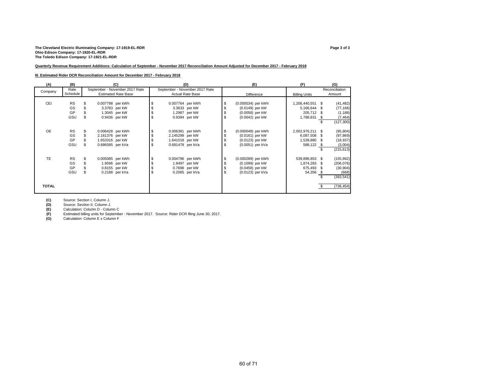# The Cleveland Electric Illuminating Company: 17-1919-EL-RDR<br>Ohio Edison Company: 17-1920-EL-RDR<br>The Toledo Edison Company: 17-1921-EL-RDR

#### **Quarterly Revenue Requirement Additions: Calculation of September - November 2017 Reconciliation Amount Adjusted for December 2017 - February 2018**

#### **III. Estimated Rider DCR Reconciliation Amount for December 2017 - February 2018**

| (A)          | (B)       |                  | (C)                            | (D)                            |  | (E)                | (F)                  |      | (G)            |
|--------------|-----------|------------------|--------------------------------|--------------------------------|--|--------------------|----------------------|------|----------------|
| Company      | Rate      |                  | September - November 2017 Rate | September - November 2017 Rate |  |                    |                      |      | Reconciliation |
|              | Schedule  |                  | <b>Estimated Rate Base</b>     | <b>Actual Rate Base</b>        |  | Difference         | <b>Billing Units</b> |      | Amount         |
|              |           |                  |                                |                                |  |                    |                      |      |                |
| CEI          | <b>RS</b> |                  | 0.007798 per kWh               | 0.007764 per kWh               |  | (0.000034) per kWh | 1,206,440,551 \$     |      | (41, 482)      |
|              | GS        |                  | 3.3783 per kW                  | 3.3633 per kW                  |  | (0.0149) per kW    | 5,166,644 \$         |      | (77, 166)      |
|              | GP        |                  | 1.3045 per kW                  | 1.2987 per kW                  |  | (0.0058) per kW    | 205,712 \$           |      | (1, 188)       |
|              | GSU       |                  | 0.9436 per kW                  | 0.9394 per kW                  |  | (0.0042) per kW    | 1,788,831            | - \$ | (7, 464)       |
|              |           |                  |                                |                                |  |                    |                      |      | (127, 300)     |
|              |           |                  |                                |                                |  |                    |                      |      |                |
| <b>OE</b>    | <b>RS</b> |                  | 0.006428 per kWh               | 0.006381 per kWh               |  | (0.000048) per kWh | 2,002,976,211 \$     |      | (95, 804)      |
|              | GS        | 2.161376 per kW  |                                | 2.145299 per kW                |  | (0.0161) per kW    | 6,087,508 \$         |      | (97, 869)      |
|              | GP        | 1.653316 per kW  |                                | 1.641018 per kW                |  | (0.0123) per kW    | 1,539,880 \$         |      | (18, 937)      |
|              | GSU       | 0.686585 per kVa |                                | \$<br>0.681478 per kVa         |  | (0.0051) per kVa   | 588,122 \$           |      | (3,004)        |
|              |           |                  |                                |                                |  |                    |                      |      | (215, 613)     |
|              |           |                  |                                |                                |  |                    |                      |      |                |
| <b>TE</b>    | <b>RS</b> | £.               | 0.005085 per kWh               | 0.004796 per kWh               |  | (0.000289) per kWh | 539,896,853 \$       |      | (155, 892)     |
|              | GS        |                  | 1.9596 per kW                  | 1.8497 per kW                  |  | (0.1099) per kW    | 1,874,283 \$         |      | (206, 076)     |
|              | GP        |                  | 0.8155 per kW                  | 0.7698 per kW                  |  | (0.0458) per kW    | 675,493 \$           |      | (30, 904)      |
|              | GSU       |                  | 0.2188 per kVa                 | 0.2065 per kVa                 |  | (0.0123) per kVa   | 54,356 \$            |      | (668)          |
|              |           |                  |                                |                                |  |                    |                      |      | (393, 541)     |
|              |           |                  |                                |                                |  |                    |                      |      |                |
| <b>TOTAL</b> |           |                  |                                |                                |  |                    |                      |      | (736, 454)     |
|              |           |                  |                                |                                |  |                    |                      |      |                |

**(C)** Source: Section I, Column J.

**(D)** Source: Section II, Column J.<br>**(E)** Calculation: Column D - Colum

(E) Calculation: Column D - Column C<br> **(F)** Estimated billing units for Septembe **(F)** Estimated billing units for September - November 2017. Source: Rider DCR filing June 30, 2017.

**(G)** Calculation: Column E x Column F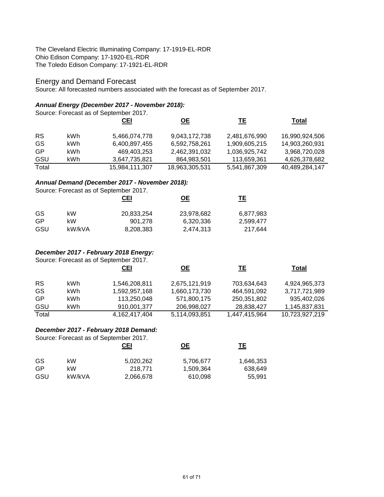The Cleveland Electric Illuminating Company: 17-1919-EL-RDR Ohio Edison Company: 17-1920-EL-RDR The Toledo Edison Company: 17-1921-EL-RDR

# Energy and Demand Forecast

Source: All forecasted numbers associated with the forecast as of September 2017.

# *Annual Energy (December 2017 - November 2018):*

Source: Forecast as of September 2017.

|           |      | <u>CEI</u>     | <u>OE</u>      | ΤE            | Total          |
|-----------|------|----------------|----------------|---------------|----------------|
|           |      |                |                |               |                |
| <b>RS</b> | kWh  | 5,466,074,778  | 9,043,172,738  | 2,481,676,990 | 16,990,924,506 |
| GS        | kWh  | 6,400,897,455  | 6,592,758,261  | 1,909,605,215 | 14,903,260,931 |
| GP        | kWh. | 469,403,253    | 2,462,391,032  | 1,036,925,742 | 3,968,720,028  |
| GSU       | kWh  | 3,647,735,821  | 864,983,501    | 113,659,361   | 4,626,378,682  |
| Total     |      | 15,984,111,307 | 18,963,305,531 | 5,541,867,309 | 40,489,284,147 |

# *Annual Demand (December 2017 - November 2018):*

Source: Forecast as of September 2017.

|        | <b>CEI</b> | <u>ОЕ</u>  | TΕ        |
|--------|------------|------------|-----------|
| kW     | 20,833,254 | 23,978,682 | 6,877,983 |
| kW     | 901.278    | 6,320,336  | 2,599,477 |
| kW/kVA | 8,208,383  | 2,474,313  | 217,644   |
|        |            |            |           |

# *December 2017 - February 2018 Energy:*

Source: Forecast as of September 2017.

|           |      | <b>CEI</b>    | <u>OE</u>     | TE            | Total          |
|-----------|------|---------------|---------------|---------------|----------------|
| <b>RS</b> | kWh. | 1,546,208,811 | 2,675,121,919 | 703,634,643   | 4,924,965,373  |
| GS        | kWh  | 1,592,957,168 | 1,660,173,730 | 464,591,092   | 3,717,721,989  |
| GP        | kWh  | 113,250,048   | 571,800,175   | 250,351,802   | 935,402,026    |
| GSU       | kWh  | 910,001,377   | 206,998,027   | 28,838,427    | 1,145,837,831  |
| Total     |      | 4,162,417,404 | 5,114,093,851 | 1,447,415,964 | 10,723,927,219 |

# *December 2017 - February 2018 Demand:*

Source: Forecast as of September 2017.

|     |        | <u>CEI</u> | <u>OE</u> | ᅚ         |
|-----|--------|------------|-----------|-----------|
| GS  | kW     | 5,020,262  | 5,706,677 | 1,646,353 |
| GP  | kW     | 218.771    | 1,509,364 | 638,649   |
| GSU | kW/kVA | 2,066,678  | 610,098   | 55.991    |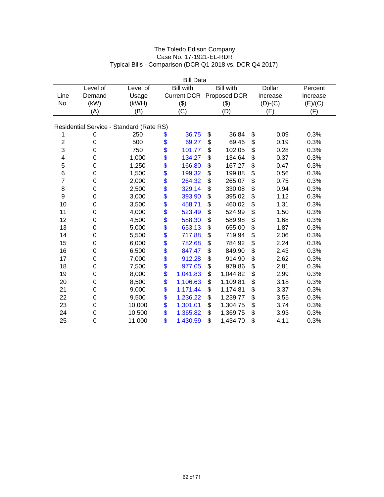|              |             |                                          |      | <b>Bill Data</b> |                          |               |          |
|--------------|-------------|------------------------------------------|------|------------------|--------------------------|---------------|----------|
|              | Level of    | Level of                                 |      | <b>Bill with</b> | <b>Bill with</b>         | <b>Dollar</b> | Percent  |
| Line         | Demand      | Usage                                    |      |                  | Current DCR Proposed DCR | Increase      | Increase |
| No.          | (kW)        | (kWH)                                    |      | (3)              | (3)                      | $(D)-(C)$     | (E)/(C)  |
|              | (A)         | (B)                                      |      | (C)              | (D)                      | (E)           | (F)      |
|              |             |                                          |      |                  |                          |               |          |
|              |             | Residential Service - Standard (Rate RS) |      |                  |                          |               |          |
| 1            | 0           | 250                                      | \$   | 36.75            | \$<br>36.84              | \$<br>0.09    | 0.3%     |
| $\mathbf{2}$ | $\mathbf 0$ | 500                                      | \$   | 69.27            | \$<br>69.46              | \$<br>0.19    | 0.3%     |
| 3            | 0           | 750                                      | \$   | 101.77           | \$<br>102.05             | \$<br>0.28    | 0.3%     |
| 4            | $\mathbf 0$ | 1,000                                    | \$   | 134.27           | \$<br>134.64             | \$<br>0.37    | 0.3%     |
| 5            | 0           | 1,250                                    | \$   | 166.80           | \$<br>167.27             | \$<br>0.47    | 0.3%     |
| 6            | $\mathbf 0$ | 1,500                                    | \$   | 199.32           | \$<br>199.88             | \$<br>0.56    | 0.3%     |
| 7            | 0           | 2,000                                    | \$   | 264.32           | \$<br>265.07             | \$<br>0.75    | 0.3%     |
| 8            | $\mathbf 0$ | 2,500                                    | \$\$ | 329.14           | \$<br>330.08             | \$<br>0.94    | 0.3%     |
| 9            | 0           | 3,000                                    |      | 393.90           | \$<br>395.02             | \$<br>1.12    | 0.3%     |
| 10           | 0           | 3,500                                    |      | 458.71           | \$<br>460.02             | \$<br>1.31    | 0.3%     |
| 11           | 0           | 4,000                                    | \$   | 523.49           | \$<br>524.99             | \$<br>1.50    | 0.3%     |
| 12           | 0           | 4,500                                    | \$   | 588.30           | \$<br>589.98             | \$<br>1.68    | 0.3%     |
| 13           | 0           | 5,000                                    | \$   | 653.13           | \$<br>655.00             | \$<br>1.87    | 0.3%     |
| 14           | 0           | 5,500                                    | \$   | 717.88           | \$<br>719.94             | \$<br>2.06    | 0.3%     |
| 15           | 0           | 6,000                                    | \$   | 782.68           | \$<br>784.92             | \$<br>2.24    | 0.3%     |
| 16           | 0           | 6,500                                    | \$   | 847.47           | \$<br>849.90             | \$<br>2.43    | 0.3%     |
| 17           | $\mathbf 0$ | 7,000                                    | \$   | 912.28           | \$<br>914.90             | \$<br>2.62    | 0.3%     |
| 18           | $\mathbf 0$ | 7,500                                    | \$   | 977.05           | \$<br>979.86             | \$<br>2.81    | 0.3%     |
| 19           | 0           | 8,000                                    | \$   | 1,041.83         | \$<br>1,044.82           | \$<br>2.99    | 0.3%     |
| 20           | $\mathbf 0$ | 8,500                                    | \$   | 1,106.63         | \$<br>1,109.81           | \$<br>3.18    | 0.3%     |
| 21           | $\mathbf 0$ | 9,000                                    | \$   | 1,171.44         | \$<br>1,174.81           | \$<br>3.37    | 0.3%     |
| 22           | 0           | 9,500                                    | \$   | 1,236.22         | \$<br>1,239.77           | \$<br>3.55    | 0.3%     |
| 23           | $\mathbf 0$ | 10,000                                   | \$   | 1,301.01         | \$<br>1,304.75           | \$<br>3.74    | 0.3%     |
| 24           | $\mathbf 0$ | 10,500                                   | \$   | 1,365.82         | \$<br>1,369.75           | \$<br>3.93    | 0.3%     |
| 25           | $\mathbf 0$ | 11,000                                   | \$   | 1,430.59         | \$<br>1,434.70           | \$<br>4.11    | 0.3%     |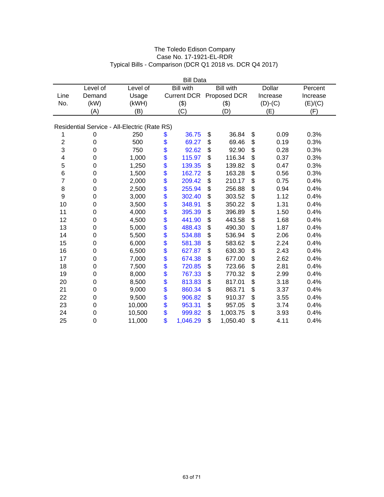|              |                  |                                              |      | <b>Bill Data</b> |                          |               |          |
|--------------|------------------|----------------------------------------------|------|------------------|--------------------------|---------------|----------|
|              | Level of         | Level of                                     |      | <b>Bill with</b> | <b>Bill with</b>         | <b>Dollar</b> | Percent  |
| Line         | Demand           | Usage                                        |      |                  | Current DCR Proposed DCR | Increase      | Increase |
| No.          | (kW)             | (kWH)                                        |      | (3)              | (3)                      | $(D)-(C)$     | (E)/(C)  |
|              | (A)              | (B)                                          |      | (C)              | (D)                      | (E)           | (F)      |
|              |                  |                                              |      |                  |                          |               |          |
|              |                  | Residential Service - All-Electric (Rate RS) |      |                  |                          |               |          |
| 1            | 0                | 250                                          | \$   | 36.75            | \$<br>36.84              | \$<br>0.09    | 0.3%     |
| $\mathbf{2}$ | 0                | 500                                          | \$   | 69.27            | \$<br>69.46              | \$<br>0.19    | 0.3%     |
| 3            | $\mathbf 0$      | 750                                          | \$   | 92.62            | \$<br>92.90              | \$<br>0.28    | 0.3%     |
| 4            | 0                | 1,000                                        | \$   | 115.97           | \$<br>116.34             | \$<br>0.37    | 0.3%     |
| 5            | $\mathbf 0$      | 1,250                                        | \$   | 139.35           | \$<br>139.82             | \$<br>0.47    | 0.3%     |
| 6            | $\mathbf 0$      | 1,500                                        |      | 162.72           | \$<br>163.28             | \$<br>0.56    | 0.3%     |
| 7            | $\mathbf 0$      | 2,000                                        | \$   | 209.42           | \$<br>210.17             | \$<br>0.75    | 0.4%     |
| 8            | 0                | 2,500                                        |      | 255.94           | \$<br>256.88             | \$<br>0.94    | 0.4%     |
| 9            | 0                | 3,000                                        | \$\$ | 302.40           | \$<br>303.52             | \$<br>1.12    | 0.4%     |
| 10           | 0                | 3,500                                        |      | 348.91           | \$<br>350.22             | \$<br>1.31    | 0.4%     |
| 11           | 0                | 4,000                                        | \$   | 395.39           | \$<br>396.89             | \$<br>1.50    | 0.4%     |
| 12           | 0                | 4,500                                        |      | 441.90           | \$<br>443.58             | \$<br>1.68    | 0.4%     |
| 13           | 0                | 5,000                                        | \$   | 488.43           | \$<br>490.30             | \$<br>1.87    | 0.4%     |
| 14           | 0                | 5,500                                        | \$   | 534.88           | \$<br>536.94             | \$<br>2.06    | 0.4%     |
| 15           | 0                | 6,000                                        |      | 581.38           | \$<br>583.62             | \$<br>2.24    | 0.4%     |
| 16           | 0                | 6,500                                        | \$   | 627.87           | \$<br>630.30             | \$<br>2.43    | 0.4%     |
| 17           | 0                | 7,000                                        | \$   | 674.38           | \$<br>677.00             | \$<br>2.62    | 0.4%     |
| 18           | $\mathbf 0$      | 7,500                                        | \$   | 720.85           | \$<br>723.66             | \$<br>2.81    | 0.4%     |
| 19           | 0                | 8,000                                        | \$   | 767.33           | \$<br>770.32             | \$<br>2.99    | 0.4%     |
| 20           | 0                | 8,500                                        | \$   | 813.83           | \$<br>817.01             | \$<br>3.18    | 0.4%     |
| 21           | $\mathbf 0$      | 9,000                                        | \$   | 860.34           | \$<br>863.71             | \$<br>3.37    | 0.4%     |
| 22           | $\boldsymbol{0}$ | 9,500                                        | \$   | 906.82           | \$<br>910.37             | \$<br>3.55    | 0.4%     |
| 23           | 0                | 10,000                                       | \$   | 953.31           | \$<br>957.05             | \$<br>3.74    | 0.4%     |
| 24           | 0                | 10,500                                       | \$   | 999.82           | \$<br>1,003.75           | \$<br>3.93    | 0.4%     |
| 25           | $\mathbf 0$      | 11,000                                       | \$   | 1,046.29         | \$<br>1,050.40           | \$<br>4.11    | 0.4%     |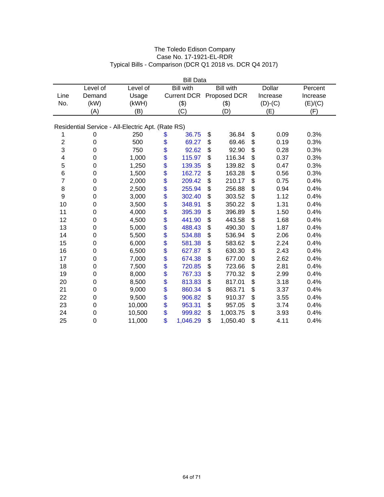|                |                                                   |          |          | <b>Bill Data</b>   |    |                  |    |               |          |  |  |  |
|----------------|---------------------------------------------------|----------|----------|--------------------|----|------------------|----|---------------|----------|--|--|--|
|                | Level of                                          | Level of |          | <b>Bill with</b>   |    | <b>Bill with</b> |    | <b>Dollar</b> | Percent  |  |  |  |
| Line           | Demand                                            | Usage    |          | <b>Current DCR</b> |    | Proposed DCR     |    | Increase      | Increase |  |  |  |
| No.            | (kW)                                              | (kWH)    |          | (3)                |    | (3)              |    | $(D)-(C)$     | (E)/(C)  |  |  |  |
|                | (A)                                               | (B)      |          | (C)                |    | (D)              |    | (E)           | (F)      |  |  |  |
|                | Residential Service - All-Electric Apt. (Rate RS) |          |          |                    |    |                  |    |               |          |  |  |  |
|                |                                                   |          |          |                    |    |                  |    |               |          |  |  |  |
| 1              | 0                                                 | 250      | \$       | 36.75              | \$ | 36.84            | \$ | 0.09          | 0.3%     |  |  |  |
| $\overline{c}$ | $\mathbf 0$                                       | 500      | \$       | 69.27              | \$ | 69.46            | \$ | 0.19          | 0.3%     |  |  |  |
| 3              | 0                                                 | 750      | \$       | 92.62              | \$ | 92.90            | \$ | 0.28          | 0.3%     |  |  |  |
| 4              | 0                                                 | 1,000    | \$       | 115.97             | \$ | 116.34           | \$ | 0.37          | 0.3%     |  |  |  |
| 5              | 0                                                 | 1,250    | \$       | 139.35             | \$ | 139.82           | \$ | 0.47          | 0.3%     |  |  |  |
| 6              | $\mathbf 0$                                       | 1,500    | \$<br>\$ | 162.72             | \$ | 163.28           | \$ | 0.56          | 0.3%     |  |  |  |
| 7              | 0                                                 | 2,000    |          | 209.42             | \$ | 210.17           | \$ | 0.75          | 0.4%     |  |  |  |
| 8              | $\mathbf 0$                                       | 2,500    | \$       | 255.94             | \$ | 256.88           | \$ | 0.94          | 0.4%     |  |  |  |
| 9              | $\mathbf 0$                                       | 3,000    | \$<br>\$ | 302.40             | \$ | 303.52           | \$ | 1.12          | 0.4%     |  |  |  |
| 10             | $\mathbf 0$                                       | 3,500    |          | 348.91             | \$ | 350.22           | \$ | 1.31          | 0.4%     |  |  |  |
| 11             | 0                                                 | 4,000    | \$       | 395.39             | \$ | 396.89           | \$ | 1.50          | 0.4%     |  |  |  |
| 12             | $\mathbf 0$                                       | 4,500    | \$       | 441.90             | \$ | 443.58           | \$ | 1.68          | 0.4%     |  |  |  |
| 13             | 0                                                 | 5,000    | \$       | 488.43             | \$ | 490.30           | \$ | 1.87          | 0.4%     |  |  |  |
| 14             | 0                                                 | 5,500    | \$       | 534.88             | \$ | 536.94           | \$ | 2.06          | 0.4%     |  |  |  |
| 15             | $\mathbf 0$                                       | 6,000    | \$       | 581.38             | \$ | 583.62           | \$ | 2.24          | 0.4%     |  |  |  |
| 16             | $\mathbf 0$                                       | 6,500    | \$       | 627.87             | \$ | 630.30           | \$ | 2.43          | 0.4%     |  |  |  |
| 17             | $\mathbf 0$                                       | 7,000    | \$       | 674.38             | \$ | 677.00           | \$ | 2.62          | 0.4%     |  |  |  |
| 18             | $\mathbf 0$                                       | 7,500    | \$       | 720.85             | \$ | 723.66           | \$ | 2.81          | 0.4%     |  |  |  |
| 19             | $\mathbf 0$                                       | 8,000    | \$       | 767.33             | \$ | 770.32           | \$ | 2.99          | 0.4%     |  |  |  |
| 20             | $\mathbf 0$                                       | 8,500    | \$       | 813.83             | \$ | 817.01           | \$ | 3.18          | 0.4%     |  |  |  |
| 21             | $\mathbf 0$                                       | 9,000    | \$       | 860.34             | \$ | 863.71           | \$ | 3.37          | 0.4%     |  |  |  |
| 22             | 0                                                 | 9,500    | \$       | 906.82             | \$ | 910.37           | \$ | 3.55          | 0.4%     |  |  |  |
| 23             | $\mathbf 0$                                       | 10,000   | \$       | 953.31             | \$ | 957.05           | \$ | 3.74          | 0.4%     |  |  |  |
| 24             | 0                                                 | 10,500   | \$       | 999.82             | \$ | 1,003.75         | \$ | 3.93          | 0.4%     |  |  |  |
| 25             | 0                                                 | 11,000   | \$       | 1,046.29           | \$ | 1,050.40         | \$ | 4.11          | 0.4%     |  |  |  |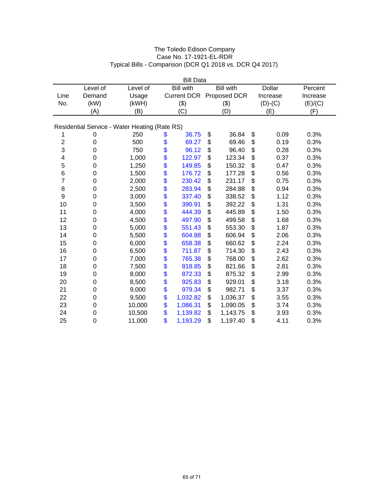|                |             |                                               |          | <b>Bill Data</b>   |    |                  |    |               |          |  |  |  |
|----------------|-------------|-----------------------------------------------|----------|--------------------|----|------------------|----|---------------|----------|--|--|--|
|                | Level of    | Level of                                      |          | <b>Bill with</b>   |    | <b>Bill with</b> |    | <b>Dollar</b> | Percent  |  |  |  |
| Line           | Demand      | Usage                                         |          | <b>Current DCR</b> |    | Proposed DCR     |    | Increase      | Increase |  |  |  |
| No.            | (kW)        | (kWH)                                         |          | (3)                |    | (3)              |    | $(D)-(C)$     | (E)/(C)  |  |  |  |
|                | (A)         | (B)                                           |          | (C)                |    | (D)              |    | (E)           | (F)      |  |  |  |
|                |             |                                               |          |                    |    |                  |    |               |          |  |  |  |
|                |             | Residential Service - Water Heating (Rate RS) |          |                    |    |                  |    |               |          |  |  |  |
| 1              | 0           | 250                                           | \$       | 36.75              | \$ | 36.84            | \$ | 0.09          | 0.3%     |  |  |  |
| $\overline{c}$ | $\mathbf 0$ | 500                                           | \$       | 69.27              | \$ | 69.46            | \$ | 0.19          | 0.3%     |  |  |  |
| 3              | 0           | 750                                           | \$       | 96.12              | \$ | 96.40            | \$ | 0.28          | 0.3%     |  |  |  |
| 4              | 0           | 1,000                                         | \$       | 122.97             | \$ | 123.34           | \$ | 0.37          | 0.3%     |  |  |  |
| 5              | 0           | 1,250                                         | \$       | 149.85             | \$ | 150.32           | \$ | 0.47          | 0.3%     |  |  |  |
| 6              | 0           | 1,500                                         |          | 176.72             | \$ | 177.28           | \$ | 0.56          | 0.3%     |  |  |  |
| 7              | 0           | 2,000                                         | \$<br>\$ | 230.42             | \$ | 231.17           | \$ | 0.75          | 0.3%     |  |  |  |
| 8              | $\mathbf 0$ | 2,500                                         | \$       | 283.94             | \$ | 284.88           | \$ | 0.94          | 0.3%     |  |  |  |
| 9              | $\mathbf 0$ | 3,000                                         |          | 337.40             | \$ | 338.52           | \$ | 1.12          | 0.3%     |  |  |  |
| 10             | $\mathbf 0$ | 3,500                                         | \$<br>\$ | 390.91             | \$ | 392.22           | \$ | 1.31          | 0.3%     |  |  |  |
| 11             | 0           | 4,000                                         | \$       | 444.39             | \$ | 445.89           | \$ | 1.50          | 0.3%     |  |  |  |
| 12             | $\mathbf 0$ | 4,500                                         | \$       | 497.90             | \$ | 499.58           | \$ | 1.68          | 0.3%     |  |  |  |
| 13             | 0           | 5,000                                         | \$       | 551.43             | \$ | 553.30           | \$ | 1.87          | 0.3%     |  |  |  |
| 14             | 0           | 5,500                                         | \$       | 604.88             | \$ | 606.94           | \$ | 2.06          | 0.3%     |  |  |  |
| 15             | $\mathbf 0$ | 6,000                                         | \$       | 658.38             | \$ | 660.62           | \$ | 2.24          | 0.3%     |  |  |  |
| 16             | $\mathbf 0$ | 6,500                                         | \$       | 711.87             | \$ | 714.30           | \$ | 2.43          | 0.3%     |  |  |  |
| 17             | $\mathbf 0$ | 7,000                                         | \$       | 765.38             | \$ | 768.00           | \$ | 2.62          | 0.3%     |  |  |  |
| 18             | $\mathbf 0$ | 7,500                                         | \$       | 818.85             | \$ | 821.66           | \$ | 2.81          | 0.3%     |  |  |  |
| 19             | 0           | 8,000                                         | \$       | 872.33             | \$ | 875.32           | \$ | 2.99          | 0.3%     |  |  |  |
| 20             | $\mathbf 0$ | 8,500                                         | \$       | 925.83             | \$ | 929.01           | \$ | 3.18          | 0.3%     |  |  |  |
| 21             | $\mathbf 0$ | 9,000                                         | \$       | 979.34             | \$ | 982.71           | \$ | 3.37          | 0.3%     |  |  |  |
| 22             | 0           | 9,500                                         | \$       | 1,032.82           | \$ | 1,036.37         | \$ | 3.55          | 0.3%     |  |  |  |
| 23             | $\mathbf 0$ | 10,000                                        | \$       | 1,086.31           | \$ | 1,090.05         | \$ | 3.74          | 0.3%     |  |  |  |
| 24             | 0           | 10,500                                        | \$       | 1,139.82           | \$ | 1,143.75         | \$ | 3.93          | 0.3%     |  |  |  |
| 25             | 0           | 11,000                                        | \$       | 1,193.29           | \$ | 1,197.40         | \$ | 4.11          | 0.3%     |  |  |  |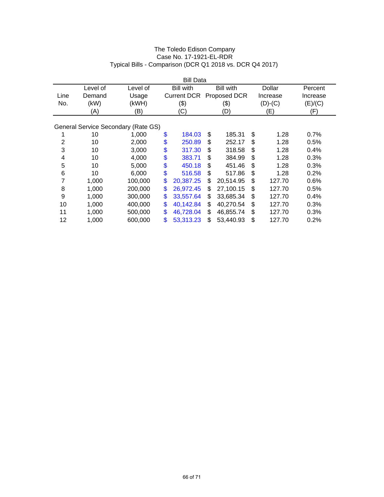|      | <b>Bill Data</b> |                                     |    |                    |    |                  |    |           |          |  |  |  |
|------|------------------|-------------------------------------|----|--------------------|----|------------------|----|-----------|----------|--|--|--|
|      | Level of         | Level of                            |    | <b>Bill with</b>   |    | <b>Bill with</b> |    | Dollar    | Percent  |  |  |  |
| Line | Demand           | Usage                               |    | <b>Current DCR</b> |    | Proposed DCR     |    | Increase  | Increase |  |  |  |
| No.  | (kW)             | (kWH)                               |    | (3)                |    | (3)              |    | $(D)-(C)$ | (E)/(C)  |  |  |  |
|      | (A)              | (B)                                 |    | (C)                |    | (D)              |    | (E)       | (F)      |  |  |  |
|      |                  |                                     |    |                    |    |                  |    |           |          |  |  |  |
|      |                  | General Service Secondary (Rate GS) |    |                    |    |                  |    |           |          |  |  |  |
|      | 10               | 1,000                               | \$ | 184.03             | \$ | 185.31           | \$ | 1.28      | 0.7%     |  |  |  |
| 2    | 10               | 2,000                               | \$ | 250.89             | \$ | 252.17           | \$ | 1.28      | 0.5%     |  |  |  |
| 3    | 10               | 3,000                               | \$ | 317.30             | \$ | 318.58           | \$ | 1.28      | 0.4%     |  |  |  |
| 4    | 10               | 4,000                               | \$ | 383.71             | \$ | 384.99           | \$ | 1.28      | 0.3%     |  |  |  |
| 5    | 10               | 5,000                               | \$ | 450.18             | \$ | 451.46           | \$ | 1.28      | 0.3%     |  |  |  |
| 6    | 10               | 6,000                               | \$ | 516.58             | \$ | 517.86           | \$ | 1.28      | 0.2%     |  |  |  |
| 7    | 1,000            | 100,000                             | \$ | 20,387.25          | \$ | 20,514.95        | \$ | 127.70    | 0.6%     |  |  |  |
| 8    | 1,000            | 200,000                             | \$ | 26,972.45          | \$ | 27,100.15        | \$ | 127.70    | 0.5%     |  |  |  |
| 9    | 1,000            | 300,000                             | \$ | 33,557.64          | \$ | 33,685.34        | \$ | 127.70    | 0.4%     |  |  |  |
| 10   | 1,000            | 400,000                             | \$ | 40,142.84          | \$ | 40,270.54        | \$ | 127.70    | 0.3%     |  |  |  |
| 11   | 1,000            | 500,000                             | \$ | 46,728.04          | \$ | 46,855.74        | \$ | 127.70    | 0.3%     |  |  |  |
| 12   | 1,000            | 600,000                             | \$ | 53,313.23          | \$ | 53,440.93        | \$ | 127.70    | 0.2%     |  |  |  |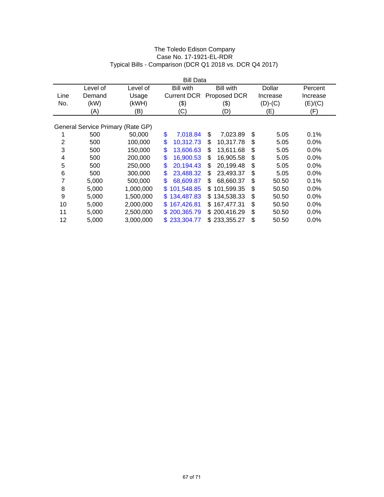|                | <b>Bill Data</b>                  |           |                    |                   |             |          |  |  |  |  |  |  |
|----------------|-----------------------------------|-----------|--------------------|-------------------|-------------|----------|--|--|--|--|--|--|
|                | Level of                          | Level of  | <b>Bill with</b>   | <b>Bill with</b>  | Dollar      | Percent  |  |  |  |  |  |  |
| Line           | Demand                            | Usage     | <b>Current DCR</b> | Proposed DCR      | Increase    | Increase |  |  |  |  |  |  |
| No.            | (kW)                              | (kWH)     | (3)                | (3)               | $(D)-(C)$   | (E)/(C)  |  |  |  |  |  |  |
|                | (A)                               | (B)       | (C)                | (D)               | (E)         | (F)      |  |  |  |  |  |  |
|                |                                   |           |                    |                   |             |          |  |  |  |  |  |  |
|                | General Service Primary (Rate GP) |           |                    |                   |             |          |  |  |  |  |  |  |
|                | 500                               | 50,000    | \$<br>7,018.84     | \$<br>7,023.89    | \$<br>5.05  | 0.1%     |  |  |  |  |  |  |
| $\overline{2}$ | 500                               | 100,000   | \$<br>10,312.73    | \$<br>10,317.78   | \$<br>5.05  | 0.0%     |  |  |  |  |  |  |
| 3              | 500                               | 150,000   | \$<br>13.606.63    | \$<br>13,611.68   | \$<br>5.05  | 0.0%     |  |  |  |  |  |  |
| 4              | 500                               | 200,000   | \$<br>16,900.53    | \$<br>16,905.58   | \$<br>5.05  | 0.0%     |  |  |  |  |  |  |
| 5              | 500                               | 250,000   | \$<br>20,194.43    | 20,199.48<br>\$   | \$<br>5.05  | 0.0%     |  |  |  |  |  |  |
| 6              | 500                               | 300,000   | \$<br>23,488.32    | \$<br>23,493.37   | \$<br>5.05  | 0.0%     |  |  |  |  |  |  |
| 7              | 5,000                             | 500,000   | \$<br>68,609.87    | 68.660.37<br>S    | \$<br>50.50 | 0.1%     |  |  |  |  |  |  |
| 8              | 5,000                             | 1,000,000 | 101,548.85<br>\$.  | 101,599.35<br>\$. | \$<br>50.50 | 0.0%     |  |  |  |  |  |  |
| 9              | 5,000                             | 1,500,000 | 134,487.83<br>\$.  | 134,538.33<br>\$. | \$<br>50.50 | 0.0%     |  |  |  |  |  |  |
| 10             | 5,000                             | 2,000,000 | 167,426.81<br>S.   | 167,477.31<br>\$. | \$<br>50.50 | 0.0%     |  |  |  |  |  |  |
| 11             | 5,000                             | 2,500,000 | \$200,365.79       | \$200,416.29      | \$<br>50.50 | 0.0%     |  |  |  |  |  |  |
| 12             | 5,000                             | 3,000,000 | \$233.304.77       | \$233,355.27      | \$<br>50.50 | 0.0%     |  |  |  |  |  |  |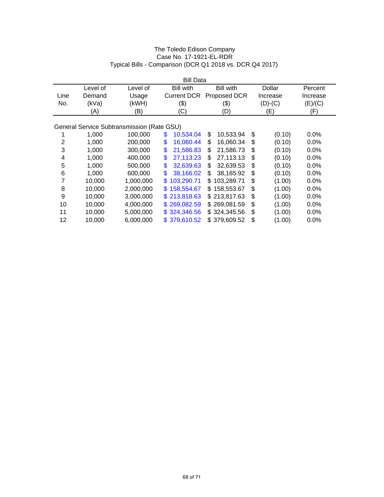|      | <b>Bill Data</b> |                                            |                    |                   |              |          |  |  |  |  |  |
|------|------------------|--------------------------------------------|--------------------|-------------------|--------------|----------|--|--|--|--|--|
|      | Level of         | Level of                                   | <b>Bill with</b>   | <b>Bill with</b>  | Dollar       | Percent  |  |  |  |  |  |
| Line | Demand           | Usage                                      | <b>Current DCR</b> | Proposed DCR      | Increase     | Increase |  |  |  |  |  |
| No.  | (kVa)            | (kWH)                                      | (3)                | (\$)              | $(D)-(C)$    | (E)/(C)  |  |  |  |  |  |
|      | (A)              | (B)                                        | (C)                | (D)               | (E)          | (F)      |  |  |  |  |  |
|      |                  |                                            |                    |                   |              |          |  |  |  |  |  |
|      |                  | General Service Subtransmission (Rate GSU) |                    |                   |              |          |  |  |  |  |  |
|      | 1,000            | 100,000                                    | \$<br>10,534.04    | 10,533.94<br>\$   | \$<br>(0.10) | 0.0%     |  |  |  |  |  |
| 2    | 1,000            | 200,000                                    | \$<br>16,060.44    | 16,060.34<br>\$   | \$<br>(0.10) | 0.0%     |  |  |  |  |  |
| 3    | 1,000            | 300,000                                    | \$<br>21,586.83    | 21,586.73<br>\$   | (0.10)<br>\$ | 0.0%     |  |  |  |  |  |
| 4    | 1,000            | 400,000                                    | \$<br>27,113.23    | 27,113.13<br>\$   | \$<br>(0.10) | 0.0%     |  |  |  |  |  |
| 5    | 1,000            | 500,000                                    | \$<br>32,639.63    | 32,639.53<br>\$   | \$<br>(0.10) | 0.0%     |  |  |  |  |  |
| 6    | 1,000            | 600,000                                    | \$<br>38,166.02    | 38,165.92<br>\$   | \$<br>(0.10) | 0.0%     |  |  |  |  |  |
| 7    | 10,000           | 1,000,000                                  | 103,290.71<br>\$.  | 103,289.71<br>\$. | (1.00)<br>\$ | 0.0%     |  |  |  |  |  |
| 8    | 10,000           | 2,000,000                                  | 158,554.67<br>SS.  | \$158,553.67      | \$<br>(1.00) | 0.0%     |  |  |  |  |  |
| 9    | 10,000           | 3,000,000                                  | 213,818.63<br>S.   | \$213,817.63      | \$<br>(1.00) | $0.0\%$  |  |  |  |  |  |
| 10   | 10,000           | 4,000,000                                  | \$269,082.59       | \$269,081.59      | \$<br>(1.00) | $0.0\%$  |  |  |  |  |  |
| 11   | 10,000           | 5,000,000                                  | \$324,346.56       | \$324,345.56      | \$<br>(1.00) | 0.0%     |  |  |  |  |  |
| 12   | 10,000           | 6,000,000                                  | \$379,610.52       | \$379,609.52      | \$<br>(1.00) | 0.0%     |  |  |  |  |  |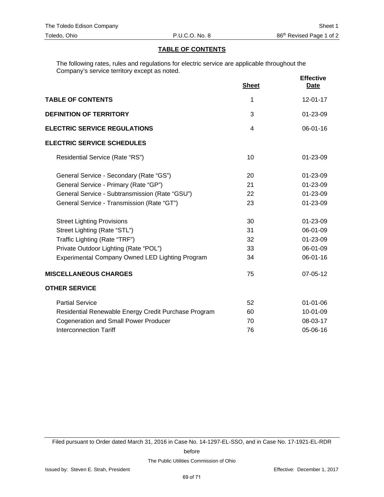# **TABLE OF CONTENTS**

The following rates, rules and regulations for electric service are applicable throughout the Company's service territory except as noted.

|                                                      | <b>Sheet</b>   | <b>Effective</b><br><b>Date</b> |
|------------------------------------------------------|----------------|---------------------------------|
| <b>TABLE OF CONTENTS</b>                             | 1              | $12 - 01 - 17$                  |
| <b>DEFINITION OF TERRITORY</b>                       | 3              | 01-23-09                        |
| <b>ELECTRIC SERVICE REGULATIONS</b>                  | $\overline{4}$ | 06-01-16                        |
| <b>ELECTRIC SERVICE SCHEDULES</b>                    |                |                                 |
| Residential Service (Rate "RS")                      | 10             | 01-23-09                        |
| General Service - Secondary (Rate "GS")              | 20             | 01-23-09                        |
| General Service - Primary (Rate "GP")                | 21             | 01-23-09                        |
| General Service - Subtransmission (Rate "GSU")       | 22             | 01-23-09                        |
| General Service - Transmission (Rate "GT")           | 23             | 01-23-09                        |
| <b>Street Lighting Provisions</b>                    | 30             | 01-23-09                        |
| Street Lighting (Rate "STL")                         | 31             | 06-01-09                        |
| Traffic Lighting (Rate "TRF")                        | 32             | 01-23-09                        |
| Private Outdoor Lighting (Rate "POL")                | 33             | 06-01-09                        |
| Experimental Company Owned LED Lighting Program      | 34             | 06-01-16                        |
| <b>MISCELLANEOUS CHARGES</b>                         | 75             | 07-05-12                        |
| <b>OTHER SERVICE</b>                                 |                |                                 |
| <b>Partial Service</b>                               | 52             | $01 - 01 - 06$                  |
| Residential Renewable Energy Credit Purchase Program | 60             | 10-01-09                        |
| <b>Cogeneration and Small Power Producer</b>         | 70             | 08-03-17                        |
| <b>Interconnection Tariff</b>                        | 76             | 05-06-16                        |

Filed pursuant to Order dated March 31, 2016 in Case No. 14-1297-EL-SSO, and in Case No. 17-1921-EL-RDR

before

The Public Utilities Commission of Ohio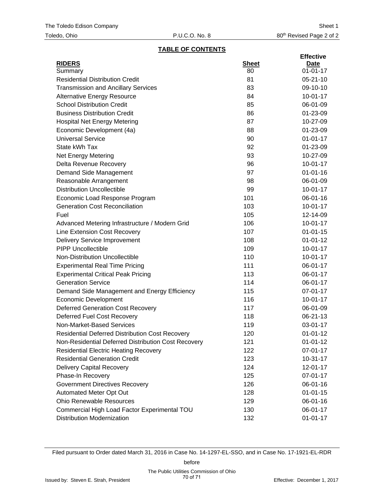# **TABLE OF CONTENTS**

| <b>RIDERS</b><br><b>Sheet</b><br><b>Date</b><br>$01 - 01 - 17$<br>80<br>Summary<br><b>Residential Distribution Credit</b><br>81<br>$05 - 21 - 10$<br><b>Transmission and Ancillary Services</b><br>83<br>09-10-10<br>84<br>$10-01-17$<br><b>Alternative Energy Resource</b><br><b>School Distribution Credit</b><br>85<br>06-01-09<br><b>Business Distribution Credit</b><br>86<br>01-23-09<br>87<br><b>Hospital Net Energy Metering</b><br>10-27-09<br>Economic Development (4a)<br>88<br>01-23-09<br>90<br><b>Universal Service</b><br>$01 - 01 - 17$<br>State kWh Tax<br>92<br>01-23-09<br>93<br>10-27-09<br><b>Net Energy Metering</b><br>96<br>$10-01-17$<br>Delta Revenue Recovery<br>97<br>$01 - 01 - 16$<br>Demand Side Management<br>98<br>06-01-09<br>Reasonable Arrangement<br><b>Distribution Uncollectible</b><br>99<br>$10-01-17$<br>Economic Load Response Program<br>101<br>06-01-16<br><b>Generation Cost Reconciliation</b><br>103<br>$10-01-17$<br>Fuel<br>105<br>12-14-09<br>106<br>$10-01-17$<br>Advanced Metering Infrastructure / Modern Grid<br><b>Line Extension Cost Recovery</b><br>107<br>$01 - 01 - 15$<br>108<br>$01 - 01 - 12$<br><b>Delivery Service Improvement</b><br><b>PIPP Uncollectible</b><br>109<br>$10-01-17$<br>Non-Distribution Uncollectible<br>110<br>$10-01-17$<br><b>Experimental Real Time Pricing</b><br>111<br>06-01-17<br><b>Experimental Critical Peak Pricing</b><br>113<br>06-01-17<br><b>Generation Service</b><br>114<br>06-01-17<br>115<br>07-01-17<br>Demand Side Management and Energy Efficiency<br>116<br>$10-01-17$<br><b>Economic Development</b><br><b>Deferred Generation Cost Recovery</b><br>117<br>06-01-09<br>Deferred Fuel Cost Recovery<br>118<br>06-21-13<br>Non-Market-Based Services<br>119<br>03-01-17<br><b>Residential Deferred Distribution Cost Recovery</b><br>120<br>$01 - 01 - 12$<br>Non-Residential Deferred Distribution Cost Recovery<br>121<br>$01 - 01 - 12$<br><b>Residential Electric Heating Recovery</b><br>122<br><b>Residential Generation Credit</b><br>123<br>$10 - 31 - 17$<br><b>Delivery Capital Recovery</b><br>124<br>$12 - 01 - 17$<br>Phase-In Recovery<br>125<br>07-01-17<br><b>Government Directives Recovery</b><br>126<br>06-01-16<br>Automated Meter Opt Out<br>128<br>$01 - 01 - 15$<br><b>Ohio Renewable Resources</b><br>129<br>06-01-16<br>Commercial High Load Factor Experimental TOU<br>130<br>06-01-17 |                                   |     | <b>Effective</b> |
|----------------------------------------------------------------------------------------------------------------------------------------------------------------------------------------------------------------------------------------------------------------------------------------------------------------------------------------------------------------------------------------------------------------------------------------------------------------------------------------------------------------------------------------------------------------------------------------------------------------------------------------------------------------------------------------------------------------------------------------------------------------------------------------------------------------------------------------------------------------------------------------------------------------------------------------------------------------------------------------------------------------------------------------------------------------------------------------------------------------------------------------------------------------------------------------------------------------------------------------------------------------------------------------------------------------------------------------------------------------------------------------------------------------------------------------------------------------------------------------------------------------------------------------------------------------------------------------------------------------------------------------------------------------------------------------------------------------------------------------------------------------------------------------------------------------------------------------------------------------------------------------------------------------------------------------------------------------------------------------------------------------------------------------------------------------------------------------------------------------------------------------------------------------------------------------------------------------------------------------------------------------------------------------------------------------------------------------------------------------------------------------------------------------------------|-----------------------------------|-----|------------------|
|                                                                                                                                                                                                                                                                                                                                                                                                                                                                                                                                                                                                                                                                                                                                                                                                                                                                                                                                                                                                                                                                                                                                                                                                                                                                                                                                                                                                                                                                                                                                                                                                                                                                                                                                                                                                                                                                                                                                                                                                                                                                                                                                                                                                                                                                                                                                                                                                                            |                                   |     |                  |
|                                                                                                                                                                                                                                                                                                                                                                                                                                                                                                                                                                                                                                                                                                                                                                                                                                                                                                                                                                                                                                                                                                                                                                                                                                                                                                                                                                                                                                                                                                                                                                                                                                                                                                                                                                                                                                                                                                                                                                                                                                                                                                                                                                                                                                                                                                                                                                                                                            |                                   |     |                  |
|                                                                                                                                                                                                                                                                                                                                                                                                                                                                                                                                                                                                                                                                                                                                                                                                                                                                                                                                                                                                                                                                                                                                                                                                                                                                                                                                                                                                                                                                                                                                                                                                                                                                                                                                                                                                                                                                                                                                                                                                                                                                                                                                                                                                                                                                                                                                                                                                                            |                                   |     |                  |
|                                                                                                                                                                                                                                                                                                                                                                                                                                                                                                                                                                                                                                                                                                                                                                                                                                                                                                                                                                                                                                                                                                                                                                                                                                                                                                                                                                                                                                                                                                                                                                                                                                                                                                                                                                                                                                                                                                                                                                                                                                                                                                                                                                                                                                                                                                                                                                                                                            |                                   |     |                  |
|                                                                                                                                                                                                                                                                                                                                                                                                                                                                                                                                                                                                                                                                                                                                                                                                                                                                                                                                                                                                                                                                                                                                                                                                                                                                                                                                                                                                                                                                                                                                                                                                                                                                                                                                                                                                                                                                                                                                                                                                                                                                                                                                                                                                                                                                                                                                                                                                                            |                                   |     |                  |
|                                                                                                                                                                                                                                                                                                                                                                                                                                                                                                                                                                                                                                                                                                                                                                                                                                                                                                                                                                                                                                                                                                                                                                                                                                                                                                                                                                                                                                                                                                                                                                                                                                                                                                                                                                                                                                                                                                                                                                                                                                                                                                                                                                                                                                                                                                                                                                                                                            |                                   |     |                  |
|                                                                                                                                                                                                                                                                                                                                                                                                                                                                                                                                                                                                                                                                                                                                                                                                                                                                                                                                                                                                                                                                                                                                                                                                                                                                                                                                                                                                                                                                                                                                                                                                                                                                                                                                                                                                                                                                                                                                                                                                                                                                                                                                                                                                                                                                                                                                                                                                                            |                                   |     |                  |
|                                                                                                                                                                                                                                                                                                                                                                                                                                                                                                                                                                                                                                                                                                                                                                                                                                                                                                                                                                                                                                                                                                                                                                                                                                                                                                                                                                                                                                                                                                                                                                                                                                                                                                                                                                                                                                                                                                                                                                                                                                                                                                                                                                                                                                                                                                                                                                                                                            |                                   |     |                  |
|                                                                                                                                                                                                                                                                                                                                                                                                                                                                                                                                                                                                                                                                                                                                                                                                                                                                                                                                                                                                                                                                                                                                                                                                                                                                                                                                                                                                                                                                                                                                                                                                                                                                                                                                                                                                                                                                                                                                                                                                                                                                                                                                                                                                                                                                                                                                                                                                                            |                                   |     |                  |
|                                                                                                                                                                                                                                                                                                                                                                                                                                                                                                                                                                                                                                                                                                                                                                                                                                                                                                                                                                                                                                                                                                                                                                                                                                                                                                                                                                                                                                                                                                                                                                                                                                                                                                                                                                                                                                                                                                                                                                                                                                                                                                                                                                                                                                                                                                                                                                                                                            |                                   |     |                  |
|                                                                                                                                                                                                                                                                                                                                                                                                                                                                                                                                                                                                                                                                                                                                                                                                                                                                                                                                                                                                                                                                                                                                                                                                                                                                                                                                                                                                                                                                                                                                                                                                                                                                                                                                                                                                                                                                                                                                                                                                                                                                                                                                                                                                                                                                                                                                                                                                                            |                                   |     |                  |
|                                                                                                                                                                                                                                                                                                                                                                                                                                                                                                                                                                                                                                                                                                                                                                                                                                                                                                                                                                                                                                                                                                                                                                                                                                                                                                                                                                                                                                                                                                                                                                                                                                                                                                                                                                                                                                                                                                                                                                                                                                                                                                                                                                                                                                                                                                                                                                                                                            |                                   |     |                  |
|                                                                                                                                                                                                                                                                                                                                                                                                                                                                                                                                                                                                                                                                                                                                                                                                                                                                                                                                                                                                                                                                                                                                                                                                                                                                                                                                                                                                                                                                                                                                                                                                                                                                                                                                                                                                                                                                                                                                                                                                                                                                                                                                                                                                                                                                                                                                                                                                                            |                                   |     |                  |
|                                                                                                                                                                                                                                                                                                                                                                                                                                                                                                                                                                                                                                                                                                                                                                                                                                                                                                                                                                                                                                                                                                                                                                                                                                                                                                                                                                                                                                                                                                                                                                                                                                                                                                                                                                                                                                                                                                                                                                                                                                                                                                                                                                                                                                                                                                                                                                                                                            |                                   |     |                  |
|                                                                                                                                                                                                                                                                                                                                                                                                                                                                                                                                                                                                                                                                                                                                                                                                                                                                                                                                                                                                                                                                                                                                                                                                                                                                                                                                                                                                                                                                                                                                                                                                                                                                                                                                                                                                                                                                                                                                                                                                                                                                                                                                                                                                                                                                                                                                                                                                                            |                                   |     |                  |
|                                                                                                                                                                                                                                                                                                                                                                                                                                                                                                                                                                                                                                                                                                                                                                                                                                                                                                                                                                                                                                                                                                                                                                                                                                                                                                                                                                                                                                                                                                                                                                                                                                                                                                                                                                                                                                                                                                                                                                                                                                                                                                                                                                                                                                                                                                                                                                                                                            |                                   |     |                  |
|                                                                                                                                                                                                                                                                                                                                                                                                                                                                                                                                                                                                                                                                                                                                                                                                                                                                                                                                                                                                                                                                                                                                                                                                                                                                                                                                                                                                                                                                                                                                                                                                                                                                                                                                                                                                                                                                                                                                                                                                                                                                                                                                                                                                                                                                                                                                                                                                                            |                                   |     |                  |
|                                                                                                                                                                                                                                                                                                                                                                                                                                                                                                                                                                                                                                                                                                                                                                                                                                                                                                                                                                                                                                                                                                                                                                                                                                                                                                                                                                                                                                                                                                                                                                                                                                                                                                                                                                                                                                                                                                                                                                                                                                                                                                                                                                                                                                                                                                                                                                                                                            |                                   |     |                  |
|                                                                                                                                                                                                                                                                                                                                                                                                                                                                                                                                                                                                                                                                                                                                                                                                                                                                                                                                                                                                                                                                                                                                                                                                                                                                                                                                                                                                                                                                                                                                                                                                                                                                                                                                                                                                                                                                                                                                                                                                                                                                                                                                                                                                                                                                                                                                                                                                                            |                                   |     |                  |
|                                                                                                                                                                                                                                                                                                                                                                                                                                                                                                                                                                                                                                                                                                                                                                                                                                                                                                                                                                                                                                                                                                                                                                                                                                                                                                                                                                                                                                                                                                                                                                                                                                                                                                                                                                                                                                                                                                                                                                                                                                                                                                                                                                                                                                                                                                                                                                                                                            |                                   |     |                  |
|                                                                                                                                                                                                                                                                                                                                                                                                                                                                                                                                                                                                                                                                                                                                                                                                                                                                                                                                                                                                                                                                                                                                                                                                                                                                                                                                                                                                                                                                                                                                                                                                                                                                                                                                                                                                                                                                                                                                                                                                                                                                                                                                                                                                                                                                                                                                                                                                                            |                                   |     |                  |
|                                                                                                                                                                                                                                                                                                                                                                                                                                                                                                                                                                                                                                                                                                                                                                                                                                                                                                                                                                                                                                                                                                                                                                                                                                                                                                                                                                                                                                                                                                                                                                                                                                                                                                                                                                                                                                                                                                                                                                                                                                                                                                                                                                                                                                                                                                                                                                                                                            |                                   |     |                  |
|                                                                                                                                                                                                                                                                                                                                                                                                                                                                                                                                                                                                                                                                                                                                                                                                                                                                                                                                                                                                                                                                                                                                                                                                                                                                                                                                                                                                                                                                                                                                                                                                                                                                                                                                                                                                                                                                                                                                                                                                                                                                                                                                                                                                                                                                                                                                                                                                                            |                                   |     |                  |
|                                                                                                                                                                                                                                                                                                                                                                                                                                                                                                                                                                                                                                                                                                                                                                                                                                                                                                                                                                                                                                                                                                                                                                                                                                                                                                                                                                                                                                                                                                                                                                                                                                                                                                                                                                                                                                                                                                                                                                                                                                                                                                                                                                                                                                                                                                                                                                                                                            |                                   |     |                  |
|                                                                                                                                                                                                                                                                                                                                                                                                                                                                                                                                                                                                                                                                                                                                                                                                                                                                                                                                                                                                                                                                                                                                                                                                                                                                                                                                                                                                                                                                                                                                                                                                                                                                                                                                                                                                                                                                                                                                                                                                                                                                                                                                                                                                                                                                                                                                                                                                                            |                                   |     |                  |
|                                                                                                                                                                                                                                                                                                                                                                                                                                                                                                                                                                                                                                                                                                                                                                                                                                                                                                                                                                                                                                                                                                                                                                                                                                                                                                                                                                                                                                                                                                                                                                                                                                                                                                                                                                                                                                                                                                                                                                                                                                                                                                                                                                                                                                                                                                                                                                                                                            |                                   |     |                  |
|                                                                                                                                                                                                                                                                                                                                                                                                                                                                                                                                                                                                                                                                                                                                                                                                                                                                                                                                                                                                                                                                                                                                                                                                                                                                                                                                                                                                                                                                                                                                                                                                                                                                                                                                                                                                                                                                                                                                                                                                                                                                                                                                                                                                                                                                                                                                                                                                                            |                                   |     |                  |
|                                                                                                                                                                                                                                                                                                                                                                                                                                                                                                                                                                                                                                                                                                                                                                                                                                                                                                                                                                                                                                                                                                                                                                                                                                                                                                                                                                                                                                                                                                                                                                                                                                                                                                                                                                                                                                                                                                                                                                                                                                                                                                                                                                                                                                                                                                                                                                                                                            |                                   |     |                  |
|                                                                                                                                                                                                                                                                                                                                                                                                                                                                                                                                                                                                                                                                                                                                                                                                                                                                                                                                                                                                                                                                                                                                                                                                                                                                                                                                                                                                                                                                                                                                                                                                                                                                                                                                                                                                                                                                                                                                                                                                                                                                                                                                                                                                                                                                                                                                                                                                                            |                                   |     |                  |
|                                                                                                                                                                                                                                                                                                                                                                                                                                                                                                                                                                                                                                                                                                                                                                                                                                                                                                                                                                                                                                                                                                                                                                                                                                                                                                                                                                                                                                                                                                                                                                                                                                                                                                                                                                                                                                                                                                                                                                                                                                                                                                                                                                                                                                                                                                                                                                                                                            |                                   |     |                  |
|                                                                                                                                                                                                                                                                                                                                                                                                                                                                                                                                                                                                                                                                                                                                                                                                                                                                                                                                                                                                                                                                                                                                                                                                                                                                                                                                                                                                                                                                                                                                                                                                                                                                                                                                                                                                                                                                                                                                                                                                                                                                                                                                                                                                                                                                                                                                                                                                                            |                                   |     |                  |
|                                                                                                                                                                                                                                                                                                                                                                                                                                                                                                                                                                                                                                                                                                                                                                                                                                                                                                                                                                                                                                                                                                                                                                                                                                                                                                                                                                                                                                                                                                                                                                                                                                                                                                                                                                                                                                                                                                                                                                                                                                                                                                                                                                                                                                                                                                                                                                                                                            |                                   |     |                  |
|                                                                                                                                                                                                                                                                                                                                                                                                                                                                                                                                                                                                                                                                                                                                                                                                                                                                                                                                                                                                                                                                                                                                                                                                                                                                                                                                                                                                                                                                                                                                                                                                                                                                                                                                                                                                                                                                                                                                                                                                                                                                                                                                                                                                                                                                                                                                                                                                                            |                                   |     |                  |
|                                                                                                                                                                                                                                                                                                                                                                                                                                                                                                                                                                                                                                                                                                                                                                                                                                                                                                                                                                                                                                                                                                                                                                                                                                                                                                                                                                                                                                                                                                                                                                                                                                                                                                                                                                                                                                                                                                                                                                                                                                                                                                                                                                                                                                                                                                                                                                                                                            |                                   |     |                  |
|                                                                                                                                                                                                                                                                                                                                                                                                                                                                                                                                                                                                                                                                                                                                                                                                                                                                                                                                                                                                                                                                                                                                                                                                                                                                                                                                                                                                                                                                                                                                                                                                                                                                                                                                                                                                                                                                                                                                                                                                                                                                                                                                                                                                                                                                                                                                                                                                                            |                                   |     | 07-01-17         |
|                                                                                                                                                                                                                                                                                                                                                                                                                                                                                                                                                                                                                                                                                                                                                                                                                                                                                                                                                                                                                                                                                                                                                                                                                                                                                                                                                                                                                                                                                                                                                                                                                                                                                                                                                                                                                                                                                                                                                                                                                                                                                                                                                                                                                                                                                                                                                                                                                            |                                   |     |                  |
|                                                                                                                                                                                                                                                                                                                                                                                                                                                                                                                                                                                                                                                                                                                                                                                                                                                                                                                                                                                                                                                                                                                                                                                                                                                                                                                                                                                                                                                                                                                                                                                                                                                                                                                                                                                                                                                                                                                                                                                                                                                                                                                                                                                                                                                                                                                                                                                                                            |                                   |     |                  |
|                                                                                                                                                                                                                                                                                                                                                                                                                                                                                                                                                                                                                                                                                                                                                                                                                                                                                                                                                                                                                                                                                                                                                                                                                                                                                                                                                                                                                                                                                                                                                                                                                                                                                                                                                                                                                                                                                                                                                                                                                                                                                                                                                                                                                                                                                                                                                                                                                            |                                   |     |                  |
|                                                                                                                                                                                                                                                                                                                                                                                                                                                                                                                                                                                                                                                                                                                                                                                                                                                                                                                                                                                                                                                                                                                                                                                                                                                                                                                                                                                                                                                                                                                                                                                                                                                                                                                                                                                                                                                                                                                                                                                                                                                                                                                                                                                                                                                                                                                                                                                                                            |                                   |     |                  |
|                                                                                                                                                                                                                                                                                                                                                                                                                                                                                                                                                                                                                                                                                                                                                                                                                                                                                                                                                                                                                                                                                                                                                                                                                                                                                                                                                                                                                                                                                                                                                                                                                                                                                                                                                                                                                                                                                                                                                                                                                                                                                                                                                                                                                                                                                                                                                                                                                            |                                   |     |                  |
|                                                                                                                                                                                                                                                                                                                                                                                                                                                                                                                                                                                                                                                                                                                                                                                                                                                                                                                                                                                                                                                                                                                                                                                                                                                                                                                                                                                                                                                                                                                                                                                                                                                                                                                                                                                                                                                                                                                                                                                                                                                                                                                                                                                                                                                                                                                                                                                                                            |                                   |     |                  |
|                                                                                                                                                                                                                                                                                                                                                                                                                                                                                                                                                                                                                                                                                                                                                                                                                                                                                                                                                                                                                                                                                                                                                                                                                                                                                                                                                                                                                                                                                                                                                                                                                                                                                                                                                                                                                                                                                                                                                                                                                                                                                                                                                                                                                                                                                                                                                                                                                            |                                   |     |                  |
|                                                                                                                                                                                                                                                                                                                                                                                                                                                                                                                                                                                                                                                                                                                                                                                                                                                                                                                                                                                                                                                                                                                                                                                                                                                                                                                                                                                                                                                                                                                                                                                                                                                                                                                                                                                                                                                                                                                                                                                                                                                                                                                                                                                                                                                                                                                                                                                                                            | <b>Distribution Modernization</b> | 132 | $01 - 01 - 17$   |

Filed pursuant to Order dated March 31, 2016 in Case No. 14-1297-EL-SSO, and in Case No. 17-1921-EL-RDR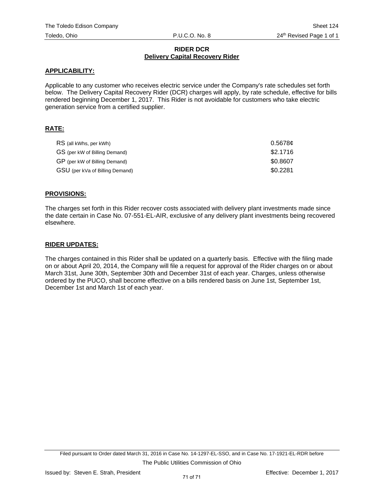# **RIDER DCR Delivery Capital Recovery Rider**

### **APPLICABILITY:**

Applicable to any customer who receives electric service under the Company's rate schedules set forth below. The Delivery Capital Recovery Rider (DCR) charges will apply, by rate schedule, effective for bills rendered beginning December 1, 2017. This Rider is not avoidable for customers who take electric generation service from a certified supplier.

# **RATE:**

| RS (all kWhs, per kWh)          | 0.5678c  |
|---------------------------------|----------|
| GS (per kW of Billing Demand)   | \$2.1716 |
| GP (per kW of Billing Demand)   | \$0.8607 |
| GSU (per kVa of Billing Demand) | \$0.2281 |

### **PROVISIONS:**

The charges set forth in this Rider recover costs associated with delivery plant investments made since the date certain in Case No. 07-551-EL-AIR, exclusive of any delivery plant investments being recovered elsewhere.

### **RIDER UPDATES:**

The charges contained in this Rider shall be updated on a quarterly basis. Effective with the filing made on or about April 20, 2014, the Company will file a request for approval of the Rider charges on or about March 31st, June 30th, September 30th and December 31st of each year. Charges, unless otherwise ordered by the PUCO, shall become effective on a bills rendered basis on June 1st, September 1st, December 1st and March 1st of each year.

Filed pursuant to Order dated March 31, 2016 in Case No. 14-1297-EL-SSO, and in Case No. 17-1921-EL-RDR before The Public Utilities Commission of Ohio